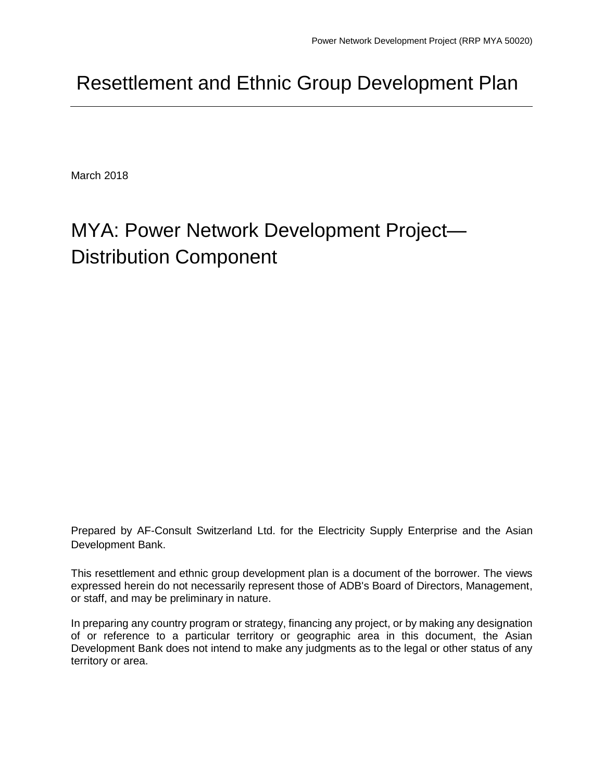# Resettlement and Ethnic Group Development Plan

March 2018

# MYA: Power Network Development Project— Distribution Component

Prepared by AF-Consult Switzerland Ltd. for the Electricity Supply Enterprise and the Asian Development Bank.

This resettlement and ethnic group development plan is a document of the borrower. The views expressed herein do not necessarily represent those of ADB's Board of Directors, Management, or staff, and may be preliminary in nature.

In preparing any country program or strategy, financing any project, or by making any designation of or reference to a particular territory or geographic area in this document, the Asian Development Bank does not intend to make any judgments as to the legal or other status of any territory or area.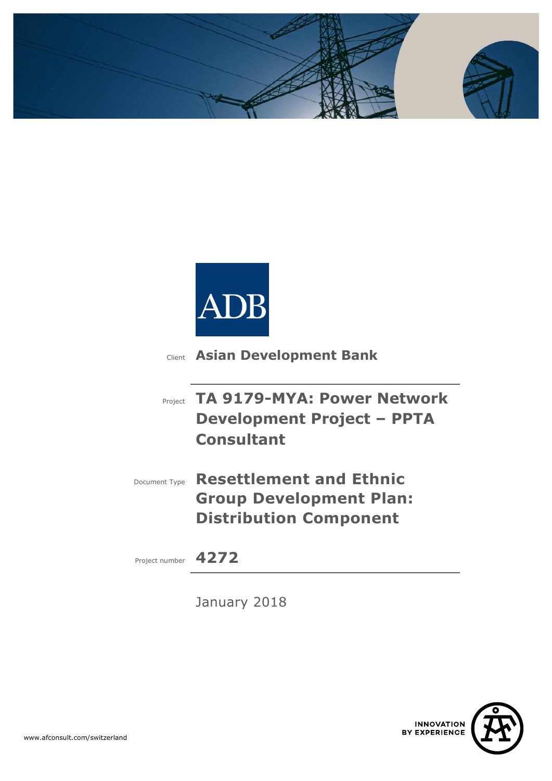



Client **Asian Development Bank**

| <b>Project TA 9179-MYA: Power Network</b> |
|-------------------------------------------|
| <b>Development Project - PPTA</b>         |
| <b>Consultant</b>                         |

Document Type **Resettlement and Ethnic Group Development Plan: Distribution Component**

Project number **4272**

January 2018

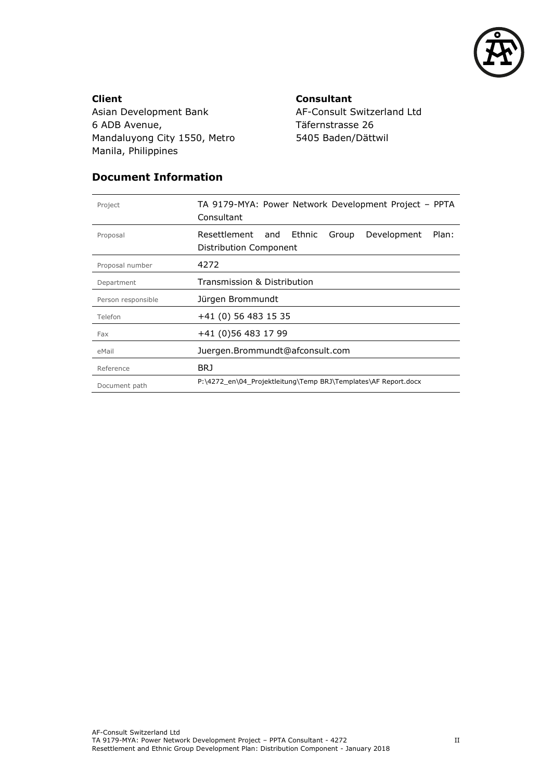

**Client** Asian Development Bank 6 ADB Avenue, Mandaluyong City 1550, Metro Manila, Philippines

**Consultant** AF-Consult Switzerland Ltd Täfernstrasse 26 5405 Baden/Dättwil

#### **Document Information**

| Project            | TA 9179-MYA: Power Network Development Project – PPTA<br>Consultant                      |  |  |  |  |  |  |
|--------------------|------------------------------------------------------------------------------------------|--|--|--|--|--|--|
| Proposal           | Resettlement<br>Ethnic<br>Development<br>Plan:<br>and<br>Group<br>Distribution Component |  |  |  |  |  |  |
| Proposal number    | 4272                                                                                     |  |  |  |  |  |  |
| Department         | Transmission & Distribution                                                              |  |  |  |  |  |  |
| Person responsible | Jürgen Brommundt                                                                         |  |  |  |  |  |  |
| Telefon            | +41 (0) 56 483 15 35                                                                     |  |  |  |  |  |  |
| Fax                | +41 (0)56 483 17 99                                                                      |  |  |  |  |  |  |
| eMail              | Juergen.Brommundt@afconsult.com                                                          |  |  |  |  |  |  |
| Reference          | BRJ                                                                                      |  |  |  |  |  |  |
| Document path      | P:\4272_en\04_Projektleitung\Temp BRJ\Templates\AF Report.docx                           |  |  |  |  |  |  |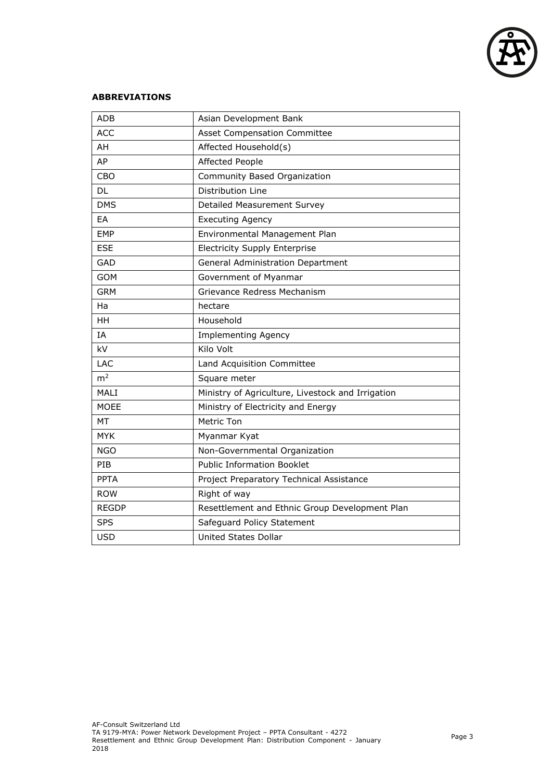

#### **ABBREVIATIONS**

| <b>ADB</b>     | Asian Development Bank                            |
|----------------|---------------------------------------------------|
| <b>ACC</b>     | <b>Asset Compensation Committee</b>               |
| AH             | Affected Household(s)                             |
| AP             | <b>Affected People</b>                            |
| CBO            | Community Based Organization                      |
| DL             | Distribution Line                                 |
| <b>DMS</b>     | Detailed Measurement Survey                       |
| EA             | <b>Executing Agency</b>                           |
| <b>EMP</b>     | Environmental Management Plan                     |
| <b>ESE</b>     | <b>Electricity Supply Enterprise</b>              |
| GAD            | General Administration Department                 |
| <b>GOM</b>     | Government of Myanmar                             |
| <b>GRM</b>     | Grievance Redress Mechanism                       |
| Ha             | hectare                                           |
| HH             | Household                                         |
| IA             | <b>Implementing Agency</b>                        |
| kV             | Kilo Volt                                         |
| <b>LAC</b>     | Land Acquisition Committee                        |
| m <sup>2</sup> | Square meter                                      |
| MALI           | Ministry of Agriculture, Livestock and Irrigation |
| <b>MOEE</b>    | Ministry of Electricity and Energy                |
| <b>MT</b>      | Metric Ton                                        |
| <b>MYK</b>     | Myanmar Kyat                                      |
| <b>NGO</b>     | Non-Governmental Organization                     |
| PIB            | <b>Public Information Booklet</b>                 |
| <b>PPTA</b>    | Project Preparatory Technical Assistance          |
| <b>ROW</b>     | Right of way                                      |
| <b>REGDP</b>   | Resettlement and Ethnic Group Development Plan    |
| <b>SPS</b>     | Safeguard Policy Statement                        |
| <b>USD</b>     | <b>United States Dollar</b>                       |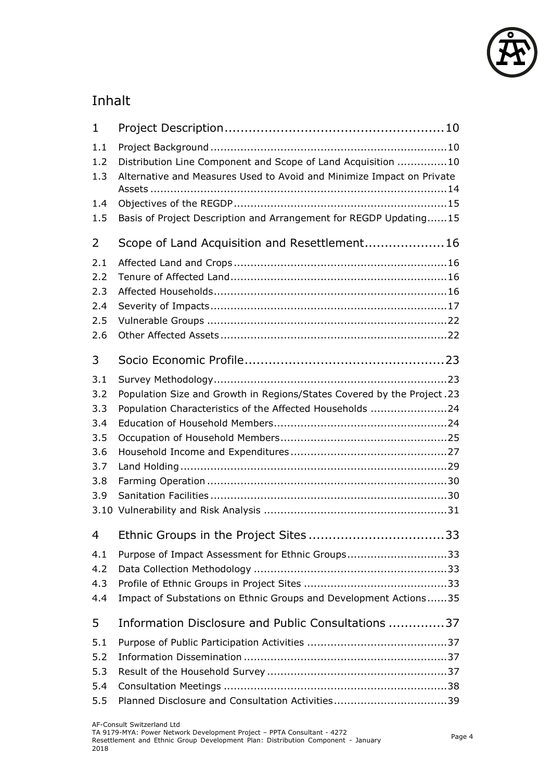

## Inhalt

| Distribution Line Component and Scope of Land Acquisition 10<br>Alternative and Measures Used to Avoid and Minimize Impact on Private<br>Basis of Project Description and Arrangement for REGDP Updating15 |  |
|------------------------------------------------------------------------------------------------------------------------------------------------------------------------------------------------------------|--|
| Scope of Land Acquisition and Resettlement 16                                                                                                                                                              |  |
|                                                                                                                                                                                                            |  |
|                                                                                                                                                                                                            |  |
| Population Size and Growth in Regions/States Covered by the Project. 23<br>Population Characteristics of the Affected Households 24                                                                        |  |
|                                                                                                                                                                                                            |  |
| Purpose of Impact Assessment for Ethnic Groups33<br>Impact of Substations on Ethnic Groups and Development Actions35                                                                                       |  |
| Information Disclosure and Public Consultations 37                                                                                                                                                         |  |
|                                                                                                                                                                                                            |  |
|                                                                                                                                                                                                            |  |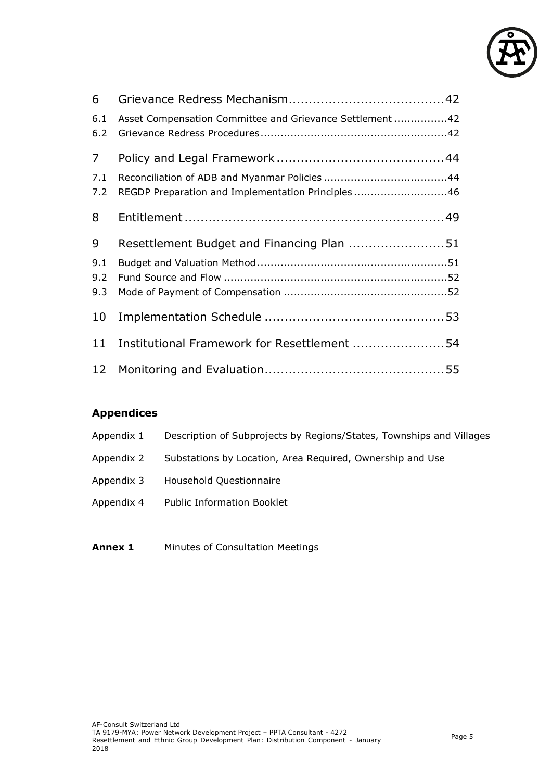

| 6              |                                                          |  |
|----------------|----------------------------------------------------------|--|
| 6.1<br>6.2     | Asset Compensation Committee and Grievance Settlement 42 |  |
| $\overline{7}$ |                                                          |  |
| 7.1            |                                                          |  |
| 7.2            | REGDP Preparation and Implementation Principles46        |  |
| 8              |                                                          |  |
| 9              | Resettlement Budget and Financing Plan 51                |  |
| 9.1            |                                                          |  |
| 9.2            |                                                          |  |
| 9.3            |                                                          |  |
| 10             |                                                          |  |
| 11             | Institutional Framework for Resettlement 54              |  |
|                |                                                          |  |

## **Appendices**

| Appendix 1 | Description of Subprojects by Regions/States, Townships and Villages |
|------------|----------------------------------------------------------------------|
|            |                                                                      |

- Appendix 2 Substations by Location, Area Required, Ownership and Use
- Appendix 3 Household Questionnaire
- Appendix 4 Public Information Booklet
- **Annex 1** Minutes of Consultation Meetings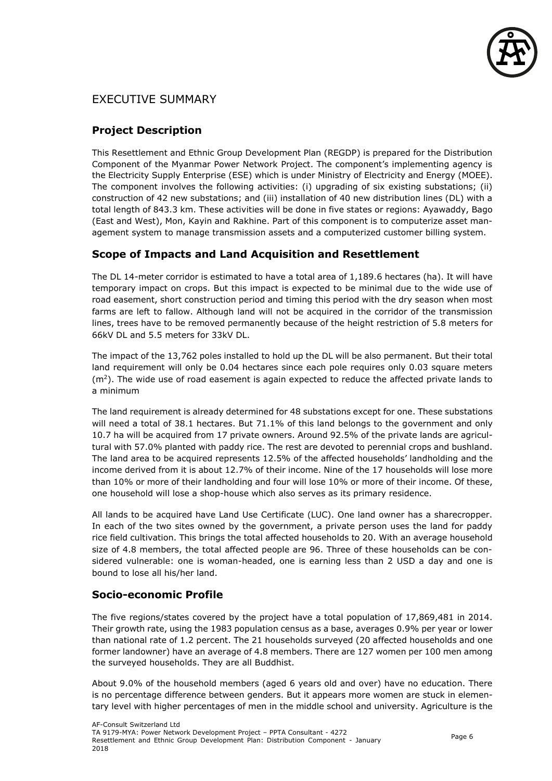

## EXECUTIVE SUMMARY

#### **Project Description**

This Resettlement and Ethnic Group Development Plan (REGDP) is prepared for the Distribution Component of the Myanmar Power Network Project. The component's implementing agency is the Electricity Supply Enterprise (ESE) which is under Ministry of Electricity and Energy (MOEE). The component involves the following activities: (i) upgrading of six existing substations; (ii) construction of 42 new substations; and (iii) installation of 40 new distribution lines (DL) with a total length of 843.3 km. These activities will be done in five states or regions: Ayawaddy, Bago (East and West), Mon, Kayin and Rakhine. Part of this component is to computerize asset management system to manage transmission assets and a computerized customer billing system.

#### **Scope of Impacts and Land Acquisition and Resettlement**

The DL 14-meter corridor is estimated to have a total area of 1,189.6 hectares (ha). It will have temporary impact on crops. But this impact is expected to be minimal due to the wide use of road easement, short construction period and timing this period with the dry season when most farms are left to fallow. Although land will not be acquired in the corridor of the transmission lines, trees have to be removed permanently because of the height restriction of 5.8 meters for 66kV DL and 5.5 meters for 33kV DL.

The impact of the 13,762 poles installed to hold up the DL will be also permanent. But their total land requirement will only be 0.04 hectares since each pole requires only 0.03 square meters  $(m<sup>2</sup>)$ . The wide use of road easement is again expected to reduce the affected private lands to a minimum

The land requirement is already determined for 48 substations except for one. These substations will need a total of 38.1 hectares. But 71.1% of this land belongs to the government and only 10.7 ha will be acquired from 17 private owners. Around 92.5% of the private lands are agricultural with 57.0% planted with paddy rice. The rest are devoted to perennial crops and bushland. The land area to be acquired represents 12.5% of the affected households' landholding and the income derived from it is about 12.7% of their income. Nine of the 17 households will lose more than 10% or more of their landholding and four will lose 10% or more of their income. Of these, one household will lose a shop-house which also serves as its primary residence.

All lands to be acquired have Land Use Certificate (LUC). One land owner has a sharecropper. In each of the two sites owned by the government, a private person uses the land for paddy rice field cultivation. This brings the total affected households to 20. With an average household size of 4.8 members, the total affected people are 96. Three of these households can be considered vulnerable: one is woman-headed, one is earning less than 2 USD a day and one is bound to lose all his/her land.

#### **Socio-economic Profile**

The five regions/states covered by the project have a total population of 17,869,481 in 2014. Their growth rate, using the 1983 population census as a base, averages 0.9% per year or lower than national rate of 1.2 percent. The 21 households surveyed (20 affected households and one former landowner) have an average of 4.8 members. There are 127 women per 100 men among the surveyed households. They are all Buddhist.

About 9.0% of the household members (aged 6 years old and over) have no education. There is no percentage difference between genders. But it appears more women are stuck in elementary level with higher percentages of men in the middle school and university. Agriculture is the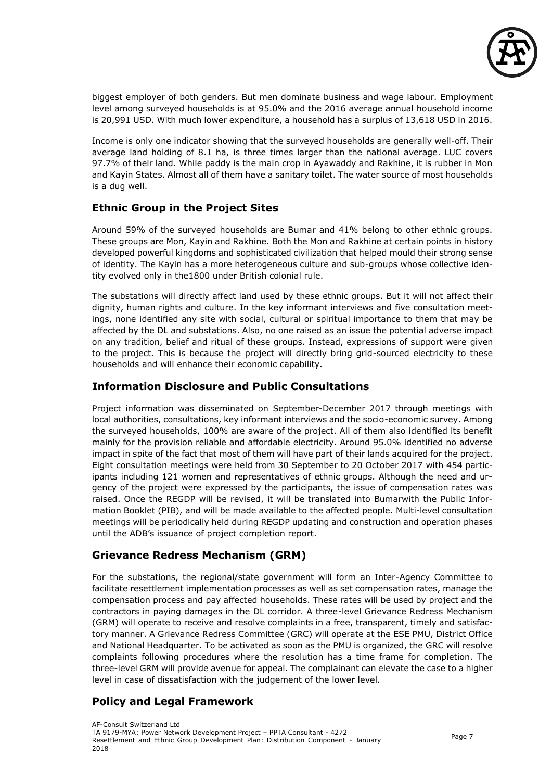

biggest employer of both genders. But men dominate business and wage labour. Employment level among surveyed households is at 95.0% and the 2016 average annual household income is 20,991 USD. With much lower expenditure, a household has a surplus of 13,618 USD in 2016.

Income is only one indicator showing that the surveyed households are generally well-off. Their average land holding of 8.1 ha, is three times larger than the national average. LUC covers 97.7% of their land. While paddy is the main crop in Ayawaddy and Rakhine, it is rubber in Mon and Kayin States. Almost all of them have a sanitary toilet. The water source of most households is a dug well.

#### **Ethnic Group in the Project Sites**

Around 59% of the surveyed households are Bumar and 41% belong to other ethnic groups. These groups are Mon, Kayin and Rakhine. Both the Mon and Rakhine at certain points in history developed powerful kingdoms and sophisticated civilization that helped mould their strong sense of identity. The Kayin has a more heterogeneous culture and sub-groups whose collective identity evolved only in the1800 under British colonial rule.

The substations will directly affect land used by these ethnic groups. But it will not affect their dignity, human rights and culture. In the key informant interviews and five consultation meetings, none identified any site with social, cultural or spiritual importance to them that may be affected by the DL and substations. Also, no one raised as an issue the potential adverse impact on any tradition, belief and ritual of these groups. Instead, expressions of support were given to the project. This is because the project will directly bring grid-sourced electricity to these households and will enhance their economic capability.

#### **Information Disclosure and Public Consultations**

Project information was disseminated on September-December 2017 through meetings with local authorities, consultations, key informant interviews and the socio-economic survey. Among the surveyed households, 100% are aware of the project. All of them also identified its benefit mainly for the provision reliable and affordable electricity. Around 95.0% identified no adverse impact in spite of the fact that most of them will have part of their lands acquired for the project. Eight consultation meetings were held from 30 September to 20 October 2017 with 454 participants including 121 women and representatives of ethnic groups. Although the need and urgency of the project were expressed by the participants, the issue of compensation rates was raised. Once the REGDP will be revised, it will be translated into Bumarwith the Public Information Booklet (PIB), and will be made available to the affected people. Multi-level consultation meetings will be periodically held during REGDP updating and construction and operation phases until the ADB's issuance of project completion report.

#### **Grievance Redress Mechanism (GRM)**

For the substations, the regional/state government will form an Inter-Agency Committee to facilitate resettlement implementation processes as well as set compensation rates, manage the compensation process and pay affected households. These rates will be used by project and the contractors in paying damages in the DL corridor. A three-level Grievance Redress Mechanism (GRM) will operate to receive and resolve complaints in a free, transparent, timely and satisfactory manner. A Grievance Redress Committee (GRC) will operate at the ESE PMU, District Office and National Headquarter. To be activated as soon as the PMU is organized, the GRC will resolve complaints following procedures where the resolution has a time frame for completion. The three-level GRM will provide avenue for appeal. The complainant can elevate the case to a higher level in case of dissatisfaction with the judgement of the lower level.

#### **Policy and Legal Framework**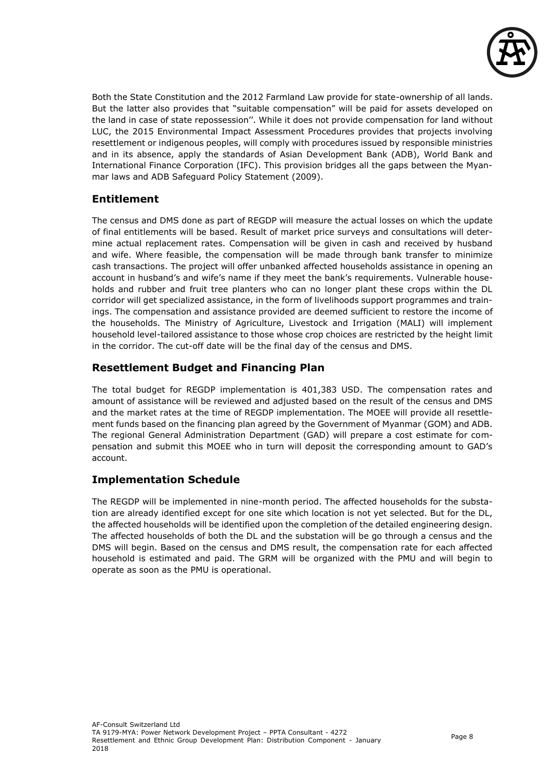

Both the State Constitution and the 2012 Farmland Law provide for state-ownership of all lands. But the latter also provides that "suitable compensation" will be paid for assets developed on the land in case of state repossession''. While it does not provide compensation for land without LUC, the 2015 Environmental Impact Assessment Procedures provides that projects involving resettlement or indigenous peoples, will comply with procedures issued by responsible ministries and in its absence, apply the standards of Asian Development Bank (ADB), World Bank and International Finance Corporation (IFC). This provision bridges all the gaps between the Myanmar laws and ADB Safeguard Policy Statement (2009).

#### **Entitlement**

The census and DMS done as part of REGDP will measure the actual losses on which the update of final entitlements will be based. Result of market price surveys and consultations will determine actual replacement rates. Compensation will be given in cash and received by husband and wife. Where feasible, the compensation will be made through bank transfer to minimize cash transactions. The project will offer unbanked affected households assistance in opening an account in husband's and wife's name if they meet the bank's requirements. Vulnerable households and rubber and fruit tree planters who can no longer plant these crops within the DL corridor will get specialized assistance, in the form of livelihoods support programmes and trainings. The compensation and assistance provided are deemed sufficient to restore the income of the households. The Ministry of Agriculture, Livestock and Irrigation (MALI) will implement household level-tailored assistance to those whose crop choices are restricted by the height limit in the corridor. The cut-off date will be the final day of the census and DMS.

#### **Resettlement Budget and Financing Plan**

The total budget for REGDP implementation is 401,383 USD. The compensation rates and amount of assistance will be reviewed and adjusted based on the result of the census and DMS and the market rates at the time of REGDP implementation. The MOEE will provide all resettlement funds based on the financing plan agreed by the Government of Myanmar (GOM) and ADB. The regional General Administration Department (GAD) will prepare a cost estimate for compensation and submit this MOEE who in turn will deposit the corresponding amount to GAD's account.

#### **Implementation Schedule**

The REGDP will be implemented in nine-month period. The affected households for the substation are already identified except for one site which location is not yet selected. But for the DL, the affected households will be identified upon the completion of the detailed engineering design. The affected households of both the DL and the substation will be go through a census and the DMS will begin. Based on the census and DMS result, the compensation rate for each affected household is estimated and paid. The GRM will be organized with the PMU and will begin to operate as soon as the PMU is operational.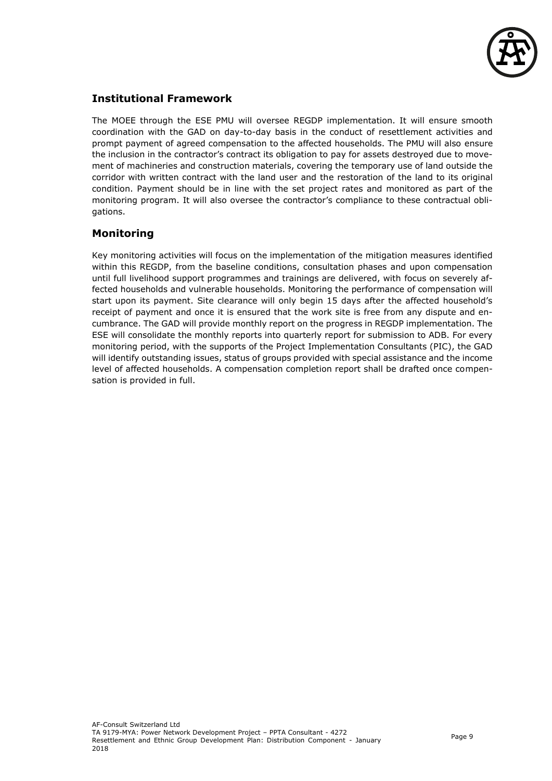

#### **Institutional Framework**

The MOEE through the ESE PMU will oversee REGDP implementation. It will ensure smooth coordination with the GAD on day-to-day basis in the conduct of resettlement activities and prompt payment of agreed compensation to the affected households. The PMU will also ensure the inclusion in the contractor's contract its obligation to pay for assets destroyed due to movement of machineries and construction materials, covering the temporary use of land outside the corridor with written contract with the land user and the restoration of the land to its original condition. Payment should be in line with the set project rates and monitored as part of the monitoring program. It will also oversee the contractor's compliance to these contractual obligations.

#### **Monitoring**

Key monitoring activities will focus on the implementation of the mitigation measures identified within this REGDP, from the baseline conditions, consultation phases and upon compensation until full livelihood support programmes and trainings are delivered, with focus on severely affected households and vulnerable households. Monitoring the performance of compensation will start upon its payment. Site clearance will only begin 15 days after the affected household's receipt of payment and once it is ensured that the work site is free from any dispute and encumbrance. The GAD will provide monthly report on the progress in REGDP implementation. The ESE will consolidate the monthly reports into quarterly report for submission to ADB. For every monitoring period, with the supports of the Project Implementation Consultants (PIC), the GAD will identify outstanding issues, status of groups provided with special assistance and the income level of affected households. A compensation completion report shall be drafted once compensation is provided in full.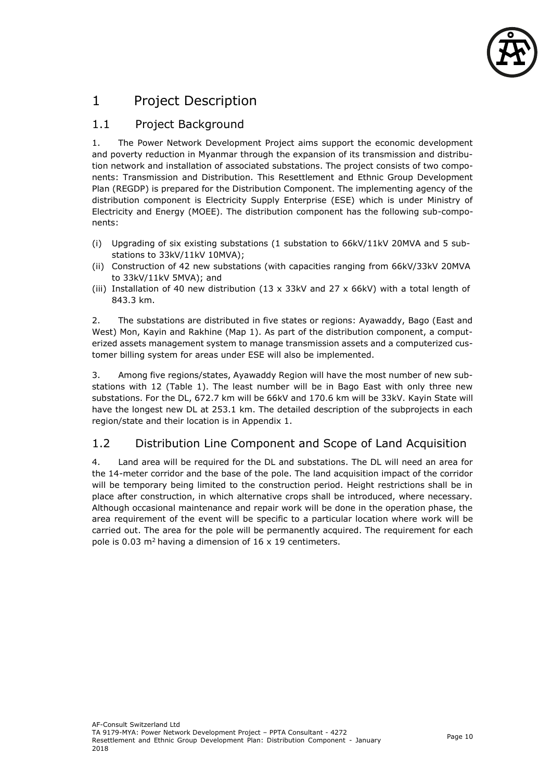

## <span id="page-10-0"></span>1 Project Description

## <span id="page-10-1"></span>1.1 Project Background

1. The Power Network Development Project aims support the economic development and poverty reduction in Myanmar through the expansion of its transmission and distribution network and installation of associated substations. The project consists of two components: Transmission and Distribution. This Resettlement and Ethnic Group Development Plan (REGDP) is prepared for the Distribution Component. The implementing agency of the distribution component is Electricity Supply Enterprise (ESE) which is under Ministry of Electricity and Energy (MOEE). The distribution component has the following sub-components:

- (i) Upgrading of six existing substations (1 substation to 66kV/11kV 20MVA and 5 substations to 33kV/11kV 10MVA);
- (ii) Construction of 42 new substations (with capacities ranging from 66kV/33kV 20MVA to 33kV/11kV 5MVA); and
- (iii) Installation of 40 new distribution (13 x 33kV and 27 x 66kV) with a total length of 843.3 km.

2. The substations are distributed in five states or regions: Ayawaddy, Bago (East and West) Mon, Kayin and Rakhine (Map 1). As part of the distribution component, a computerized assets management system to manage transmission assets and a computerized customer billing system for areas under ESE will also be implemented.

3. Among five regions/states, Ayawaddy Region will have the most number of new substations with 12 (Table 1). The least number will be in Bago East with only three new substations. For the DL, 672.7 km will be 66kV and 170.6 km will be 33kV. Kayin State will have the longest new DL at 253.1 km. The detailed description of the subprojects in each region/state and their location is in Appendix 1.

## <span id="page-10-2"></span>1.2 Distribution Line Component and Scope of Land Acquisition

4. Land area will be required for the DL and substations. The DL will need an area for the 14-meter corridor and the base of the pole. The land acquisition impact of the corridor will be temporary being limited to the construction period. Height restrictions shall be in place after construction, in which alternative crops shall be introduced, where necessary. Although occasional maintenance and repair work will be done in the operation phase, the area requirement of the event will be specific to a particular location where work will be carried out. The area for the pole will be permanently acquired. The requirement for each pole is 0.03  $m^2$  having a dimension of 16 x 19 centimeters.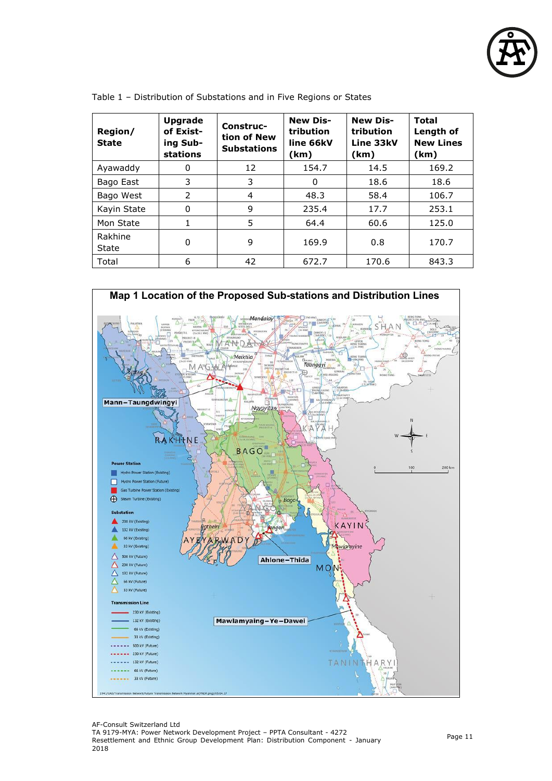

| Region/<br><b>State</b> | <b>Upgrade</b><br>of Exist-<br>ing Sub-<br><b>stations</b> | Construc-<br>tion of New<br><b>Substations</b> | <b>New Dis-</b><br>tribution<br>line 66kV<br>(km) | <b>New Dis-</b><br>tribution<br>Line 33kV<br>(km) | <b>Total</b><br>Length of<br><b>New Lines</b><br>(km) |
|-------------------------|------------------------------------------------------------|------------------------------------------------|---------------------------------------------------|---------------------------------------------------|-------------------------------------------------------|
| Ayawaddy                | 0                                                          | 12                                             | 154.7                                             | 14.5                                              | 169.2                                                 |
| Bago East               | 3                                                          | 3                                              | 0                                                 | 18.6                                              | 18.6                                                  |
| Bago West               | $\mathcal{P}$                                              | 4                                              | 48.3                                              | 58.4                                              | 106.7                                                 |
| Kayin State             | 0                                                          | 9                                              | 235.4                                             | 17.7                                              | 253.1                                                 |
| Mon State               | 1                                                          | 5                                              | 64.4                                              | 60.6                                              | 125.0                                                 |
| Rakhine<br>State        | 0                                                          | 9                                              | 169.9                                             | 0.8                                               | 170.7                                                 |
| Total                   | 6                                                          | 42                                             | 672.7                                             | 170.6                                             | 843.3                                                 |

Table 1 – Distribution of Substations and in Five Regions or States

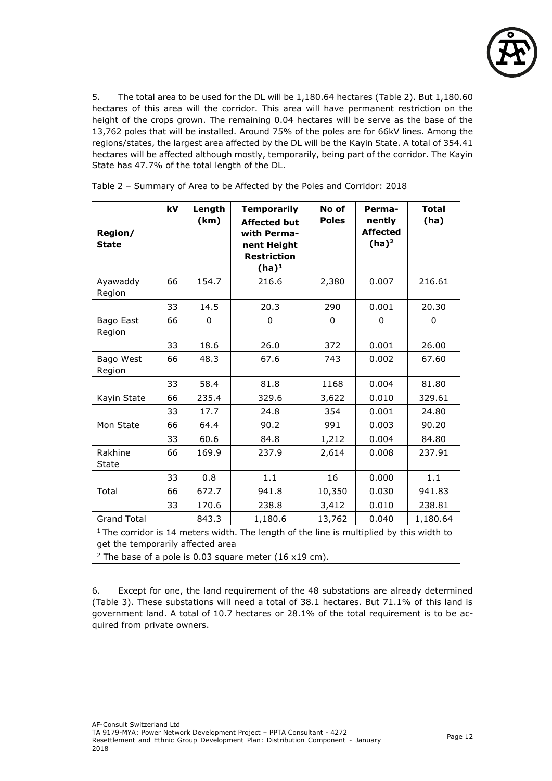

5. The total area to be used for the DL will be 1,180.64 hectares (Table 2). But 1,180.60 hectares of this area will the corridor. This area will have permanent restriction on the height of the crops grown. The remaining 0.04 hectares will be serve as the base of the 13,762 poles that will be installed. Around 75% of the poles are for 66kV lines. Among the regions/states, the largest area affected by the DL will be the Kayin State. A total of 354.41 hectares will be affected although mostly, temporarily, being part of the corridor. The Kayin State has 47.7% of the total length of the DL.

| Region/<br><b>State</b>                                                                                                                                                                              | kV | Length<br>(km) | <b>Temporarily</b><br><b>Affected but</b><br>with Perma-<br>nent Height<br><b>Restriction</b><br>$(ha)^1$ | No of<br><b>Poles</b> | Perma-<br>nently<br><b>Affected</b><br>$(ha)^2$ | <b>Total</b><br>(ha) |  |
|------------------------------------------------------------------------------------------------------------------------------------------------------------------------------------------------------|----|----------------|-----------------------------------------------------------------------------------------------------------|-----------------------|-------------------------------------------------|----------------------|--|
| Ayawaddy<br>Region                                                                                                                                                                                   | 66 | 154.7          | 216.6                                                                                                     | 2,380                 | 0.007                                           | 216.61               |  |
|                                                                                                                                                                                                      | 33 | 14.5           | 20.3                                                                                                      | 290                   | 0.001                                           | 20.30                |  |
| Bago East<br>Region                                                                                                                                                                                  | 66 | $\Omega$       | $\mathbf 0$                                                                                               | $\Omega$              | $\Omega$                                        | $\mathbf 0$          |  |
|                                                                                                                                                                                                      | 33 | 18.6           | 26.0                                                                                                      | 372                   | 0.001                                           | 26.00                |  |
| Bago West<br>Region                                                                                                                                                                                  | 66 | 48.3           | 67.6                                                                                                      | 743                   | 0.002                                           | 67.60                |  |
|                                                                                                                                                                                                      | 33 | 58.4           | 81.8                                                                                                      | 1168                  | 0.004                                           | 81.80                |  |
| Kayin State                                                                                                                                                                                          | 66 | 235.4          | 329.6                                                                                                     | 3,622                 | 0.010                                           | 329.61               |  |
|                                                                                                                                                                                                      | 33 | 17.7           | 24.8                                                                                                      | 354                   | 0.001                                           | 24.80                |  |
| Mon State                                                                                                                                                                                            | 66 | 64.4           | 90.2                                                                                                      | 991                   | 0.003                                           | 90.20                |  |
|                                                                                                                                                                                                      | 33 | 60.6           | 84.8                                                                                                      | 1,212                 | 0.004                                           | 84.80                |  |
| Rakhine<br><b>State</b>                                                                                                                                                                              | 66 | 169.9          | 237.9                                                                                                     | 2,614                 | 0.008                                           | 237.91               |  |
|                                                                                                                                                                                                      | 33 | 0.8            | 1.1                                                                                                       | 16                    | 0.000                                           | 1.1                  |  |
| Total                                                                                                                                                                                                | 66 | 672.7          | 941.8                                                                                                     | 10,350                | 0.030                                           | 941.83               |  |
|                                                                                                                                                                                                      | 33 | 170.6          | 238.8                                                                                                     | 3,412                 | 0.010                                           | 238.81               |  |
| <b>Grand Total</b>                                                                                                                                                                                   |    | 843.3          | 1,180.6                                                                                                   | 13,762                | 0.040                                           | 1,180.64             |  |
| <sup>1</sup> The corridor is 14 meters width. The length of the line is multiplied by this width to<br>get the temporarily affected area<br>$2$ The base of a pole is 0.03 square meter (16 x19 cm). |    |                |                                                                                                           |                       |                                                 |                      |  |

Table 2 – Summary of Area to be Affected by the Poles and Corridor: 2018

6. Except for one, the land requirement of the 48 substations are already determined (Table 3). These substations will need a total of 38.1 hectares. But 71.1% of this land is government land. A total of 10.7 hectares or 28.1% of the total requirement is to be acquired from private owners.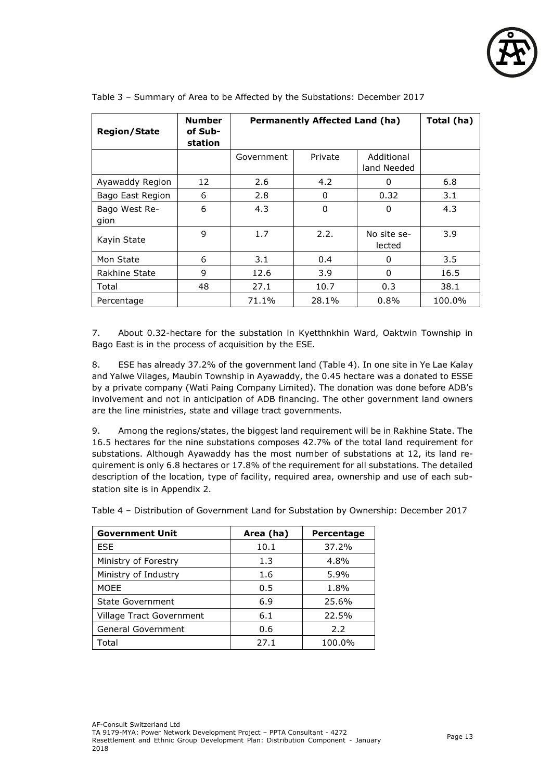

| <b>Region/State</b>   | <b>Number</b><br>of Sub-<br>station | <b>Permanently Affected Land (ha)</b> | Total (ha) |                           |               |
|-----------------------|-------------------------------------|---------------------------------------|------------|---------------------------|---------------|
|                       |                                     | Government                            | Private    | Additional<br>land Needed |               |
| Ayawaddy Region       | 12                                  | 2.6                                   | 4.2        | 0                         | 6.8           |
| Bago East Region      | 6                                   | 2.8                                   | 0          | 0.32                      | 3.1           |
| Bago West Re-<br>gion | 6                                   | 4.3                                   | 0          | 0                         | 4.3           |
| Kayin State           | 9                                   | 1.7                                   | 2.2.       | No site se-<br>lected     | 3.9           |
| Mon State             | 6                                   | 3.1                                   | 0.4        | 0                         | $3.5^{\circ}$ |
| Rakhine State         | 9                                   | 12.6                                  | 3.9        | 0                         | 16.5          |
| Total                 | 48                                  | 27.1                                  | 10.7       | 0.3                       | 38.1          |
| Percentage            |                                     | 71.1%                                 | 28.1%      | 0.8%                      | 100.0%        |

Table 3 – Summary of Area to be Affected by the Substations: December 2017

7. About 0.32-hectare for the substation in Kyetthnkhin Ward, Oaktwin Township in Bago East is in the process of acquisition by the ESE.

8. ESE has already 37.2% of the government land (Table 4). In one site in Ye Lae Kalay and Yalwe Vilages, Maubin Township in Ayawaddy, the 0.45 hectare was a donated to ESSE by a private company (Wati Paing Company Limited). The donation was done before ADB's involvement and not in anticipation of ADB financing. The other government land owners are the line ministries, state and village tract governments.

9. Among the regions/states, the biggest land requirement will be in Rakhine State. The 16.5 hectares for the nine substations composes 42.7% of the total land requirement for substations. Although Ayawaddy has the most number of substations at 12, its land requirement is only 6.8 hectares or 17.8% of the requirement for all substations. The detailed description of the location, type of facility, required area, ownership and use of each substation site is in Appendix 2.

Table 4 – Distribution of Government Land for Substation by Ownership: December 2017

| <b>Government Unit</b>   | Area (ha) | Percentage |
|--------------------------|-----------|------------|
| <b>ESE</b>               | 10.1      | 37.2%      |
| Ministry of Forestry     | 1.3       | 4.8%       |
| Ministry of Industry     | 1.6       | 5.9%       |
| <b>MOEE</b>              | 0.5       | 1.8%       |
| <b>State Government</b>  | 6.9       | 25.6%      |
| Village Tract Government | 6.1       | 22.5%      |
| General Government       | 0.6       | 2.2        |
| Total                    | 27.1      | 100.0%     |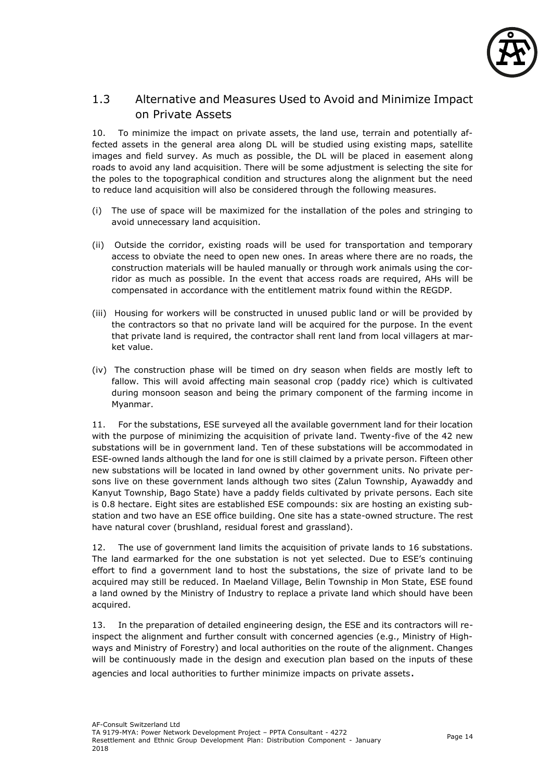

#### <span id="page-14-0"></span>1.3 Alternative and Measures Used to Avoid and Minimize Impact on Private Assets

10. To minimize the impact on private assets, the land use, terrain and potentially affected assets in the general area along DL will be studied using existing maps, satellite images and field survey. As much as possible, the DL will be placed in easement along roads to avoid any land acquisition. There will be some adjustment is selecting the site for the poles to the topographical condition and structures along the alignment but the need to reduce land acquisition will also be considered through the following measures.

- (i) The use of space will be maximized for the installation of the poles and stringing to avoid unnecessary land acquisition.
- (ii) Outside the corridor, existing roads will be used for transportation and temporary access to obviate the need to open new ones. In areas where there are no roads, the construction materials will be hauled manually or through work animals using the corridor as much as possible. In the event that access roads are required, AHs will be compensated in accordance with the entitlement matrix found within the REGDP.
- (iii) Housing for workers will be constructed in unused public land or will be provided by the contractors so that no private land will be acquired for the purpose. In the event that private land is required, the contractor shall rent land from local villagers at market value.
- (iv) The construction phase will be timed on dry season when fields are mostly left to fallow. This will avoid affecting main seasonal crop (paddy rice) which is cultivated during monsoon season and being the primary component of the farming income in Myanmar.

11. For the substations, ESE surveyed all the available government land for their location with the purpose of minimizing the acquisition of private land. Twenty-five of the 42 new substations will be in government land. Ten of these substations will be accommodated in ESE-owned lands although the land for one is still claimed by a private person. Fifteen other new substations will be located in land owned by other government units. No private persons live on these government lands although two sites (Zalun Township, Ayawaddy and Kanyut Township, Bago State) have a paddy fields cultivated by private persons. Each site is 0.8 hectare. Eight sites are established ESE compounds: six are hosting an existing substation and two have an ESE office building. One site has a state-owned structure. The rest have natural cover (brushland, residual forest and grassland).

12. The use of government land limits the acquisition of private lands to 16 substations. The land earmarked for the one substation is not yet selected. Due to ESE's continuing effort to find a government land to host the substations, the size of private land to be acquired may still be reduced. In Maeland Village, Belin Township in Mon State, ESE found a land owned by the Ministry of Industry to replace a private land which should have been acquired.

13. In the preparation of detailed engineering design, the ESE and its contractors will reinspect the alignment and further consult with concerned agencies (e.g., Ministry of Highways and Ministry of Forestry) and local authorities on the route of the alignment. Changes will be continuously made in the design and execution plan based on the inputs of these agencies and local authorities to further minimize impacts on private assets.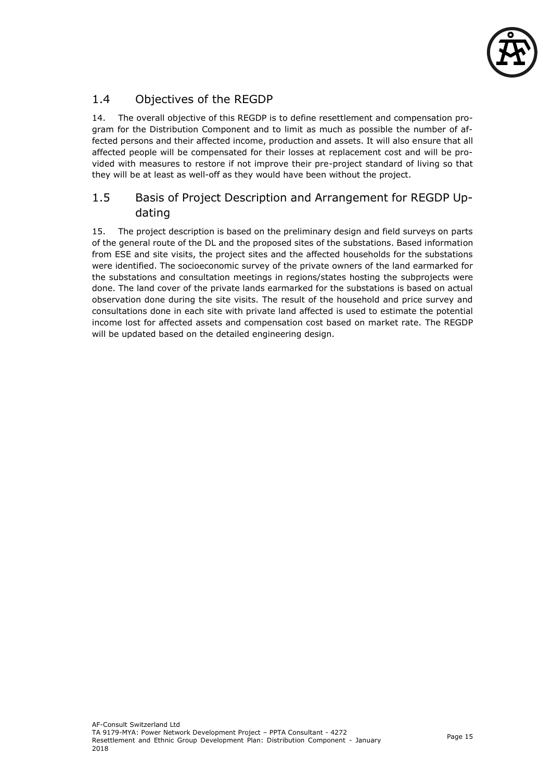

## <span id="page-15-0"></span>1.4 Objectives of the REGDP

14. The overall objective of this REGDP is to define resettlement and compensation program for the Distribution Component and to limit as much as possible the number of affected persons and their affected income, production and assets. It will also ensure that all affected people will be compensated for their losses at replacement cost and will be provided with measures to restore if not improve their pre-project standard of living so that they will be at least as well-off as they would have been without the project.

## <span id="page-15-1"></span>1.5 Basis of Project Description and Arrangement for REGDP Updating

15. The project description is based on the preliminary design and field surveys on parts of the general route of the DL and the proposed sites of the substations. Based information from ESE and site visits, the project sites and the affected households for the substations were identified. The socioeconomic survey of the private owners of the land earmarked for the substations and consultation meetings in regions/states hosting the subprojects were done. The land cover of the private lands earmarked for the substations is based on actual observation done during the site visits. The result of the household and price survey and consultations done in each site with private land affected is used to estimate the potential income lost for affected assets and compensation cost based on market rate. The REGDP will be updated based on the detailed engineering design.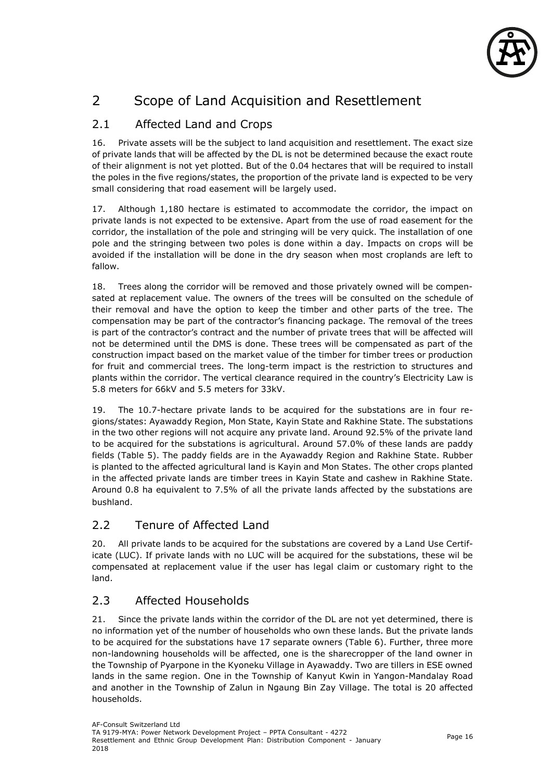

## <span id="page-16-0"></span>2 Scope of Land Acquisition and Resettlement

## <span id="page-16-1"></span>2.1 Affected Land and Crops

16. Private assets will be the subject to land acquisition and resettlement. The exact size of private lands that will be affected by the DL is not be determined because the exact route of their alignment is not yet plotted. But of the 0.04 hectares that will be required to install the poles in the five regions/states, the proportion of the private land is expected to be very small considering that road easement will be largely used.

17. Although 1,180 hectare is estimated to accommodate the corridor, the impact on private lands is not expected to be extensive. Apart from the use of road easement for the corridor, the installation of the pole and stringing will be very quick. The installation of one pole and the stringing between two poles is done within a day. Impacts on crops will be avoided if the installation will be done in the dry season when most croplands are left to fallow.

18. Trees along the corridor will be removed and those privately owned will be compensated at replacement value. The owners of the trees will be consulted on the schedule of their removal and have the option to keep the timber and other parts of the tree. The compensation may be part of the contractor's financing package. The removal of the trees is part of the contractor's contract and the number of private trees that will be affected will not be determined until the DMS is done. These trees will be compensated as part of the construction impact based on the market value of the timber for timber trees or production for fruit and commercial trees. The long-term impact is the restriction to structures and plants within the corridor. The vertical clearance required in the country's Electricity Law is 5.8 meters for 66kV and 5.5 meters for 33kV.

19. The 10.7-hectare private lands to be acquired for the substations are in four regions/states: Ayawaddy Region, Mon State, Kayin State and Rakhine State. The substations in the two other regions will not acquire any private land. Around 92.5% of the private land to be acquired for the substations is agricultural. Around 57.0% of these lands are paddy fields (Table 5). The paddy fields are in the Ayawaddy Region and Rakhine State. Rubber is planted to the affected agricultural land is Kayin and Mon States. The other crops planted in the affected private lands are timber trees in Kayin State and cashew in Rakhine State. Around 0.8 ha equivalent to 7.5% of all the private lands affected by the substations are bushland.

## <span id="page-16-2"></span>2.2 Tenure of Affected Land

20. All private lands to be acquired for the substations are covered by a Land Use Certificate (LUC). If private lands with no LUC will be acquired for the substations, these wil be compensated at replacement value if the user has legal claim or customary right to the land.

## <span id="page-16-3"></span>2.3 Affected Households

21. Since the private lands within the corridor of the DL are not yet determined, there is no information yet of the number of households who own these lands. But the private lands to be acquired for the substations have 17 separate owners (Table 6). Further, three more non-landowning households will be affected, one is the sharecropper of the land owner in the Township of Pyarpone in the Kyoneku Village in Ayawaddy. Two are tillers in ESE owned lands in the same region. One in the Township of Kanyut Kwin in Yangon-Mandalay Road and another in the Township of Zalun in Ngaung Bin Zay Village. The total is 20 affected households.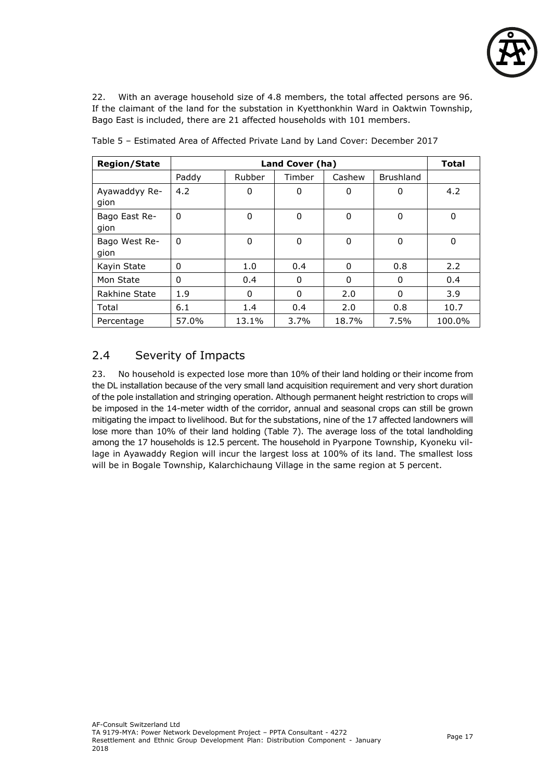

22. With an average household size of 4.8 members, the total affected persons are 96. If the claimant of the land for the substation in Kyetthonkhin Ward in Oaktwin Township, Bago East is included, there are 21 affected households with 101 members.

| <b>Region/State</b>   |          | <b>Total</b> |        |        |                  |        |
|-----------------------|----------|--------------|--------|--------|------------------|--------|
|                       | Paddy    | Rubber       | Timber | Cashew | <b>Brushland</b> |        |
| Ayawaddyy Re-<br>gion | 4.2      | 0            | 0      | 0      | 0                | 4.2    |
| Bago East Re-<br>gion | $\Omega$ | 0            | 0      | 0      | 0                | 0      |
| Bago West Re-<br>gion | $\Omega$ | 0            | 0      | 0      | $\mathbf{0}$     | 0      |
| Kayin State           | $\Omega$ | 1.0          | 0.4    | 0      | 0.8              | 2.2    |
| Mon State             | $\Omega$ | 0.4          | 0      | 0      | 0                | 0.4    |
| Rakhine State         | 1.9      | 0            | 0      | 2.0    | 0                | 3.9    |
| Total                 | 6.1      | 1.4          | 0.4    | 2.0    | 0.8              | 10.7   |
| Percentage            | 57.0%    | 13.1%        | 3.7%   | 18.7%  | 7.5%             | 100.0% |

Table 5 – Estimated Area of Affected Private Land by Land Cover: December 2017

## <span id="page-17-0"></span>2.4 Severity of Impacts

23. No household is expected lose more than 10% of their land holding or their income from the DL installation because of the very small land acquisition requirement and very short duration of the pole installation and stringing operation. Although permanent height restriction to crops will be imposed in the 14-meter width of the corridor, annual and seasonal crops can still be grown mitigating the impact to livelihood. But for the substations, nine of the 17 affected landowners will lose more than 10% of their land holding (Table 7). The average loss of the total landholding among the 17 households is 12.5 percent. The household in Pyarpone Township, Kyoneku village in Ayawaddy Region will incur the largest loss at 100% of its land. The smallest loss will be in Bogale Township, Kalarchichaung Village in the same region at 5 percent.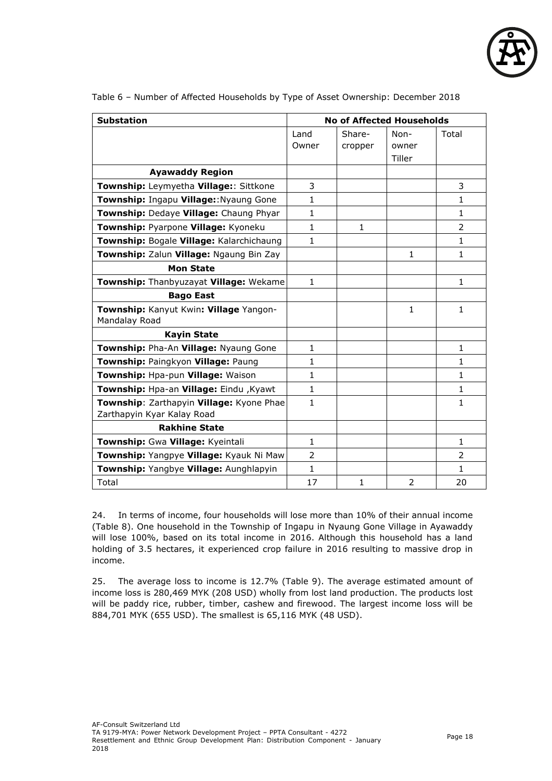

| <b>Substation</b>                                                      |                |                   | <b>No of Affected Households</b> |                          |
|------------------------------------------------------------------------|----------------|-------------------|----------------------------------|--------------------------|
|                                                                        | Land<br>Owner  | Share-<br>cropper | Non-<br>owner<br>Tiller          | Total                    |
| <b>Ayawaddy Region</b>                                                 |                |                   |                                  |                          |
| Township: Leymyetha Village:: Sittkone                                 | 3              |                   |                                  | 3                        |
| Township: Ingapu Village:: Nyaung Gone                                 | $\mathbf{1}$   |                   |                                  | 1                        |
| Township: Dedaye Village: Chaung Phyar                                 | 1              |                   |                                  | 1                        |
| Township: Pyarpone Village: Kyoneku                                    | $\mathbf{1}$   | $\mathbf{1}$      |                                  | $\overline{\phantom{a}}$ |
| Township: Bogale Village: Kalarchichaung                               | 1              |                   |                                  | 1                        |
| Township: Zalun Village: Ngaung Bin Zay                                |                |                   | 1                                | 1                        |
| <b>Mon State</b>                                                       |                |                   |                                  |                          |
| Township: Thanbyuzayat Village: Wekame                                 | $\mathbf{1}$   |                   |                                  | $\mathbf{1}$             |
| <b>Bago East</b>                                                       |                |                   |                                  |                          |
| Township: Kanyut Kwin: Village Yangon-<br>Mandalay Road                |                |                   | $\mathbf{1}$                     | 1                        |
| <b>Kayin State</b>                                                     |                |                   |                                  |                          |
| Township: Pha-An Village: Nyaung Gone                                  | $\mathbf{1}$   |                   |                                  | $\mathbf{1}$             |
| Township: Paingkyon Village: Paung                                     | 1              |                   |                                  | 1                        |
| Township: Hpa-pun Village: Waison                                      | $\mathbf{1}$   |                   |                                  | 1                        |
| Township: Hpa-an Village: Eindu , Kyawt                                | 1              |                   |                                  | 1                        |
| Township: Zarthapyin Village: Kyone Phae<br>Zarthapyin Kyar Kalay Road | $\mathbf{1}$   |                   |                                  | 1                        |
| <b>Rakhine State</b>                                                   |                |                   |                                  |                          |
| Township: Gwa Village: Kyeintali                                       | $\mathbf{1}$   |                   |                                  | 1                        |
| Township: Yangpye Village: Kyauk Ni Maw                                | $\overline{2}$ |                   |                                  | $\overline{2}$           |
| Township: Yangbye Village: Aunghlapyin                                 | $\mathbf{1}$   |                   |                                  | $\mathbf{1}$             |
| Total                                                                  | 17             | 1                 | 2                                | 20                       |

Table 6 – Number of Affected Households by Type of Asset Ownership: December 2018

24. In terms of income, four households will lose more than 10% of their annual income (Table 8). One household in the Township of Ingapu in Nyaung Gone Village in Ayawaddy will lose 100%, based on its total income in 2016. Although this household has a land holding of 3.5 hectares, it experienced crop failure in 2016 resulting to massive drop in income.

25. The average loss to income is 12.7% (Table 9). The average estimated amount of income loss is 280,469 MYK (208 USD) wholly from lost land production. The products lost will be paddy rice, rubber, timber, cashew and firewood. The largest income loss will be 884,701 MYK (655 USD). The smallest is 65,116 MYK (48 USD).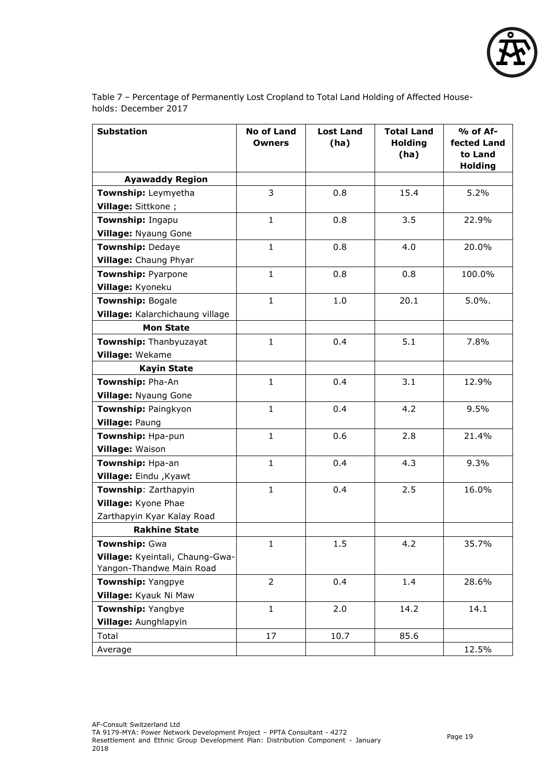

Table 7 – Percentage of Permanently Lost Cropland to Total Land Holding of Affected Households: December 2017

| <b>Substation</b>                                           | <b>No of Land</b><br><b>Owners</b> | <b>Lost Land</b><br>(ha) | <b>Total Land</b><br><b>Holding</b><br>(ha) | % of Af-<br>fected Land<br>to Land<br><b>Holding</b> |
|-------------------------------------------------------------|------------------------------------|--------------------------|---------------------------------------------|------------------------------------------------------|
| <b>Ayawaddy Region</b>                                      |                                    |                          |                                             |                                                      |
| Township: Leymyetha                                         | 3                                  | 0.8                      | 15.4                                        | 5.2%                                                 |
| Village: Sittkone ;                                         |                                    |                          |                                             |                                                      |
| Township: Ingapu                                            | $\mathbf{1}$                       | 0.8                      | 3.5                                         | 22.9%                                                |
| <b>Village: Nyaung Gone</b>                                 |                                    |                          |                                             |                                                      |
| Township: Dedaye                                            | $\mathbf{1}$                       | 0.8                      | 4.0                                         | 20.0%                                                |
| Village: Chaung Phyar                                       |                                    |                          |                                             |                                                      |
| <b>Township: Pyarpone</b>                                   | $\mathbf{1}$                       | 0.8                      | 0.8                                         | 100.0%                                               |
| Village: Kyoneku                                            |                                    |                          |                                             |                                                      |
| <b>Township: Bogale</b>                                     | $\mathbf{1}$                       | 1.0                      | 20.1                                        | 5.0%.                                                |
| Village: Kalarchichaung village                             |                                    |                          |                                             |                                                      |
| <b>Mon State</b>                                            |                                    |                          |                                             |                                                      |
| Township: Thanbyuzayat                                      | $\mathbf{1}$                       | 0.4                      | 5.1                                         | 7.8%                                                 |
| Village: Wekame                                             |                                    |                          |                                             |                                                      |
| <b>Kayin State</b>                                          |                                    |                          |                                             |                                                      |
| Township: Pha-An                                            | $\mathbf{1}$                       | 0.4                      | 3.1                                         | 12.9%                                                |
| Village: Nyaung Gone                                        |                                    |                          |                                             |                                                      |
| Township: Paingkyon                                         | $\mathbf{1}$                       | 0.4                      | 4.2                                         | 9.5%                                                 |
| Village: Paung                                              |                                    |                          |                                             |                                                      |
| Township: Hpa-pun                                           | $\mathbf{1}$                       | 0.6                      | 2.8                                         | 21.4%                                                |
| Village: Waison                                             |                                    |                          |                                             |                                                      |
| Township: Hpa-an                                            | $\mathbf{1}$                       | 0.4                      | 4.3                                         | 9.3%                                                 |
| Village: Eindu , Kyawt                                      |                                    |                          |                                             |                                                      |
| Township: Zarthapyin                                        | $\mathbf{1}$                       | 0.4                      | 2.5                                         | 16.0%                                                |
| Village: Kyone Phae                                         |                                    |                          |                                             |                                                      |
| Zarthapyin Kyar Kalay Road                                  |                                    |                          |                                             |                                                      |
| <b>Rakhine State</b>                                        |                                    |                          |                                             |                                                      |
| Township: Gwa                                               | $\mathbf{1}$                       | 1.5                      | 4.2                                         | 35.7%                                                |
| Village: Kyeintali, Chaung-Gwa-<br>Yangon-Thandwe Main Road |                                    |                          |                                             |                                                      |
| Township: Yangpye                                           | $\overline{2}$                     | 0.4                      | 1.4                                         | 28.6%                                                |
| Village: Kyauk Ni Maw                                       |                                    |                          |                                             |                                                      |
| Township: Yangbye                                           | $\mathbf{1}$                       | 2.0                      | 14.2                                        | 14.1                                                 |
| Village: Aunghlapyin                                        |                                    |                          |                                             |                                                      |
| Total                                                       | 17                                 | 10.7                     | 85.6                                        |                                                      |
| Average                                                     |                                    |                          |                                             | 12.5%                                                |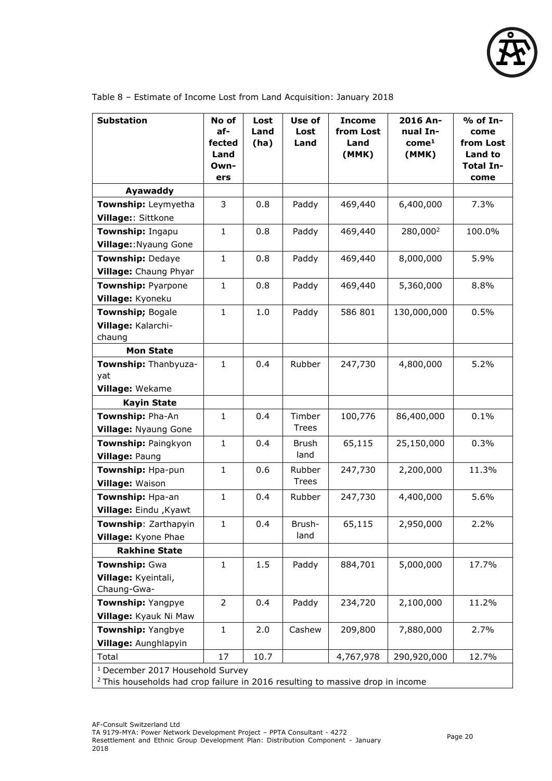

| <b>Substation</b>                           | No of<br>af-<br>fected<br>Land | Lost<br>Land<br>(ha) | Use of<br>Lost<br>Land | <b>Income</b><br>from Lost<br>Land<br>(MMK) | 2016 An-<br>nual In-<br>com <sup>1</sup><br>(MMK) | % of In-<br>come<br>from Lost<br>Land to |
|---------------------------------------------|--------------------------------|----------------------|------------------------|---------------------------------------------|---------------------------------------------------|------------------------------------------|
|                                             | Own-<br>ers                    |                      |                        |                                             |                                                   | <b>Total In-</b><br>come                 |
| Ayawaddy                                    |                                |                      |                        |                                             |                                                   |                                          |
| Township: Leymyetha                         | 3                              | 0.8                  | Paddy                  | 469,440                                     | 6,400,000                                         | 7.3%                                     |
| Village:: Sittkone                          |                                |                      |                        |                                             |                                                   |                                          |
| Township: Ingapu                            | $\mathbf{1}$                   | 0.8                  | Paddy                  | 469,440                                     | 280,000 <sup>2</sup>                              | 100.0%                                   |
| Village:: Nyaung Gone                       |                                |                      |                        |                                             |                                                   |                                          |
| <b>Township: Dedaye</b>                     | $\mathbf 1$                    | 0.8                  | Paddy                  | 469,440                                     | 8,000,000                                         | 5.9%                                     |
| Village: Chaung Phyar                       |                                |                      |                        |                                             |                                                   |                                          |
| Township: Pyarpone                          | $\mathbf{1}$                   | 0.8                  | Paddy                  | 469,440                                     | 5,360,000                                         | 8.8%                                     |
| Village: Kyoneku                            |                                |                      |                        |                                             |                                                   |                                          |
| Township; Bogale                            | $\mathbf{1}$                   | 1.0                  | Paddy                  | 586 801                                     | 130,000,000                                       | 0.5%                                     |
| Village: Kalarchi-                          |                                |                      |                        |                                             |                                                   |                                          |
| chaung                                      |                                |                      |                        |                                             |                                                   |                                          |
| <b>Mon State</b>                            |                                |                      |                        |                                             |                                                   |                                          |
| Township: Thanbyuza-                        | $\mathbf 1$                    | 0.4                  | Rubber                 | 247,730                                     | 4,800,000                                         | 5.2%                                     |
| yat                                         |                                |                      |                        |                                             |                                                   |                                          |
| Village: Wekame                             |                                |                      |                        |                                             |                                                   |                                          |
| <b>Kayin State</b><br>Township: Pha-An      | $\mathbf{1}$                   | 0.4                  |                        |                                             |                                                   | 0.1%                                     |
| <b>Village: Nyaung Gone</b>                 |                                |                      | Timber<br><b>Trees</b> | 100,776                                     | 86,400,000                                        |                                          |
|                                             | $\mathbf{1}$                   | 0.4                  | <b>Brush</b>           | 65,115                                      | 25,150,000                                        | 0.3%                                     |
| Township: Paingkyon<br>Village: Paung       |                                |                      | land                   |                                             |                                                   |                                          |
| Township: Hpa-pun                           | $\mathbf 1$                    | 0.6                  | Rubber                 | 247,730                                     | 2,200,000                                         | 11.3%                                    |
| <b>Village: Waison</b>                      |                                |                      | <b>Trees</b>           |                                             |                                                   |                                          |
| Township: Hpa-an                            | $\mathbf{1}$                   | 0.4                  | Rubber                 | 247,730                                     | 4,400,000                                         | 5.6%                                     |
| Village: Eindu , Kyawt                      |                                |                      |                        |                                             |                                                   |                                          |
| Township: Zarthapyin                        | $\mathbf{1}$                   | 0.4                  | Brush-                 | 65,115                                      | 2,950,000                                         | 2.2%                                     |
| Village: Kyone Phae                         |                                |                      | land                   |                                             |                                                   |                                          |
| <b>Rakhine State</b>                        |                                |                      |                        |                                             |                                                   |                                          |
| Township: Gwa                               | $\mathbf{1}$                   | 1.5                  | Paddy                  | 884,701                                     | 5,000,000                                         | 17.7%                                    |
| Village: Kyeintali,                         |                                |                      |                        |                                             |                                                   |                                          |
| Chaung-Gwa-                                 |                                |                      |                        |                                             |                                                   |                                          |
| Township: Yangpye                           | $\overline{2}$                 | 0.4                  | Paddy                  | 234,720                                     | 2,100,000                                         | 11.2%                                    |
| Village: Kyauk Ni Maw                       |                                |                      |                        |                                             |                                                   |                                          |
| Township: Yangbye                           | $\mathbf{1}$                   | 2.0                  | Cashew                 | 209,800                                     | 7,880,000                                         | 2.7%                                     |
| Village: Aunghlapyin                        |                                |                      |                        |                                             |                                                   |                                          |
| Total                                       | 17                             | 10.7                 |                        | 4,767,978                                   | 290,920,000                                       | 12.7%                                    |
| <sup>1</sup> December 2017 Household Survey |                                |                      |                        |                                             |                                                   |                                          |

Table 8 – Estimate of Income Lost from Land Acquisition: January 2018

 $2$  This households had crop failure in 2016 resulting to massive drop in income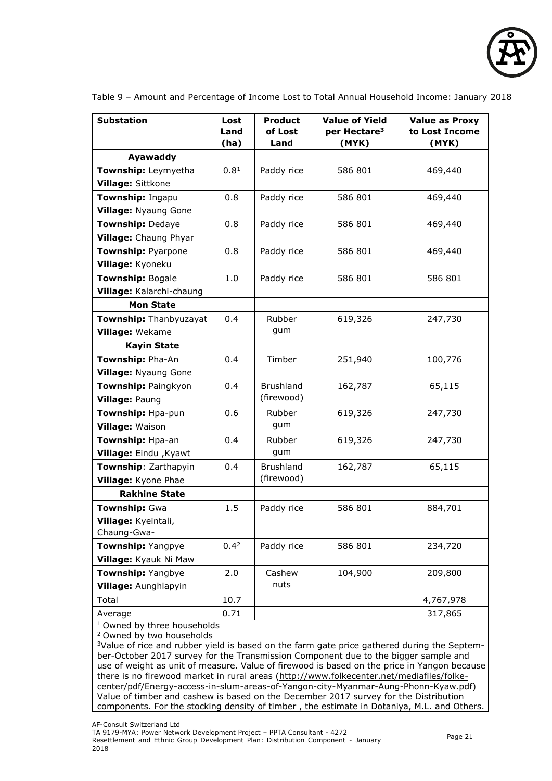

| <b>Substation</b>           | Lost<br>Land<br>(ha) | <b>Product</b><br>of Lost<br>Land | <b>Value of Yield</b><br>per Hectare <sup>3</sup><br>(MYK) | <b>Value as Proxy</b><br>to Lost Income<br>(MYK) |
|-----------------------------|----------------------|-----------------------------------|------------------------------------------------------------|--------------------------------------------------|
| Ayawaddy                    |                      |                                   |                                                            |                                                  |
| Township: Leymyetha         | 0.8 <sup>1</sup>     | Paddy rice                        | 586 801                                                    | 469,440                                          |
| Village: Sittkone           |                      |                                   |                                                            |                                                  |
| Township: Ingapu            | 0.8                  | Paddy rice                        | 586 801                                                    | 469,440                                          |
| <b>Village: Nyaung Gone</b> |                      |                                   |                                                            |                                                  |
| <b>Township: Dedaye</b>     | 0.8                  | Paddy rice                        | 586 801                                                    | 469,440                                          |
| Village: Chaung Phyar       |                      |                                   |                                                            |                                                  |
| <b>Township: Pyarpone</b>   | 0.8                  | Paddy rice                        | 586 801                                                    | 469,440                                          |
| Village: Kyoneku            |                      |                                   |                                                            |                                                  |
| <b>Township: Bogale</b>     | 1.0                  | Paddy rice                        | 586 801                                                    | 586 801                                          |
| Village: Kalarchi-chaung    |                      |                                   |                                                            |                                                  |
| <b>Mon State</b>            |                      |                                   |                                                            |                                                  |
| Township: Thanbyuzayat      | 0.4                  | Rubber                            | 619,326                                                    | 247,730                                          |
| Village: Wekame             |                      | gum                               |                                                            |                                                  |
| <b>Kayin State</b>          |                      |                                   |                                                            |                                                  |
| Township: Pha-An            | 0.4                  | Timber                            | 251,940                                                    | 100,776                                          |
| <b>Village: Nyaung Gone</b> |                      |                                   |                                                            |                                                  |
| Township: Paingkyon         | 0.4                  | <b>Brushland</b>                  | 162,787                                                    | 65,115                                           |
| Village: Paung              |                      | (firewood)                        |                                                            |                                                  |
| Township: Hpa-pun           | 0.6                  | Rubber                            | 619,326                                                    | 247,730                                          |
| Village: Waison             |                      | gum                               |                                                            |                                                  |
| Township: Hpa-an            | 0.4                  | Rubber                            | 619,326                                                    | 247,730                                          |
| Village: Eindu , Kyawt      |                      | gum                               |                                                            |                                                  |
| Township: Zarthapyin        | 0.4                  | <b>Brushland</b>                  | 162,787                                                    | 65,115                                           |
| Village: Kyone Phae         |                      | (firewood)                        |                                                            |                                                  |
| <b>Rakhine State</b>        |                      |                                   |                                                            |                                                  |
| Township: Gwa               | 1.5                  | Paddy rice                        | 586 801                                                    | 884,701                                          |
| Village: Kyeintali,         |                      |                                   |                                                            |                                                  |
| Chaung-Gwa-                 |                      |                                   |                                                            |                                                  |
| Township: Yangpye           | 0.4 <sup>2</sup>     | Paddy rice                        | 586 801                                                    | 234,720                                          |
| Village: Kyauk Ni Maw       |                      |                                   |                                                            |                                                  |
| Township: Yangbye           | 2.0                  | Cashew                            | 104,900                                                    | 209,800                                          |
| Village: Aunghlapyin        |                      | nuts                              |                                                            |                                                  |
| Total                       | 10.7                 |                                   |                                                            | 4,767,978                                        |
| Average                     | 0.71                 |                                   |                                                            | 317,865                                          |

Table 9 – Amount and Percentage of Income Lost to Total Annual Household Income: January 2018

<sup>1</sup> Owned by three households

<sup>2</sup> Owned by two households

<sup>3</sup>Value of rice and rubber yield is based on the farm gate price gathered during the September-October 2017 survey for the Transmission Component due to the bigger sample and use of weight as unit of measure. Value of firewood is based on the price in Yangon because there is no firewood market in rural areas [\(http://www.folkecenter.net/mediafiles/folke](http://www.folkecenter.net/mediafiles/folkecenter/pdf/Energy-access-in-slum-areas-of-Yangon-city-Myanmar-Aung-Phonn-Kyaw.pdf)[center/pdf/Energy-access-in-slum-areas-of-Yangon-city-Myanmar-Aung-Phonn-Kyaw.pdf\)](http://www.folkecenter.net/mediafiles/folkecenter/pdf/Energy-access-in-slum-areas-of-Yangon-city-Myanmar-Aung-Phonn-Kyaw.pdf) Value of timber and cashew is based on the December 2017 survey for the Distribution components. For the stocking density of timber , the estimate in Dotaniya, M.L. and Others.

Resettlement and Ethnic Group Development Plan: Distribution Component - January 2018

AF-Consult Switzerland Ltd

TA 9179-MYA: Power Network Development Project – PPTA Consultant - 4272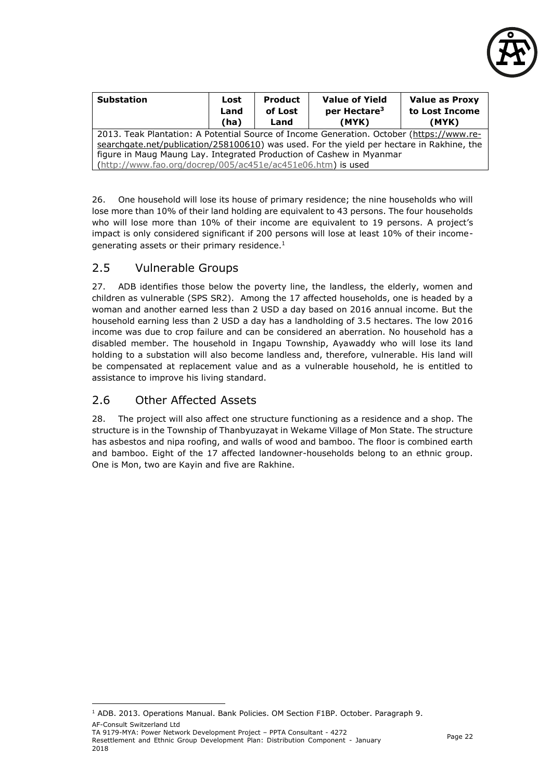

| <b>Substation</b>                                                                         | Lost<br>Land<br>(ha) | <b>Product</b><br>of Lost<br>Land | <b>Value of Yield</b><br>per Hectare <sup>3</sup><br>(MYK) | <b>Value as Proxy</b><br>to Lost Income<br>(MYK) |  |  |  |
|-------------------------------------------------------------------------------------------|----------------------|-----------------------------------|------------------------------------------------------------|--------------------------------------------------|--|--|--|
| 2013. Teak Plantation: A Potential Source of Income Generation. October (https://www.re-  |                      |                                   |                                                            |                                                  |  |  |  |
| searchgate.net/publication/258100610) was used. For the yield per hectare in Rakhine, the |                      |                                   |                                                            |                                                  |  |  |  |
| figure in Maug Maung Lay. Integrated Production of Cashew in Myanmar                      |                      |                                   |                                                            |                                                  |  |  |  |
| $(http://www.fao.org/docrep/005/ac451e/ac451e06.htm)$ is used                             |                      |                                   |                                                            |                                                  |  |  |  |

26. One household will lose its house of primary residence; the nine households who will lose more than 10% of their land holding are equivalent to 43 persons. The four households who will lose more than 10% of their income are equivalent to 19 persons. A project's impact is only considered significant if 200 persons will lose at least 10% of their incomegenerating assets or their primary residence.<sup>1</sup>

#### <span id="page-22-0"></span>2.5 Vulnerable Groups

27. ADB identifies those below the poverty line, the landless, the elderly, women and children as vulnerable (SPS SR2). Among the 17 affected households, one is headed by a woman and another earned less than 2 USD a day based on 2016 annual income. But the household earning less than 2 USD a day has a landholding of 3.5 hectares. The low 2016 income was due to crop failure and can be considered an aberration. No household has a disabled member. The household in Ingapu Township, Ayawaddy who will lose its land holding to a substation will also become landless and, therefore, vulnerable. His land will be compensated at replacement value and as a vulnerable household, he is entitled to assistance to improve his living standard.

## <span id="page-22-1"></span>2.6 Other Affected Assets

28. The project will also affect one structure functioning as a residence and a shop. The structure is in the Township of Thanbyuzayat in Wekame Village of Mon State. The structure has asbestos and nipa roofing, and walls of wood and bamboo. The floor is combined earth and bamboo. Eight of the 17 affected landowner-households belong to an ethnic group. One is Mon, two are Kayin and five are Rakhine.

AF-Consult Switzerland Ltd

-

<sup>1</sup> ADB. 2013. Operations Manual. Bank Policies. OM Section F1BP. October. Paragraph 9.

TA 9179-MYA: Power Network Development Project – PPTA Consultant - 4272 Resettlement and Ethnic Group Development Plan: Distribution Component - January 2018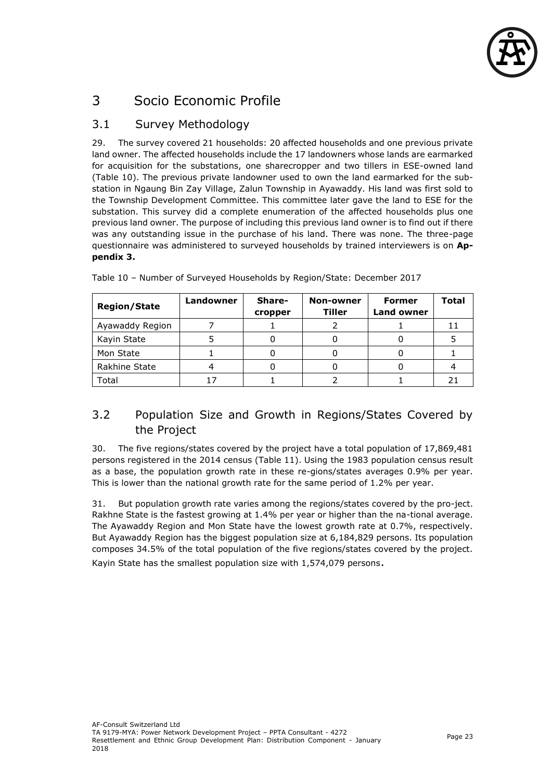

## <span id="page-23-0"></span>3 Socio Economic Profile

## <span id="page-23-1"></span>3.1 Survey Methodology

29. The survey covered 21 households: 20 affected households and one previous private land owner. The affected households include the 17 landowners whose lands are earmarked for acquisition for the substations, one sharecropper and two tillers in ESE-owned land (Table 10). The previous private landowner used to own the land earmarked for the substation in Ngaung Bin Zay Village, Zalun Township in Ayawaddy. His land was first sold to the Township Development Committee. This committee later gave the land to ESE for the substation. This survey did a complete enumeration of the affected households plus one previous land owner. The purpose of including this previous land owner is to find out if there was any outstanding issue in the purchase of his land. There was none. The three-page questionnaire was administered to surveyed households by trained interviewers is on **Appendix 3.**

| <b>Region/State</b> | Landowner | Share-<br>cropper | Non-owner<br><b>Tiller</b> | <b>Former</b><br><b>Land owner</b> | <b>Total</b> |
|---------------------|-----------|-------------------|----------------------------|------------------------------------|--------------|
| Ayawaddy Region     |           |                   |                            |                                    |              |
| Kayin State         |           |                   |                            |                                    |              |
| Mon State           |           |                   |                            |                                    |              |
| Rakhine State       |           |                   |                            |                                    |              |
| Total               |           |                   |                            |                                    |              |

Table 10 – Number of Surveyed Households by Region/State: December 2017

## <span id="page-23-2"></span>3.2 Population Size and Growth in Regions/States Covered by the Project

30. The five regions/states covered by the project have a total population of 17,869,481 persons registered in the 2014 census (Table 11). Using the 1983 population census result as a base, the population growth rate in these re-gions/states averages 0.9% per year. This is lower than the national growth rate for the same period of 1.2% per year.

31. But population growth rate varies among the regions/states covered by the pro-ject. Rakhne State is the fastest growing at 1.4% per year or higher than the na-tional average. The Ayawaddy Region and Mon State have the lowest growth rate at 0.7%, respectively. But Ayawaddy Region has the biggest population size at 6,184,829 persons. Its population composes 34.5% of the total population of the five regions/states covered by the project. Kayin State has the smallest population size with 1,574,079 persons.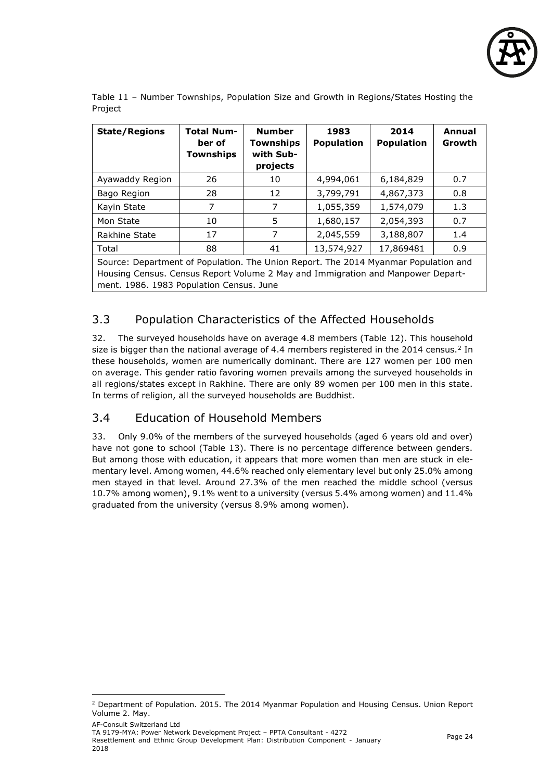

Table 11 – Number Townships, Population Size and Growth in Regions/States Hosting the Project

| <b>State/Regions</b>                                                                                                                                                                                               | <b>Total Num-</b><br>ber of<br><b>Townships</b> | <b>Number</b><br><b>Townships</b><br>with Sub-<br>projects | 1983<br><b>Population</b> | 2014<br><b>Population</b> | Annual<br>Growth |  |  |
|--------------------------------------------------------------------------------------------------------------------------------------------------------------------------------------------------------------------|-------------------------------------------------|------------------------------------------------------------|---------------------------|---------------------------|------------------|--|--|
| Ayawaddy Region                                                                                                                                                                                                    | 26                                              | 10                                                         | 4,994,061                 | 6,184,829                 | 0.7              |  |  |
| Bago Region                                                                                                                                                                                                        | 28                                              | 12                                                         | 3,799,791                 | 4,867,373                 | 0.8              |  |  |
| Kayin State                                                                                                                                                                                                        | 7                                               | 7                                                          | 1,055,359                 | 1,574,079                 | 1.3              |  |  |
| Mon State                                                                                                                                                                                                          | 10                                              | 5                                                          | 1,680,157                 | 2,054,393                 | 0.7              |  |  |
| Rakhine State                                                                                                                                                                                                      | 17                                              | 7                                                          | 2,045,559                 | 3,188,807                 | 1.4              |  |  |
| Total                                                                                                                                                                                                              | 88                                              | 41                                                         | 13,574,927                | 17,869481                 | 0.9              |  |  |
| Source: Department of Population. The Union Report. The 2014 Myanmar Population and<br>Housing Census. Census Report Volume 2 May and Immigration and Manpower Depart-<br>ment. 1986. 1983 Population Census. June |                                                 |                                                            |                           |                           |                  |  |  |

## <span id="page-24-0"></span>3.3 Population Characteristics of the Affected Households

32. The surveyed households have on average 4.8 members (Table 12). This household size is bigger than the national average of 4.4 members registered in the 2014 census.<sup>2</sup> In these households, women are numerically dominant. There are 127 women per 100 men on average. This gender ratio favoring women prevails among the surveyed households in all regions/states except in Rakhine. There are only 89 women per 100 men in this state. In terms of religion, all the surveyed households are Buddhist.

#### <span id="page-24-1"></span>3.4 Education of Household Members

33. Only 9.0% of the members of the surveyed households (aged 6 years old and over) have not gone to school (Table 13). There is no percentage difference between genders. But among those with education, it appears that more women than men are stuck in elementary level. Among women, 44.6% reached only elementary level but only 25.0% among men stayed in that level. Around 27.3% of the men reached the middle school (versus 10.7% among women), 9.1% went to a university (versus 5.4% among women) and 11.4% graduated from the university (versus 8.9% among women).

-

<sup>2</sup> Department of Population. 2015. The 2014 Myanmar Population and Housing Census. Union Report Volume 2. May.

AF-Consult Switzerland Ltd

TA 9179-MYA: Power Network Development Project – PPTA Consultant - 4272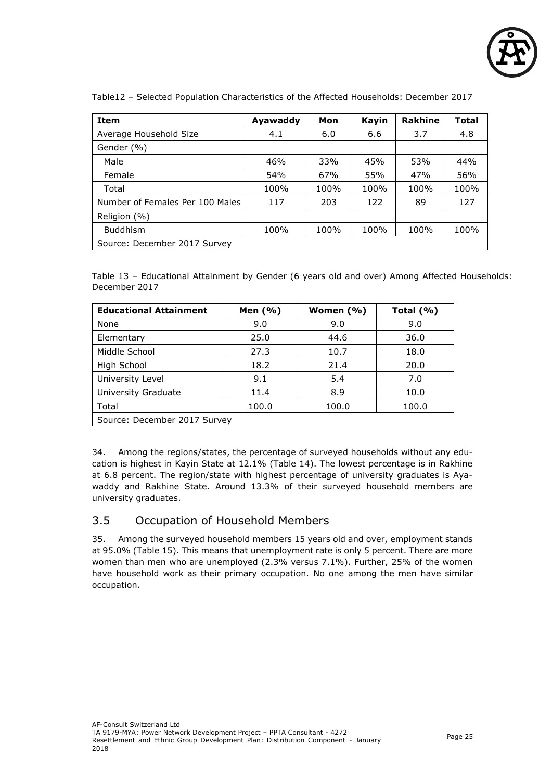

| <b>Item</b>                     | Ayawaddy | Mon  | Kayin | <b>Rakhine</b> | <b>Total</b> |
|---------------------------------|----------|------|-------|----------------|--------------|
| Average Household Size          | 4.1      | 6.0  | 6.6   | 3.7            | 4.8          |
| Gender (%)                      |          |      |       |                |              |
| Male                            | 46%      | 33%  | 45%   | 53%            | 44%          |
| Female                          | 54%      | 67%  | 55%   | 47%            | 56%          |
| Total                           | 100%     | 100% | 100%  | 100%           | 100%         |
| Number of Females Per 100 Males | 117      | 203  | 122   | 89             | 127          |
| Religion (%)                    |          |      |       |                |              |
| <b>Buddhism</b>                 | 100%     | 100% | 100%  | 100%           | 100%         |
| Source: December 2017 Survey    |          |      |       |                |              |

Table12 – Selected Population Characteristics of the Affected Households: December 2017

Table 13 – Educational Attainment by Gender (6 years old and over) Among Affected Households: December 2017

| <b>Educational Attainment</b> | Men (%) | Women (%) | Total $(% )$ |  |  |  |
|-------------------------------|---------|-----------|--------------|--|--|--|
| None                          | 9.0     | 9.0       | 9.0          |  |  |  |
| Elementary                    | 25.0    | 44.6      | 36.0         |  |  |  |
| Middle School                 | 27.3    | 10.7      | 18.0         |  |  |  |
| High School                   | 18.2    | 21.4      | 20.0         |  |  |  |
| University Level              | 9.1     | 5.4       | 7.0          |  |  |  |
| University Graduate           | 11.4    | 8.9       | 10.0         |  |  |  |
| Total                         | 100.0   | 100.0     | 100.0        |  |  |  |
| Source: December 2017 Survey  |         |           |              |  |  |  |

34. Among the regions/states, the percentage of surveyed households without any education is highest in Kayin State at 12.1% (Table 14). The lowest percentage is in Rakhine at 6.8 percent. The region/state with highest percentage of university graduates is Ayawaddy and Rakhine State. Around 13.3% of their surveyed household members are university graduates.

#### <span id="page-25-0"></span>3.5 Occupation of Household Members

35. Among the surveyed household members 15 years old and over, employment stands at 95.0% (Table 15). This means that unemployment rate is only 5 percent. There are more women than men who are unemployed (2.3% versus 7.1%). Further, 25% of the women have household work as their primary occupation. No one among the men have similar occupation.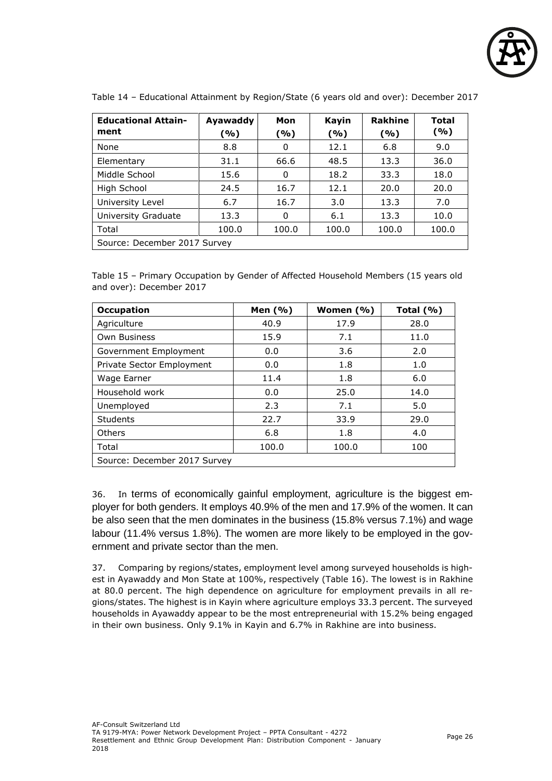

| <b>Educational Attain-</b><br>ment | Ayawaddy<br>(%) | Mon<br>( %) | <b>Kayin</b><br>(%) | <b>Rakhine</b><br>( %) | <b>Total</b><br>( %) |  |  |
|------------------------------------|-----------------|-------------|---------------------|------------------------|----------------------|--|--|
| None                               | 8.8             | 0           | 12.1                | 6.8                    | 9.0                  |  |  |
| Elementary                         | 31.1            | 66.6        | 48.5                | 13.3                   | 36.0                 |  |  |
| Middle School                      | 15.6            | 0           | 18.2                | 33.3                   | 18.0                 |  |  |
| High School                        | 24.5            | 16.7        | 12.1                | 20.0                   | 20.0                 |  |  |
| University Level                   | 6.7             | 16.7        | 3.0                 | 13.3                   | 7.0                  |  |  |
| University Graduate                | 13.3            | 0           | 6.1                 | 13.3                   | 10.0                 |  |  |
| Total                              | 100.0           | 100.0       | 100.0               | 100.0                  | 100.0                |  |  |
| Source: December 2017 Survey       |                 |             |                     |                        |                      |  |  |

Table 14 – Educational Attainment by Region/State (6 years old and over): December 2017

Table 15 – Primary Occupation by Gender of Affected Household Members (15 years old and over): December 2017

| <b>Occupation</b>            | Men (%) | Women $(\% )$ | Total $(% )$ |  |  |  |  |
|------------------------------|---------|---------------|--------------|--|--|--|--|
| Agriculture                  | 40.9    | 17.9          | 28.0         |  |  |  |  |
| <b>Own Business</b>          | 15.9    | 7.1           | 11.0         |  |  |  |  |
| Government Employment        | 0.0     | 3.6           | 2.0          |  |  |  |  |
| Private Sector Employment    | 0.0     | 1.8           | 1.0          |  |  |  |  |
| Wage Earner                  | 11.4    | 1.8           | 6.0          |  |  |  |  |
| Household work               | 0.0     | 25.0          | 14.0         |  |  |  |  |
| Unemployed                   | 2.3     | 7.1           | 5.0          |  |  |  |  |
| Students                     | 22.7    | 33.9          | 29.0         |  |  |  |  |
| Others                       | 6.8     | 1.8           | 4.0          |  |  |  |  |
| Total                        | 100.0   | 100.0         | 100          |  |  |  |  |
| Source: December 2017 Survey |         |               |              |  |  |  |  |

36. In terms of economically gainful employment, agriculture is the biggest employer for both genders. It employs 40.9% of the men and 17.9% of the women. It can be also seen that the men dominates in the business (15.8% versus 7.1%) and wage labour (11.4% versus 1.8%). The women are more likely to be employed in the government and private sector than the men.

37. Comparing by regions/states, employment level among surveyed households is highest in Ayawaddy and Mon State at 100%, respectively (Table 16). The lowest is in Rakhine at 80.0 percent. The high dependence on agriculture for employment prevails in all regions/states. The highest is in Kayin where agriculture employs 33.3 percent. The surveyed households in Ayawaddy appear to be the most entrepreneurial with 15.2% being engaged in their own business. Only 9.1% in Kayin and 6.7% in Rakhine are into business.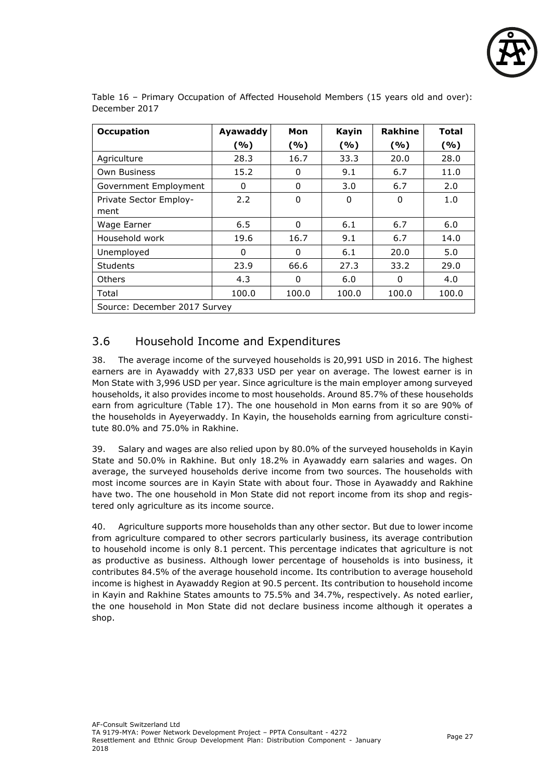

| <b>Occupation</b>            | Ayawaddy | Mon   | Kayin | <b>Rakhine</b> | <b>Total</b> |
|------------------------------|----------|-------|-------|----------------|--------------|
|                              | (%)      | (%)   | (%)   | (%)            | (%)          |
| Agriculture                  | 28.3     | 16.7  | 33.3  | 20.0           | 28.0         |
| <b>Own Business</b>          | 15.2     | 0     | 9.1   | 6.7            | 11.0         |
| Government Employment        | $\Omega$ | 0     | 3.0   | 6.7            | 2.0          |
| Private Sector Employ-       | 2.2      | 0     | 0     | 0              | 1.0          |
| ment                         |          |       |       |                |              |
| Wage Earner                  | 6.5      | 0     | 6.1   | 6.7            | 6.0          |
| Household work               | 19.6     | 16.7  | 9.1   | 6.7            | 14.0         |
| Unemployed                   | $\Omega$ | 0     | 6.1   | 20.0           | 5.0          |
| <b>Students</b>              | 23.9     | 66.6  | 27.3  | 33.2           | 29.0         |
| <b>Others</b>                | 4.3      | 0     | 6.0   | 0              | 4.0          |
| Total                        | 100.0    | 100.0 | 100.0 | 100.0          | 100.0        |
| Source: December 2017 Survey |          |       |       |                |              |

Table 16 – Primary Occupation of Affected Household Members (15 years old and over): December 2017

#### <span id="page-27-0"></span>3.6 Household Income and Expenditures

38. The average income of the surveyed households is 20,991 USD in 2016. The highest earners are in Ayawaddy with 27,833 USD per year on average. The lowest earner is in Mon State with 3,996 USD per year. Since agriculture is the main employer among surveyed households, it also provides income to most households. Around 85.7% of these households earn from agriculture (Table 17). The one household in Mon earns from it so are 90% of the households in Ayeyerwaddy. In Kayin, the households earning from agriculture constitute 80.0% and 75.0% in Rakhine.

39. Salary and wages are also relied upon by 80.0% of the surveyed households in Kayin State and 50.0% in Rakhine. But only 18.2% in Ayawaddy earn salaries and wages. On average, the surveyed households derive income from two sources. The households with most income sources are in Kayin State with about four. Those in Ayawaddy and Rakhine have two. The one household in Mon State did not report income from its shop and registered only agriculture as its income source.

40. Agriculture supports more households than any other sector. But due to lower income from agriculture compared to other secrors particularly business, its average contribution to household income is only 8.1 percent. This percentage indicates that agriculture is not as productive as business. Although lower percentage of households is into business, it contributes 84.5% of the average household income. Its contribution to average household income is highest in Ayawaddy Region at 90.5 percent. Its contribution to household income in Kayin and Rakhine States amounts to 75.5% and 34.7%, respectively. As noted earlier, the one household in Mon State did not declare business income although it operates a shop.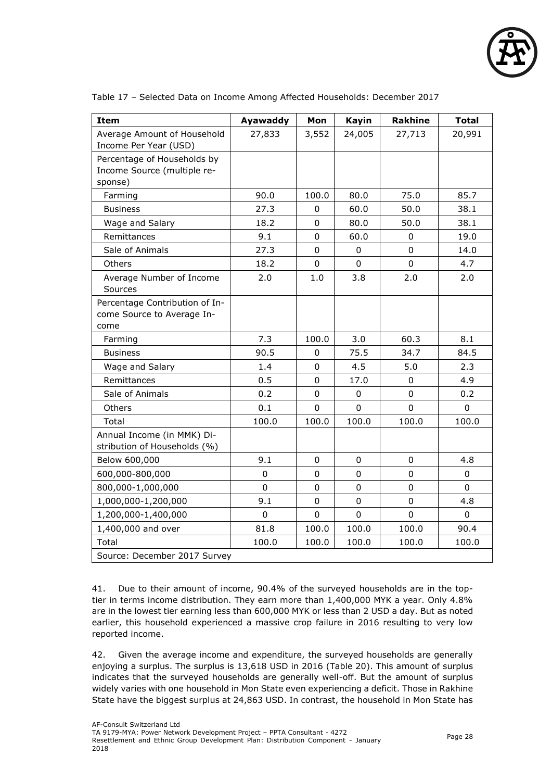

| <b>Item</b>                                                           | Ayawaddy       | Mon         | <b>Kayin</b>   | <b>Rakhine</b> | <b>Total</b> |
|-----------------------------------------------------------------------|----------------|-------------|----------------|----------------|--------------|
| Average Amount of Household<br>Income Per Year (USD)                  | 27,833         | 3,552       | 24,005         | 27,713         | 20,991       |
| Percentage of Households by<br>Income Source (multiple re-<br>sponse) |                |             |                |                |              |
| Farming                                                               | 90.0           | 100.0       | 80.0           | 75.0           | 85.7         |
| <b>Business</b>                                                       | 27.3           | 0           | 60.0           | 50.0           | 38.1         |
| Wage and Salary                                                       | 18.2           | 0           | 80.0           | 50.0           | 38.1         |
| Remittances                                                           | 9.1            | 0           | 60.0           | $\mathbf 0$    | 19.0         |
| Sale of Animals                                                       | 27.3           | 0           | $\Omega$       | $\overline{0}$ | 14.0         |
| Others                                                                | 18.2           | 0           | $\Omega$       | 0              | 4.7          |
| Average Number of Income<br>Sources                                   | 2.0            | 1.0         | 3.8            | 2.0            | 2.0          |
| Percentage Contribution of In-<br>come Source to Average In-<br>come  |                |             |                |                |              |
| Farming                                                               | 7.3            | 100.0       | 3.0            | 60.3           | 8.1          |
| <b>Business</b>                                                       | 90.5           | 0           | 75.5           | 34.7           | 84.5         |
| Wage and Salary                                                       | 1.4            | 0           | 4.5            | 5.0            | 2.3          |
| Remittances                                                           | 0.5            | 0           | 17.0           | $\mathbf 0$    | 4.9          |
| Sale of Animals                                                       | 0.2            | 0           | 0              | $\mathbf 0$    | 0.2          |
| Others                                                                | 0.1            | 0           | 0              | $\overline{0}$ | 0            |
| Total                                                                 | 100.0          | 100.0       | 100.0          | 100.0          | 100.0        |
| Annual Income (in MMK) Di-<br>stribution of Households (%)            |                |             |                |                |              |
| Below 600,000                                                         | 9.1            | 0           | 0              | $\mathbf 0$    | 4.8          |
| 600,000-800,000                                                       | 0              | 0           | 0              | $\mathbf 0$    | 0            |
| 800,000-1,000,000                                                     | 0              | $\pmb{0}$   | $\mathbf 0$    | $\mathbf 0$    | 0            |
| 1,000,000-1,200,000                                                   | 9.1            | 0           | $\mathbf 0$    | $\mathbf 0$    | 4.8          |
| 1,200,000-1,400,000                                                   | $\overline{0}$ | $\mathbf 0$ | $\overline{0}$ | $\overline{0}$ | $\mathbf 0$  |
| 1,400,000 and over                                                    | 81.8           | 100.0       | 100.0          | 100.0          | 90.4         |
| Total                                                                 | 100.0          | 100.0       | 100.0          | 100.0          | 100.0        |
| Source: December 2017 Survey                                          |                |             |                |                |              |

Table 17 – Selected Data on Income Among Affected Households: December 2017

41. Due to their amount of income, 90.4% of the surveyed households are in the toptier in terms income distribution. They earn more than 1,400,000 MYK a year. Only 4.8% are in the lowest tier earning less than 600,000 MYK or less than 2 USD a day. But as noted earlier, this household experienced a massive crop failure in 2016 resulting to very low reported income.

42. Given the average income and expenditure, the surveyed households are generally enjoying a surplus. The surplus is 13,618 USD in 2016 (Table 20). This amount of surplus indicates that the surveyed households are generally well-off. But the amount of surplus widely varies with one household in Mon State even experiencing a deficit. Those in Rakhine State have the biggest surplus at 24,863 USD. In contrast, the household in Mon State has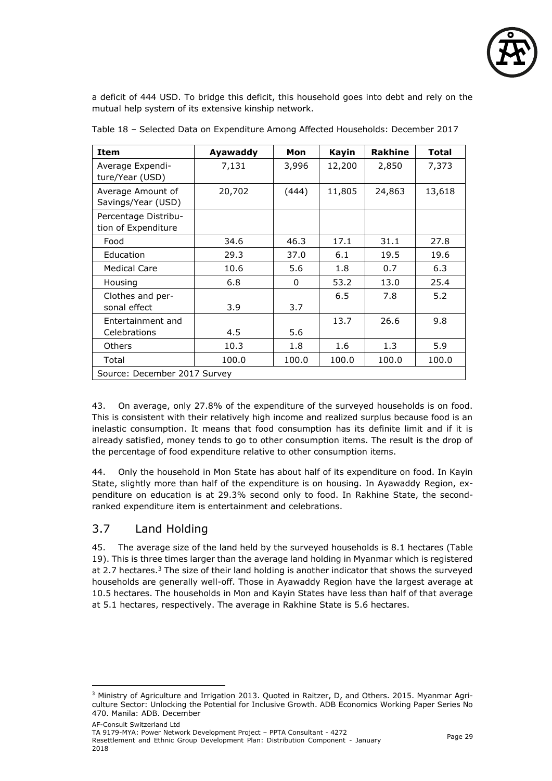

a deficit of 444 USD. To bridge this deficit, this household goes into debt and rely on the mutual help system of its extensive kinship network.

| <b>Item</b>                                 | Ayawaddy | Mon          | Kayin  | <b>Rakhine</b> | Total  |  |
|---------------------------------------------|----------|--------------|--------|----------------|--------|--|
| Average Expendi-<br>ture/Year (USD)         | 7,131    | 3,996        | 12,200 | 2,850          | 7,373  |  |
| Average Amount of<br>Savings/Year (USD)     | 20,702   | (444)        | 11,805 | 24,863         | 13,618 |  |
| Percentage Distribu-<br>tion of Expenditure |          |              |        |                |        |  |
| Food                                        | 34.6     | 46.3         | 17.1   | 31.1           | 27.8   |  |
| Education                                   | 29.3     | 37.0         | 6.1    | 19.5           | 19.6   |  |
| <b>Medical Care</b>                         | 10.6     | 5.6          | 1.8    | 0.7            | 6.3    |  |
| Housing                                     | 6.8      | $\mathbf{0}$ | 53.2   | 13.0           | 25.4   |  |
| Clothes and per-<br>sonal effect            | 3.9      | 3.7          | 6.5    | 7.8            | 5.2    |  |
| Entertainment and<br>Celebrations           | 4.5      | 5.6          | 13.7   | 26.6           | 9.8    |  |
| <b>Others</b>                               | 10.3     | 1.8          | 1.6    | 1.3            | 5.9    |  |
| Total                                       | 100.0    | 100.0        | 100.0  | 100.0          | 100.0  |  |
| Source: December 2017 Survey                |          |              |        |                |        |  |

Table 18 – Selected Data on Expenditure Among Affected Households: December 2017

43. On average, only 27.8% of the expenditure of the surveyed households is on food. This is consistent with their relatively high income and realized surplus because food is an inelastic consumption. It means that food consumption has its definite limit and if it is already satisfied, money tends to go to other consumption items. The result is the drop of the percentage of food expenditure relative to other consumption items.

44. Only the household in Mon State has about half of its expenditure on food. In Kayin State, slightly more than half of the expenditure is on housing. In Ayawaddy Region, expenditure on education is at 29.3% second only to food. In Rakhine State, the secondranked expenditure item is entertainment and celebrations.

#### <span id="page-29-0"></span>3.7 Land Holding

45. The average size of the land held by the surveyed households is 8.1 hectares (Table 19). This is three times larger than the average land holding in Myanmar which is registered at 2.7 hectares. $3$  The size of their land holding is another indicator that shows the surveyed households are generally well-off. Those in Ayawaddy Region have the largest average at 10.5 hectares. The households in Mon and Kayin States have less than half of that average at 5.1 hectares, respectively. The average in Rakhine State is 5.6 hectares.

<sup>-</sup><sup>3</sup> Ministry of Agriculture and Irrigation 2013. Quoted in Raitzer, D, and Others. 2015. Myanmar Agriculture Sector: Unlocking the Potential for Inclusive Growth. ADB Economics Working Paper Series No 470. Manila: ADB. December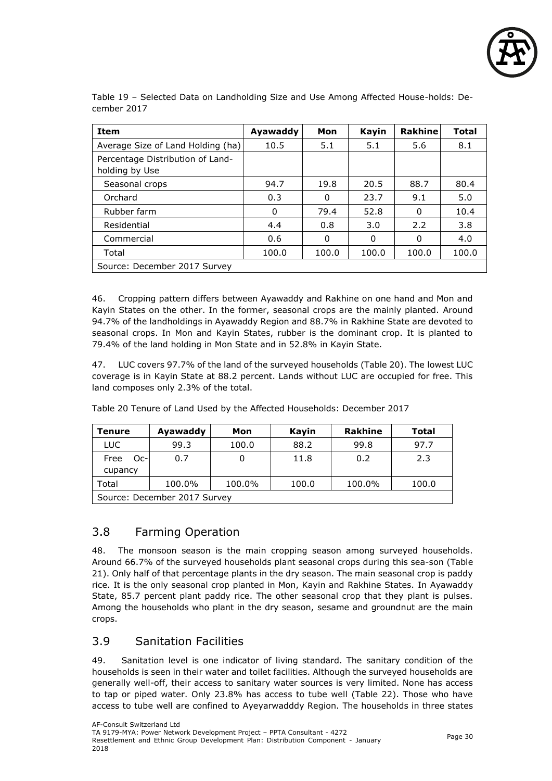

Table 19 – Selected Data on Landholding Size and Use Among Affected House-holds: December 2017

| <b>Item</b>                                        | Ayawaddy | Mon   | Kayin | <b>Rakhine</b> | <b>Total</b> |
|----------------------------------------------------|----------|-------|-------|----------------|--------------|
| Average Size of Land Holding (ha)                  | 10.5     | 5.1   | 5.1   | 5.6            | 8.1          |
| Percentage Distribution of Land-<br>holding by Use |          |       |       |                |              |
| Seasonal crops                                     | 94.7     | 19.8  | 20.5  | 88.7           | 80.4         |
| Orchard                                            | 0.3      | 0     | 23.7  | 9.1            | 5.0          |
| Rubber farm                                        | 0        | 79.4  | 52.8  | 0              | 10.4         |
| Residential                                        | 4.4      | 0.8   | 3.0   | 2.2            | 3.8          |
| Commercial                                         | 0.6      | 0     | 0     | 0              | 4.0          |
| Total                                              | 100.0    | 100.0 | 100.0 | 100.0          | 100.0        |
| Source: December 2017 Survey                       |          |       |       |                |              |

46. Cropping pattern differs between Ayawaddy and Rakhine on one hand and Mon and Kayin States on the other. In the former, seasonal crops are the mainly planted. Around 94.7% of the landholdings in Ayawaddy Region and 88.7% in Rakhine State are devoted to seasonal crops. In Mon and Kayin States, rubber is the dominant crop. It is planted to 79.4% of the land holding in Mon State and in 52.8% in Kayin State.

47. LUC covers 97.7% of the land of the surveyed households (Table 20). The lowest LUC coverage is in Kayin State at 88.2 percent. Lands without LUC are occupied for free. This land composes only 2.3% of the total.

| Tenure                       | Ayawaddy | Mon    | Kayin | <b>Rakhine</b> | Total |
|------------------------------|----------|--------|-------|----------------|-------|
| LUC.                         | 99.3     | 100.0  | 88.2  | 99.8           | 97.7  |
| Free<br>$Oc-1$<br>cupancy    | 0.7      | 0      | 11.8  | 0.2            | 2.3   |
| Total                        | 100.0%   | 100.0% | 100.0 | 100.0%         | 100.0 |
| Source: December 2017 Survey |          |        |       |                |       |

Table 20 Tenure of Land Used by the Affected Households: December 2017

#### <span id="page-30-0"></span>3.8 Farming Operation

48. The monsoon season is the main cropping season among surveyed households. Around 66.7% of the surveyed households plant seasonal crops during this sea-son (Table 21). Only half of that percentage plants in the dry season. The main seasonal crop is paddy rice. It is the only seasonal crop planted in Mon, Kayin and Rakhine States. In Ayawaddy State, 85.7 percent plant paddy rice. The other seasonal crop that they plant is pulses. Among the households who plant in the dry season, sesame and groundnut are the main crops.

## <span id="page-30-1"></span>3.9 Sanitation Facilities

49. Sanitation level is one indicator of living standard. The sanitary condition of the households is seen in their water and toilet facilities. Although the surveyed households are generally well-off, their access to sanitary water sources is very limited. None has access to tap or piped water. Only 23.8% has access to tube well (Table 22). Those who have access to tube well are confined to Ayeyarwadddy Region. The households in three states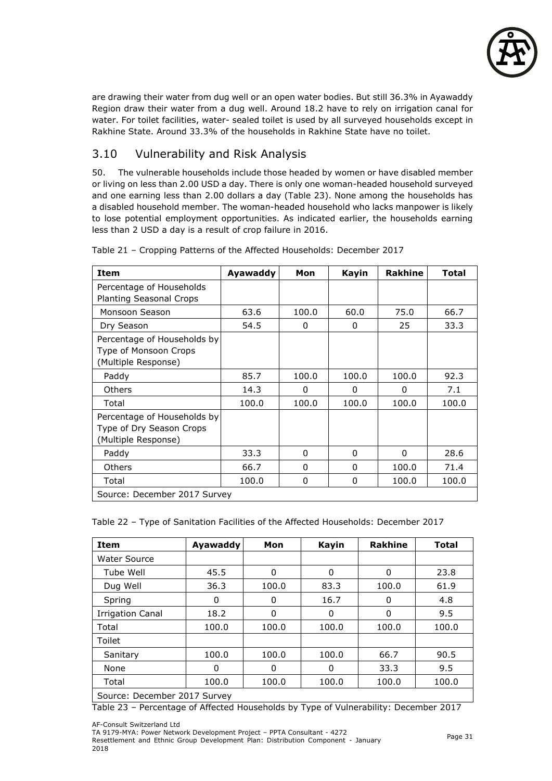

are drawing their water from dug well or an open water bodies. But still 36.3% in Ayawaddy Region draw their water from a dug well. Around 18.2 have to rely on irrigation canal for water. For toilet facilities, water- sealed toilet is used by all surveyed households except in Rakhine State. Around 33.3% of the households in Rakhine State have no toilet.

## <span id="page-31-0"></span>3.10 Vulnerability and Risk Analysis

50. The vulnerable households include those headed by women or have disabled member or living on less than 2.00 USD a day. There is only one woman-headed household surveyed and one earning less than 2.00 dollars a day (Table 23). None among the households has a disabled household member. The woman-headed household who lacks manpower is likely to lose potential employment opportunities. As indicated earlier, the households earning less than 2 USD a day is a result of crop failure in 2016.

| <b>Item</b>                                                                    | Ayawaddy | Mon      | Kayin | <b>Rakhine</b> | <b>Total</b> |
|--------------------------------------------------------------------------------|----------|----------|-------|----------------|--------------|
| Percentage of Households                                                       |          |          |       |                |              |
| <b>Planting Seasonal Crops</b>                                                 |          |          |       |                |              |
| Monsoon Season                                                                 | 63.6     | 100.0    | 60.0  | 75.0           | 66.7         |
| Dry Season                                                                     | 54.5     | 0        | 0     | 25             | 33.3         |
| Percentage of Households by<br>Type of Monsoon Crops<br>(Multiple Response)    |          |          |       |                |              |
| Paddy                                                                          | 85.7     | 100.0    | 100.0 | 100.0          | 92.3         |
| <b>Others</b>                                                                  | 14.3     | 0        | 0     | 0              | 7.1          |
| Total                                                                          | 100.0    | 100.0    | 100.0 | 100.0          | 100.0        |
| Percentage of Households by<br>Type of Dry Season Crops<br>(Multiple Response) |          |          |       |                |              |
| Paddy                                                                          | 33.3     | 0        | 0     | 0              | 28.6         |
| <b>Others</b>                                                                  | 66.7     | $\Omega$ | 0     | 100.0          | 71.4         |
| Total                                                                          | 100.0    | 0        | 0     | 100.0          | 100.0        |
| Source: December 2017 Survey                                                   |          |          |       |                |              |

Table 21 – Cropping Patterns of the Affected Households: December 2017

Table 22 – Type of Sanitation Facilities of the Affected Households: December 2017

| <b>Item</b>                  | Ayawaddy | Mon      | Kayin | <b>Rakhine</b> | <b>Total</b> |  |
|------------------------------|----------|----------|-------|----------------|--------------|--|
| <b>Water Source</b>          |          |          |       |                |              |  |
| Tube Well                    | 45.5     | $\Omega$ | 0     | 0              | 23.8         |  |
| Dug Well                     | 36.3     | 100.0    | 83.3  | 100.0          | 61.9         |  |
| Spring                       | 0        | 0        | 16.7  | 0              | 4.8          |  |
| <b>Irrigation Canal</b>      | 18.2     | 0        | 0     | $\mathbf 0$    | 9.5          |  |
| Total                        | 100.0    | 100.0    | 100.0 | 100.0          | 100.0        |  |
| Toilet                       |          |          |       |                |              |  |
| Sanitary                     | 100.0    | 100.0    | 100.0 | 66.7           | 90.5         |  |
| None                         | 0        | 0        | O     | 33.3           | 9.5          |  |
| Total                        | 100.0    | 100.0    | 100.0 | 100.0          | 100.0        |  |
| Source: December 2017 Survey |          |          |       |                |              |  |

Table 23 – Percentage of Affected Households by Type of Vulnerability: December 2017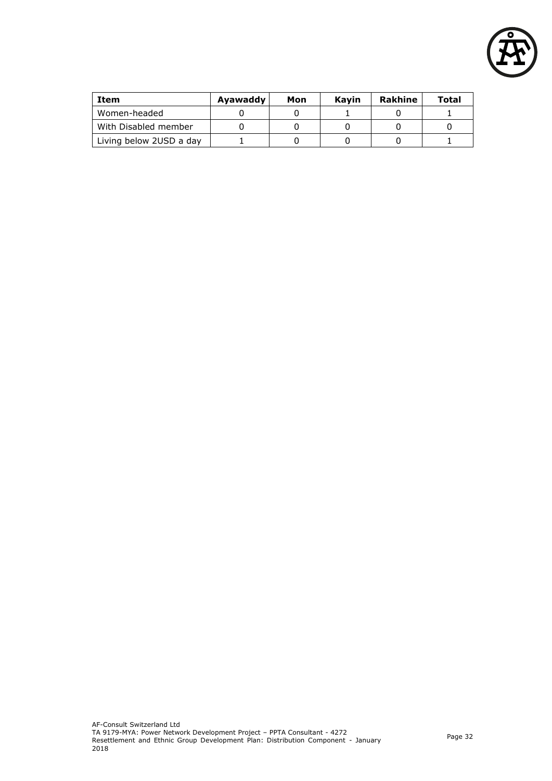

| <b>Item</b>             | Ayawaddy | Mon | Kavin | <b>Rakhine</b> | Total |
|-------------------------|----------|-----|-------|----------------|-------|
| Women-headed            |          |     |       |                |       |
| With Disabled member    |          |     |       |                |       |
| Living below 2USD a day |          |     |       |                |       |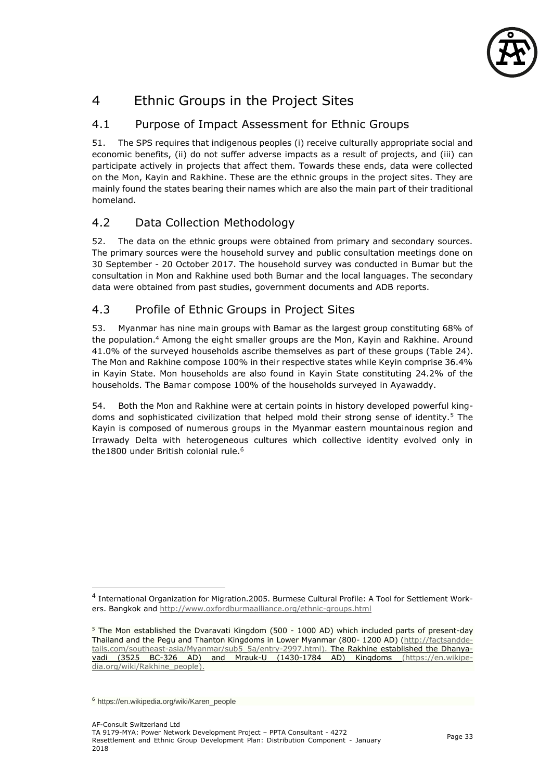

## <span id="page-33-0"></span>4 Ethnic Groups in the Project Sites

#### <span id="page-33-1"></span>4.1 Purpose of Impact Assessment for Ethnic Groups

51. The SPS requires that indigenous peoples (i) receive culturally appropriate social and economic benefits, (ii) do not suffer adverse impacts as a result of projects, and (iii) can participate actively in projects that affect them. Towards these ends, data were collected on the Mon, Kayin and Rakhine. These are the ethnic groups in the project sites. They are mainly found the states bearing their names which are also the main part of their traditional homeland.

## <span id="page-33-2"></span>4.2 Data Collection Methodology

52. The data on the ethnic groups were obtained from primary and secondary sources. The primary sources were the household survey and public consultation meetings done on 30 September - 20 October 2017. The household survey was conducted in Bumar but the consultation in Mon and Rakhine used both Bumar and the local languages. The secondary data were obtained from past studies, government documents and ADB reports.

#### <span id="page-33-3"></span>4.3 Profile of Ethnic Groups in Project Sites

53. Myanmar has nine main groups with Bamar as the largest group constituting 68% of the population.<sup>4</sup> Among the eight smaller groups are the Mon, Kayin and Rakhine. Around 41.0% of the surveyed households ascribe themselves as part of these groups (Table 24). The Mon and Rakhine compose 100% in their respective states while Keyin comprise 36.4% in Kayin State. Mon households are also found in Kayin State constituting 24.2% of the households. The Bamar compose 100% of the households surveyed in Ayawaddy.

54. Both the Mon and Rakhine were at certain points in history developed powerful kingdoms and sophisticated civilization that helped mold their strong sense of identity.<sup>5</sup> The Kayin is composed of numerous groups in the Myanmar eastern mountainous region and Irrawady Delta with heterogeneous cultures which collective identity evolved only in the1800 under British colonial rule.<sup>6</sup>

 $\overline{a}$ 

<sup>&</sup>lt;sup>4</sup> International Organization for Migration.2005. Burmese Cultural Profile: A Tool for Settlement Workers. Bangkok and<http://www.oxfordburmaalliance.org/ethnic-groups.html>

<sup>5</sup> The Mon established the Dvaravati Kingdom (500 - 1000 AD) which included parts of present-day Thailand and the Pegu and Thanton Kingdoms in Lower Myanmar (800- 1200 AD) [\(http://factsandde](http://factsanddetails.com/southeast-asia/Myanmar/sub5_5a/entry-2997.html)[tails.com/southeast-asia/Myanmar/sub5\\_5a/entry-2997.html\)](http://factsanddetails.com/southeast-asia/Myanmar/sub5_5a/entry-2997.html). The Rakhine established the Dhanyavadi (3525 BC-326 AD) and Mrauk-U (1430-1784 AD) Kingdoms [\(https://en.wikipe](https://en.wikipedia.org/wiki/Rakhine_people)[dia.org/wiki/Rakhine\\_people\)](https://en.wikipedia.org/wiki/Rakhine_people).

<sup>6</sup> https://en.wikipedia.org/wiki/Karen\_people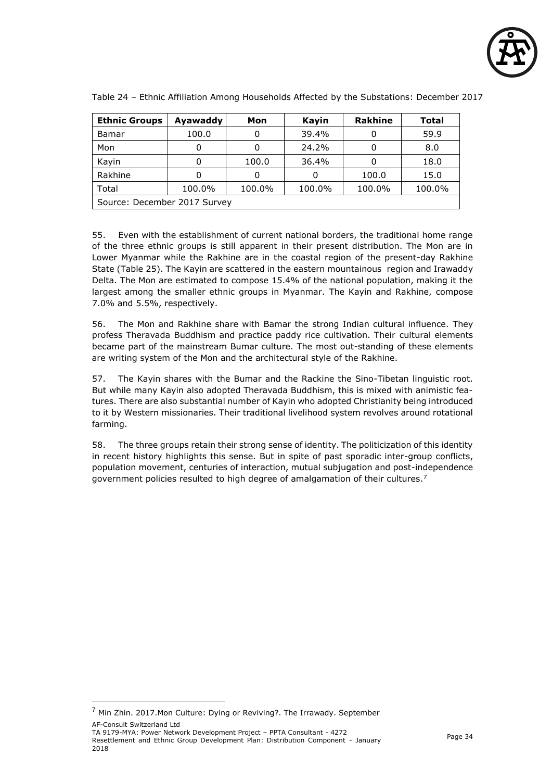

| <b>Ethnic Groups</b>         | Ayawaddy | Mon    | Kayin  | <b>Rakhine</b> | <b>Total</b> |
|------------------------------|----------|--------|--------|----------------|--------------|
| Bamar                        | 100.0    |        | 39.4%  |                | 59.9         |
| Mon                          |          |        | 24.2%  |                | 8.0          |
| Kayin                        |          | 100.0  | 36.4%  |                | 18.0         |
| Rakhine                      |          |        |        | 100.0          | 15.0         |
| Total                        | 100.0%   | 100.0% | 100.0% | 100.0%         | 100.0%       |
| Source: December 2017 Survey |          |        |        |                |              |

Table 24 – Ethnic Affiliation Among Households Affected by the Substations: December 2017

55. Even with the establishment of current national borders, the traditional home range of the three ethnic groups is still apparent in their present distribution. The Mon are in Lower Myanmar while the Rakhine are in the coastal region of the present-day Rakhine State (Table 25). The Kayin are scattered in the eastern mountainous region and Irawaddy Delta. The Mon are estimated to compose 15.4% of the national population, making it the largest among the smaller ethnic groups in Myanmar. The Kayin and Rakhine, compose 7.0% and 5.5%, respectively.

56. The Mon and Rakhine share with Bamar the strong Indian cultural influence. They profess Theravada Buddhism and practice paddy rice cultivation. Their cultural elements became part of the mainstream Bumar culture. The most out-standing of these elements are writing system of the Mon and the architectural style of the Rakhine.

57. The Kayin shares with the Bumar and the Rackine the Sino-Tibetan linguistic root. But while many Kayin also adopted Theravada Buddhism, this is mixed with animistic features. There are also substantial number of Kayin who adopted Christianity being introduced to it by Western missionaries. Their traditional livelihood system revolves around rotational farming.

58. The three groups retain their strong sense of identity. The politicization of this identity in recent history highlights this sense. But in spite of past sporadic inter-group conflicts, population movement, centuries of interaction, mutual subjugation and post-independence government policies resulted to high degree of amalgamation of their cultures.<sup>7</sup>

j

AF-Consult Switzerland Ltd <sup>7</sup> Min Zhin. 2017.Mon Culture: Dying or Reviving?. The Irrawady. September

TA 9179-MYA: Power Network Development Project – PPTA Consultant - 4272 Resettlement and Ethnic Group Development Plan: Distribution Component - January 2018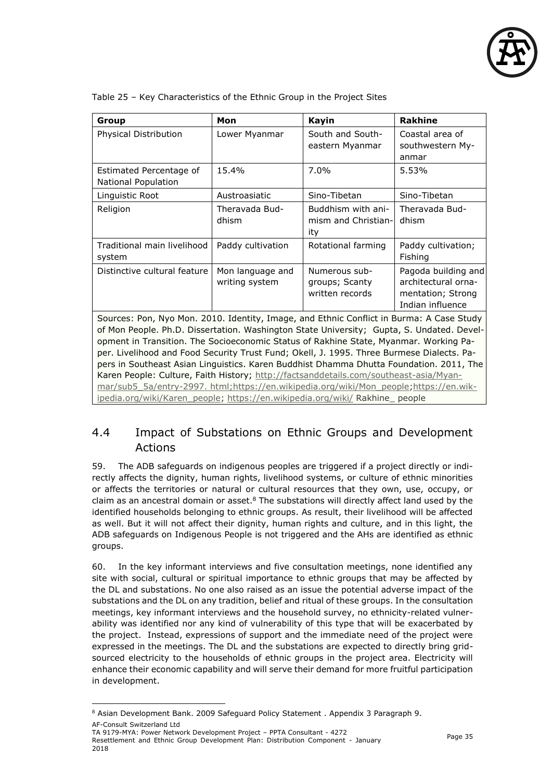

| Group                                                                                                                                                                                                                                                                                                                                                                                                                                                                  | Mon                                | <b>Kayin</b>                                       | <b>Rakhine</b>                                                                      |  |
|------------------------------------------------------------------------------------------------------------------------------------------------------------------------------------------------------------------------------------------------------------------------------------------------------------------------------------------------------------------------------------------------------------------------------------------------------------------------|------------------------------------|----------------------------------------------------|-------------------------------------------------------------------------------------|--|
| Physical Distribution                                                                                                                                                                                                                                                                                                                                                                                                                                                  | Lower Myanmar                      | South and South-<br>eastern Myanmar                | Coastal area of<br>southwestern My-<br>anmar                                        |  |
| Estimated Percentage of<br>National Population                                                                                                                                                                                                                                                                                                                                                                                                                         | 15.4%                              | $7.0\%$                                            | 5.53%                                                                               |  |
| Linguistic Root                                                                                                                                                                                                                                                                                                                                                                                                                                                        | Austroasiatic                      | Sino-Tibetan                                       | Sino-Tibetan                                                                        |  |
| Religion                                                                                                                                                                                                                                                                                                                                                                                                                                                               | Theravada Bud-<br>dhism            | Buddhism with ani-<br>mism and Christian-<br>ity   | Theravada Bud-<br>dhism                                                             |  |
| Traditional main livelihood<br>system                                                                                                                                                                                                                                                                                                                                                                                                                                  | Paddy cultivation                  | Rotational farming                                 | Paddy cultivation;<br>Fishing                                                       |  |
| Distinctive cultural feature                                                                                                                                                                                                                                                                                                                                                                                                                                           | Mon language and<br>writing system | Numerous sub-<br>groups; Scanty<br>written records | Pagoda building and<br>architectural orna-<br>mentation; Strong<br>Indian influence |  |
| Sources: Pon, Nyo Mon. 2010. Identity, Image, and Ethnic Conflict in Burma: A Case Study<br>of Mon People. Ph.D. Dissertation. Washington State University; Gupta, S. Undated. Devel-<br>opment in Transition. The Socioeconomic Status of Rakhine State, Myanmar. Working Pa-<br>per. Livelihood and Food Security Trust Fund; Okell, J. 1995. Three Burmese Dialects. Pa-<br>pers in Southeast Asian Linguistics. Karen Buddhist Dhamma Dhutta Foundation. 2011, The |                                    |                                                    |                                                                                     |  |

Table 25 – Key Characteristics of the Ethnic Group in the Project Sites

Karen People: Culture, Faith History; [http://factsanddetails.com/southeast-asia/Myan](http://factsanddetails.com/southeast-asia/Myanmar/sub5_5a/entry-2997.%20html)[mar/sub5\\_5a/entry-2997. html;](http://factsanddetails.com/southeast-asia/Myanmar/sub5_5a/entry-2997.%20html)[https://en.wikipedia.org/wiki/Mon\\_people](https://en.wikipedia.org/wiki/Mon_people)[;https://en.wik](https://en.wikipedia.org/wiki/Karen_people)[ipedia.org/wiki/Karen\\_people;](https://en.wikipedia.org/wiki/Karen_people) <https://en.wikipedia.org/wiki/> Rakhine\_ people

## <span id="page-35-0"></span>4.4 Impact of Substations on Ethnic Groups and Development Actions

59. The ADB safeguards on indigenous peoples are triggered if a project directly or indirectly affects the dignity, human rights, livelihood systems, or culture of ethnic minorities or affects the territories or natural or cultural resources that they own, use, occupy, or claim as an ancestral domain or asset. $8$  The substations will directly affect land used by the identified households belonging to ethnic groups. As result, their livelihood will be affected as well. But it will not affect their dignity, human rights and culture, and in this light, the ADB safeguards on Indigenous People is not triggered and the AHs are identified as ethnic groups.

60. In the key informant interviews and five consultation meetings, none identified any site with social, cultural or spiritual importance to ethnic groups that may be affected by the DL and substations. No one also raised as an issue the potential adverse impact of the substations and the DL on any tradition, belief and ritual of these groups. In the consultation meetings, key informant interviews and the household survey, no ethnicity-related vulnerability was identified nor any kind of vulnerability of this type that will be exacerbated by the project. Instead, expressions of support and the immediate need of the project were expressed in the meetings. The DL and the substations are expected to directly bring gridsourced electricity to the households of ethnic groups in the project area. Electricity will enhance their economic capability and will serve their demand for more fruitful participation in development.

AF-Consult Switzerland Ltd

-

TA 9179-MYA: Power Network Development Project – PPTA Consultant - 4272 Resettlement and Ethnic Group Development Plan: Distribution Component - January 2018

<sup>8</sup> Asian Development Bank. 2009 Safeguard Policy Statement . Appendix 3 Paragraph 9.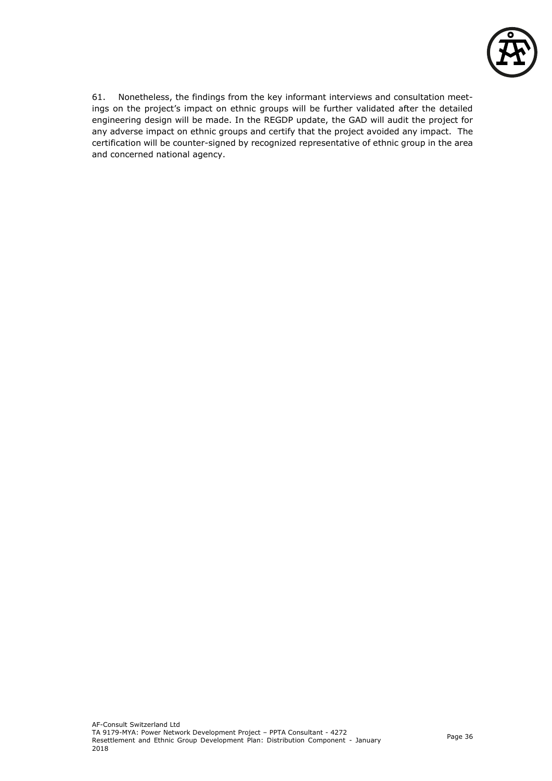

61. Nonetheless, the findings from the key informant interviews and consultation meetings on the project's impact on ethnic groups will be further validated after the detailed engineering design will be made. In the REGDP update, the GAD will audit the project for any adverse impact on ethnic groups and certify that the project avoided any impact. The certification will be counter-signed by recognized representative of ethnic group in the area and concerned national agency.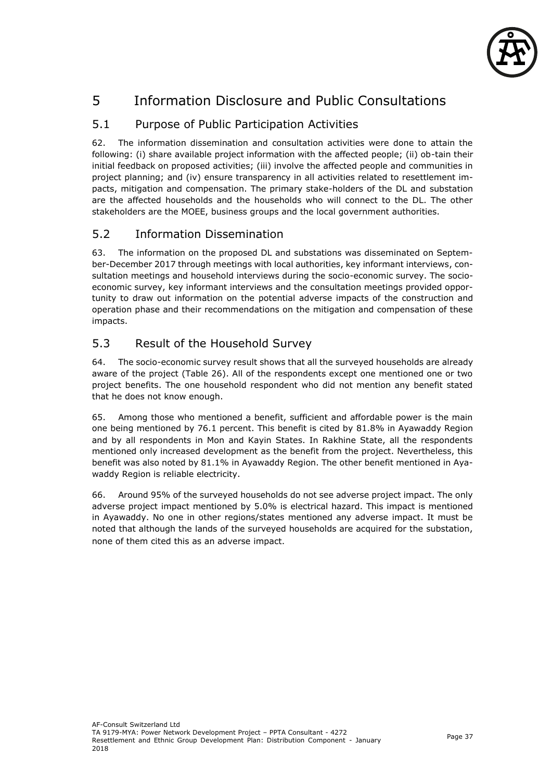

# 5 Information Disclosure and Public Consultations

# 5.1 Purpose of Public Participation Activities

62. The information dissemination and consultation activities were done to attain the following: (i) share available project information with the affected people; (ii) ob-tain their initial feedback on proposed activities; (iii) involve the affected people and communities in project planning; and (iv) ensure transparency in all activities related to resettlement impacts, mitigation and compensation. The primary stake-holders of the DL and substation are the affected households and the households who will connect to the DL. The other stakeholders are the MOEE, business groups and the local government authorities.

## 5.2 Information Dissemination

63. The information on the proposed DL and substations was disseminated on September-December 2017 through meetings with local authorities, key informant interviews, consultation meetings and household interviews during the socio-economic survey. The socioeconomic survey, key informant interviews and the consultation meetings provided opportunity to draw out information on the potential adverse impacts of the construction and operation phase and their recommendations on the mitigation and compensation of these impacts.

## 5.3 Result of the Household Survey

64. The socio-economic survey result shows that all the surveyed households are already aware of the project (Table 26). All of the respondents except one mentioned one or two project benefits. The one household respondent who did not mention any benefit stated that he does not know enough.

65. Among those who mentioned a benefit, sufficient and affordable power is the main one being mentioned by 76.1 percent. This benefit is cited by 81.8% in Ayawaddy Region and by all respondents in Mon and Kayin States. In Rakhine State, all the respondents mentioned only increased development as the benefit from the project. Nevertheless, this benefit was also noted by 81.1% in Ayawaddy Region. The other benefit mentioned in Ayawaddy Region is reliable electricity.

66. Around 95% of the surveyed households do not see adverse project impact. The only adverse project impact mentioned by 5.0% is electrical hazard. This impact is mentioned in Ayawaddy. No one in other regions/states mentioned any adverse impact. It must be noted that although the lands of the surveyed households are acquired for the substation, none of them cited this as an adverse impact.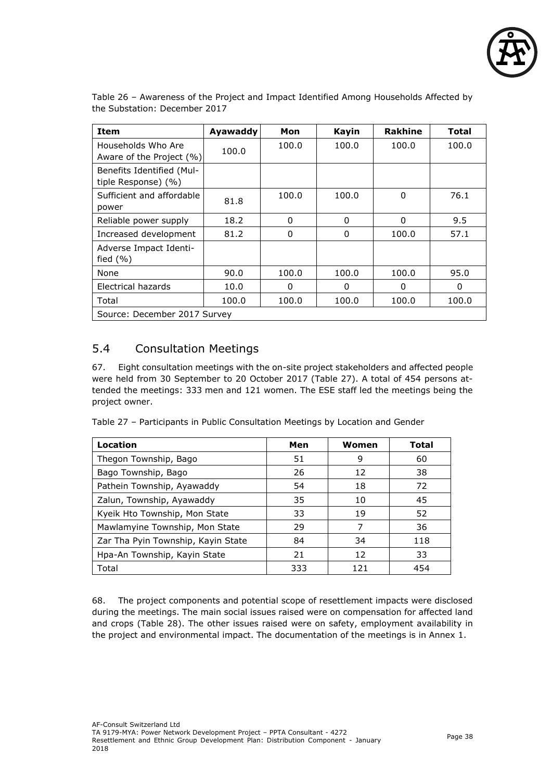

| Item                                             | <b>Ayawaddy</b> | Mon      | <b>Kayin</b> | Rakhine  | Total    |
|--------------------------------------------------|-----------------|----------|--------------|----------|----------|
| Households Who Are<br>Aware of the Project (%)   | 100.0           | 100.0    | 100.0        | 100.0    | 100.0    |
| Benefits Identified (Mul-<br>tiple Response) (%) |                 |          |              |          |          |
| Sufficient and affordable<br>power               | 81.8            | 100.0    | 100.0        | $\Omega$ | 76.1     |
| Reliable power supply                            | 18.2            | 0        | 0            | 0        | 9.5      |
| Increased development                            | 81.2            | $\Omega$ | 0            | 100.0    | 57.1     |
| Adverse Impact Identi-<br>fied $(\% )$           |                 |          |              |          |          |
| None                                             | 90.0            | 100.0    | 100.0        | 100.0    | 95.0     |
| Electrical hazards                               | 10.0            | 0        | 0            | 0        | $\Omega$ |
| Total                                            | 100.0           | 100.0    | 100.0        | 100.0    | 100.0    |
| Source: December 2017 Survey                     |                 |          |              |          |          |

Table 26 – Awareness of the Project and Impact Identified Among Households Affected by the Substation: December 2017

# 5.4 Consultation Meetings

67. Eight consultation meetings with the on-site project stakeholders and affected people were held from 30 September to 20 October 2017 (Table 27). A total of 454 persons attended the meetings: 333 men and 121 women. The ESE staff led the meetings being the project owner.

Table 27 – Participants in Public Consultation Meetings by Location and Gender

| Location                           | Men | Women | <b>Total</b> |
|------------------------------------|-----|-------|--------------|
| Thegon Township, Bago              | 51  | 9     | 60           |
| Bago Township, Bago                | 26  | 12    | 38           |
| Pathein Township, Ayawaddy         | 54  | 18    | 72           |
| Zalun, Township, Ayawaddy          | 35  | 10    | 45           |
| Kyeik Hto Township, Mon State      | 33  | 19    | 52           |
| Mawlamyine Township, Mon State     | 29  | 7     | 36           |
| Zar Tha Pyin Township, Kayin State | 84  | 34    | 118          |
| Hpa-An Township, Kayin State       | 21  | 12    | 33           |
| Total                              | 333 | 121   | 454          |

68. The project components and potential scope of resettlement impacts were disclosed during the meetings. The main social issues raised were on compensation for affected land and crops (Table 28). The other issues raised were on safety, employment availability in the project and environmental impact. The documentation of the meetings is in Annex 1.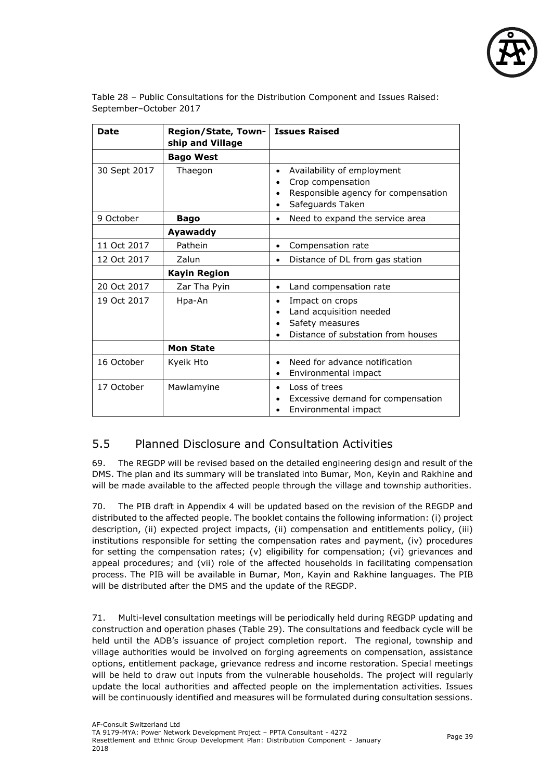

| Table 28 – Public Consultations for the Distribution Component and Issues Raised: |  |
|-----------------------------------------------------------------------------------|--|
| September-October 2017                                                            |  |

| <b>Date</b>  | Region/State, Town-<br>ship and Village | <b>Issues Raised</b>                                                                                                    |  |
|--------------|-----------------------------------------|-------------------------------------------------------------------------------------------------------------------------|--|
|              | <b>Bago West</b>                        |                                                                                                                         |  |
| 30 Sept 2017 | Thaegon                                 | Availability of employment<br>Crop compensation<br>Responsible agency for compensation<br>Safeguards Taken<br>$\bullet$ |  |
| 9 October    | <b>Bago</b>                             | Need to expand the service area<br>٠                                                                                    |  |
|              | Ayawaddy                                |                                                                                                                         |  |
| 11 Oct 2017  | Pathein                                 | Compensation rate<br>٠                                                                                                  |  |
| 12 Oct 2017  | Zalun                                   | Distance of DL from gas station<br>$\bullet$                                                                            |  |
|              | <b>Kayin Region</b>                     |                                                                                                                         |  |
| 20 Oct 2017  | Zar Tha Pyin                            | Land compensation rate<br>$\bullet$                                                                                     |  |
| 19 Oct 2017  | Hpa-An                                  | Impact on crops<br>Land acquisition needed<br>Safety measures<br>Distance of substation from houses                     |  |
|              | <b>Mon State</b>                        |                                                                                                                         |  |
| 16 October   | Kyeik Hto                               | Need for advance notification<br>Environmental impact<br>$\bullet$                                                      |  |
| 17 October   | Mawlamyine                              | Loss of trees<br>٠<br>Excessive demand for compensation<br>Environmental impact                                         |  |

## 5.5 Planned Disclosure and Consultation Activities

69. The REGDP will be revised based on the detailed engineering design and result of the DMS. The plan and its summary will be translated into Bumar, Mon, Keyin and Rakhine and will be made available to the affected people through the village and township authorities.

70. The PIB draft in Appendix 4 will be updated based on the revision of the REGDP and distributed to the affected people. The booklet contains the following information: (i) project description, (ii) expected project impacts, (ii) compensation and entitlements policy, (iii) institutions responsible for setting the compensation rates and payment, (iv) procedures for setting the compensation rates; (v) eligibility for compensation; (vi) grievances and appeal procedures; and (vii) role of the affected households in facilitating compensation process. The PIB will be available in Bumar, Mon, Kayin and Rakhine languages. The PIB will be distributed after the DMS and the update of the REGDP.

71. Multi-level consultation meetings will be periodically held during REGDP updating and construction and operation phases (Table 29). The consultations and feedback cycle will be held until the ADB's issuance of project completion report. The regional, township and village authorities would be involved on forging agreements on compensation, assistance options, entitlement package, grievance redress and income restoration. Special meetings will be held to draw out inputs from the vulnerable households. The project will regularly update the local authorities and affected people on the implementation activities. Issues will be continuously identified and measures will be formulated during consultation sessions.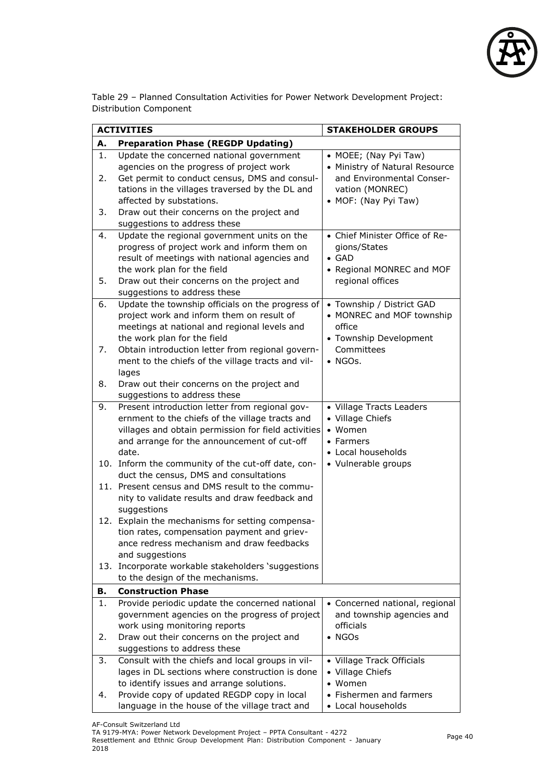

Table 29 – Planned Consultation Activities for Power Network Development Project: Distribution Component

|                | <b>ACTIVITIES</b>                                                                                                                                                                                                                                                                                                                                                                                                                                                                                                                                                                                                                                                                                                              | <b>STAKEHOLDER GROUPS</b>                                                                                                       |  |  |
|----------------|--------------------------------------------------------------------------------------------------------------------------------------------------------------------------------------------------------------------------------------------------------------------------------------------------------------------------------------------------------------------------------------------------------------------------------------------------------------------------------------------------------------------------------------------------------------------------------------------------------------------------------------------------------------------------------------------------------------------------------|---------------------------------------------------------------------------------------------------------------------------------|--|--|
| А.             | <b>Preparation Phase (REGDP Updating)</b>                                                                                                                                                                                                                                                                                                                                                                                                                                                                                                                                                                                                                                                                                      |                                                                                                                                 |  |  |
| 1.<br>2.<br>3. | Update the concerned national government<br>agencies on the progress of project work<br>Get permit to conduct census, DMS and consul-<br>tations in the villages traversed by the DL and<br>affected by substations.<br>Draw out their concerns on the project and                                                                                                                                                                                                                                                                                                                                                                                                                                                             | • MOEE; (Nay Pyi Taw)<br>• Ministry of Natural Resource<br>and Environmental Conser-<br>vation (MONREC)<br>• MOF: (Nay Pyi Taw) |  |  |
|                | suggestions to address these                                                                                                                                                                                                                                                                                                                                                                                                                                                                                                                                                                                                                                                                                                   |                                                                                                                                 |  |  |
| 4.<br>5.       | Update the regional government units on the<br>progress of project work and inform them on<br>result of meetings with national agencies and<br>the work plan for the field<br>Draw out their concerns on the project and                                                                                                                                                                                                                                                                                                                                                                                                                                                                                                       | • Chief Minister Office of Re-<br>gions/States<br>$\bullet$ GAD<br>• Regional MONREC and MOF<br>regional offices                |  |  |
|                | suggestions to address these                                                                                                                                                                                                                                                                                                                                                                                                                                                                                                                                                                                                                                                                                                   |                                                                                                                                 |  |  |
| 6.<br>7.       | Update the township officials on the progress of<br>project work and inform them on result of<br>meetings at national and regional levels and<br>the work plan for the field<br>Obtain introduction letter from regional govern-<br>ment to the chiefs of the village tracts and vil-<br>lages                                                                                                                                                                                                                                                                                                                                                                                                                                 | • Township / District GAD<br>• MONREC and MOF township<br>office<br>• Township Development<br>Committees<br>$\bullet$ NGOs.     |  |  |
| 8.             | Draw out their concerns on the project and                                                                                                                                                                                                                                                                                                                                                                                                                                                                                                                                                                                                                                                                                     |                                                                                                                                 |  |  |
|                | suggestions to address these                                                                                                                                                                                                                                                                                                                                                                                                                                                                                                                                                                                                                                                                                                   |                                                                                                                                 |  |  |
| 9.             | Present introduction letter from regional gov-<br>ernment to the chiefs of the village tracts and<br>villages and obtain permission for field activities<br>and arrange for the announcement of cut-off<br>date.<br>10. Inform the community of the cut-off date, con-<br>duct the census, DMS and consultations<br>11. Present census and DMS result to the commu-<br>nity to validate results and draw feedback and<br>suggestions<br>12. Explain the mechanisms for setting compensa-<br>tion rates, compensation payment and griev-<br>ance redress mechanism and draw feedbacks<br>and suggestions<br>13. Incorporate workable stakeholders 'suggestions<br>to the design of the mechanisms.<br><b>Construction Phase</b> | • Village Tracts Leaders<br>• Village Chiefs<br>• Women<br>• Farmers<br>• Local households<br>• Vulnerable groups               |  |  |
| В.             |                                                                                                                                                                                                                                                                                                                                                                                                                                                                                                                                                                                                                                                                                                                                |                                                                                                                                 |  |  |
| 1.<br>2.       | Provide periodic update the concerned national<br>government agencies on the progress of project<br>work using monitoring reports<br>Draw out their concerns on the project and<br>suggestions to address these                                                                                                                                                                                                                                                                                                                                                                                                                                                                                                                | • Concerned national, regional<br>and township agencies and<br>officials<br>$\bullet$ NGOs                                      |  |  |
| 3.             | Consult with the chiefs and local groups in vil-<br>lages in DL sections where construction is done<br>to identify issues and arrange solutions.                                                                                                                                                                                                                                                                                                                                                                                                                                                                                                                                                                               | • Village Track Officials<br>• Village Chiefs<br>• Women                                                                        |  |  |
| 4.             | Provide copy of updated REGDP copy in local<br>language in the house of the village tract and                                                                                                                                                                                                                                                                                                                                                                                                                                                                                                                                                                                                                                  | • Fishermen and farmers<br>• Local households                                                                                   |  |  |

AF-Consult Switzerland Ltd

TA 9179-MYA: Power Network Development Project – PPTA Consultant - 4272

Resettlement and Ethnic Group Development Plan: Distribution Component - January 2018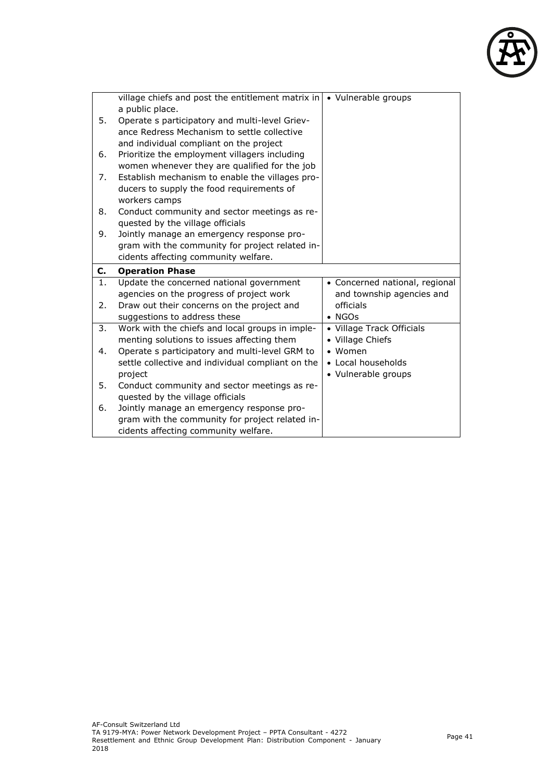

|    | village chiefs and post the entitlement matrix in<br>a public place.                    | • Vulnerable groups            |
|----|-----------------------------------------------------------------------------------------|--------------------------------|
| 5. | Operate s participatory and multi-level Griev-                                          |                                |
|    | ance Redress Mechanism to settle collective                                             |                                |
|    | and individual compliant on the project                                                 |                                |
| 6. | Prioritize the employment villagers including                                           |                                |
|    | women whenever they are qualified for the job                                           |                                |
| 7. | Establish mechanism to enable the villages pro-                                         |                                |
|    | ducers to supply the food requirements of                                               |                                |
|    | workers camps                                                                           |                                |
| 8. | Conduct community and sector meetings as re-                                            |                                |
|    | quested by the village officials                                                        |                                |
| 9. | Jointly manage an emergency response pro-                                               |                                |
|    | gram with the community for project related in-                                         |                                |
|    | cidents affecting community welfare.                                                    |                                |
|    |                                                                                         |                                |
| C. | <b>Operation Phase</b>                                                                  |                                |
| 1. | Update the concerned national government                                                | • Concerned national, regional |
|    | agencies on the progress of project work                                                | and township agencies and      |
| 2. | Draw out their concerns on the project and                                              | officials                      |
|    | suggestions to address these                                                            | $\bullet$ NGOs                 |
| 3. | Work with the chiefs and local groups in imple-                                         | • Village Track Officials      |
|    | menting solutions to issues affecting them                                              | • Village Chiefs               |
| 4. | Operate s participatory and multi-level GRM to                                          | $•$ Women                      |
|    | settle collective and individual compliant on the                                       | • Local households             |
|    | project                                                                                 | • Vulnerable groups            |
| 5. | Conduct community and sector meetings as re-                                            |                                |
|    | quested by the village officials                                                        |                                |
| 6. | Jointly manage an emergency response pro-                                               |                                |
|    | gram with the community for project related in-<br>cidents affecting community welfare. |                                |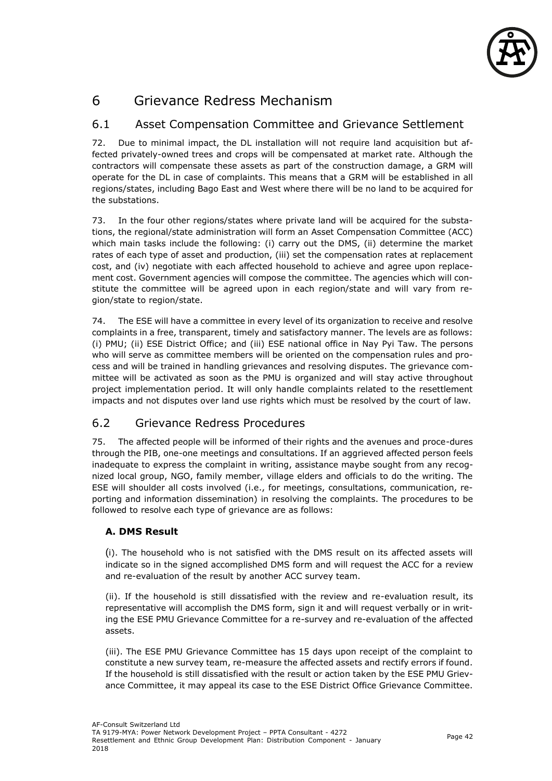

# 6 Grievance Redress Mechanism

## 6.1 Asset Compensation Committee and Grievance Settlement

72. Due to minimal impact, the DL installation will not require land acquisition but affected privately-owned trees and crops will be compensated at market rate. Although the contractors will compensate these assets as part of the construction damage, a GRM will operate for the DL in case of complaints. This means that a GRM will be established in all regions/states, including Bago East and West where there will be no land to be acquired for the substations.

73. In the four other regions/states where private land will be acquired for the substations, the regional/state administration will form an Asset Compensation Committee (ACC) which main tasks include the following: (i) carry out the DMS, (ii) determine the market rates of each type of asset and production, (iii) set the compensation rates at replacement cost, and (iv) negotiate with each affected household to achieve and agree upon replacement cost. Government agencies will compose the committee. The agencies which will constitute the committee will be agreed upon in each region/state and will vary from region/state to region/state.

74. The ESE will have a committee in every level of its organization to receive and resolve complaints in a free, transparent, timely and satisfactory manner. The levels are as follows: (i) PMU; (ii) ESE District Office; and (iii) ESE national office in Nay Pyi Taw. The persons who will serve as committee members will be oriented on the compensation rules and process and will be trained in handling grievances and resolving disputes. The grievance committee will be activated as soon as the PMU is organized and will stay active throughout project implementation period. It will only handle complaints related to the resettlement impacts and not disputes over land use rights which must be resolved by the court of law.

### 6.2 Grievance Redress Procedures

75. The affected people will be informed of their rights and the avenues and proce-dures through the PIB, one-one meetings and consultations. If an aggrieved affected person feels inadequate to express the complaint in writing, assistance maybe sought from any recognized local group, NGO, family member, village elders and officials to do the writing. The ESE will shoulder all costs involved (i.e., for meetings, consultations, communication, reporting and information dissemination) in resolving the complaints. The procedures to be followed to resolve each type of grievance are as follows:

### **A. DMS Result**

(i). The household who is not satisfied with the DMS result on its affected assets will indicate so in the signed accomplished DMS form and will request the ACC for a review and re-evaluation of the result by another ACC survey team.

(ii). If the household is still dissatisfied with the review and re-evaluation result, its representative will accomplish the DMS form, sign it and will request verbally or in writing the ESE PMU Grievance Committee for a re-survey and re-evaluation of the affected assets.

(iii). The ESE PMU Grievance Committee has 15 days upon receipt of the complaint to constitute a new survey team, re-measure the affected assets and rectify errors if found. If the household is still dissatisfied with the result or action taken by the ESE PMU Grievance Committee, it may appeal its case to the ESE District Office Grievance Committee.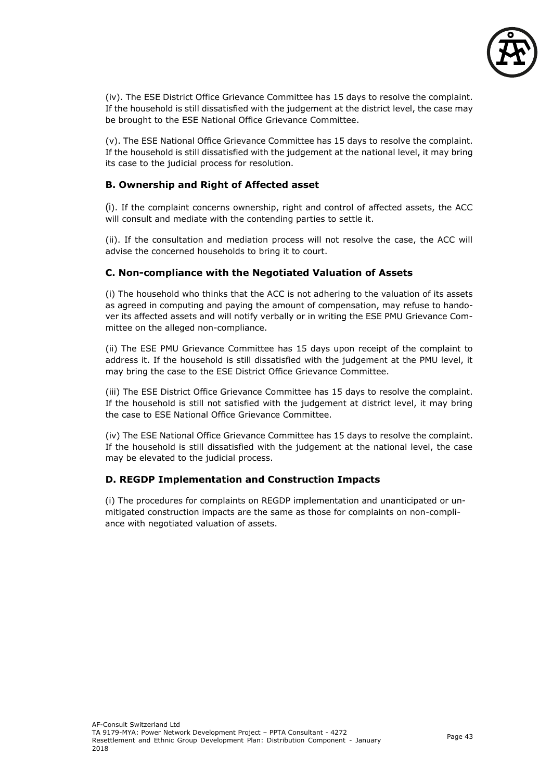

(iv). The ESE District Office Grievance Committee has 15 days to resolve the complaint. If the household is still dissatisfied with the judgement at the district level, the case may be brought to the ESE National Office Grievance Committee.

(v). The ESE National Office Grievance Committee has 15 days to resolve the complaint. If the household is still dissatisfied with the judgement at the national level, it may bring its case to the judicial process for resolution.

### **B. Ownership and Right of Affected asset**

(i). If the complaint concerns ownership, right and control of affected assets, the ACC will consult and mediate with the contending parties to settle it.

(ii). If the consultation and mediation process will not resolve the case, the ACC will advise the concerned households to bring it to court.

### **C. Non-compliance with the Negotiated Valuation of Assets**

(i) The household who thinks that the ACC is not adhering to the valuation of its assets as agreed in computing and paying the amount of compensation, may refuse to handover its affected assets and will notify verbally or in writing the ESE PMU Grievance Committee on the alleged non-compliance.

(ii) The ESE PMU Grievance Committee has 15 days upon receipt of the complaint to address it. If the household is still dissatisfied with the judgement at the PMU level, it may bring the case to the ESE District Office Grievance Committee.

(iii) The ESE District Office Grievance Committee has 15 days to resolve the complaint. If the household is still not satisfied with the judgement at district level, it may bring the case to ESE National Office Grievance Committee.

(iv) The ESE National Office Grievance Committee has 15 days to resolve the complaint. If the household is still dissatisfied with the judgement at the national level, the case may be elevated to the judicial process.

### **D. REGDP Implementation and Construction Impacts**

(i) The procedures for complaints on REGDP implementation and unanticipated or unmitigated construction impacts are the same as those for complaints on non-compliance with negotiated valuation of assets.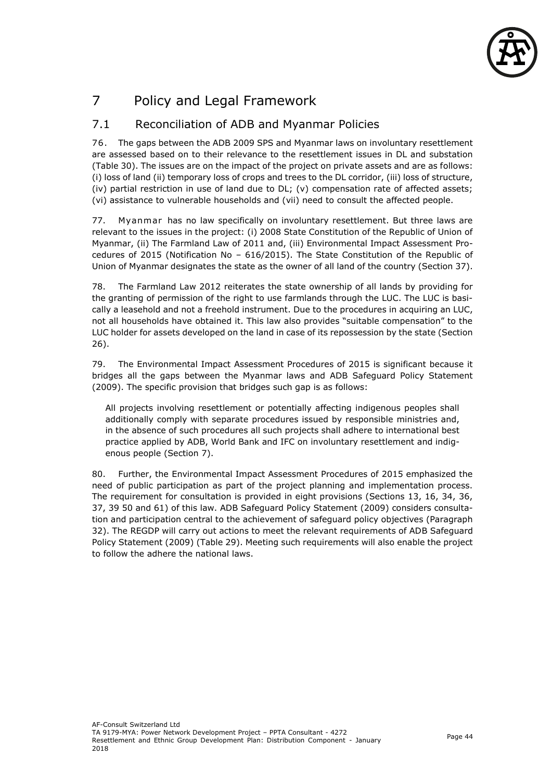

# 7 Policy and Legal Framework

# 7.1 Reconciliation of ADB and Myanmar Policies

76. The gaps between the ADB 2009 SPS and Myanmar laws on involuntary resettlement are assessed based on to their relevance to the resettlement issues in DL and substation (Table 30). The issues are on the impact of the project on private assets and are as follows: (i) loss of land (ii) temporary loss of crops and trees to the DL corridor, (iii) loss of structure, (iv) partial restriction in use of land due to DL; (v) compensation rate of affected assets; (vi) assistance to vulnerable households and (vii) need to consult the affected people.

77. Myanmar has no law specifically on involuntary resettlement. But three laws are relevant to the issues in the project: (i) 2008 State Constitution of the Republic of Union of Myanmar, (ii) The Farmland Law of 2011 and, (iii) Environmental Impact Assessment Procedures of 2015 (Notification No – 616/2015). The State Constitution of the Republic of Union of Myanmar designates the state as the owner of all land of the country (Section 37).

78. The Farmland Law 2012 reiterates the state ownership of all lands by providing for the granting of permission of the right to use farmlands through the LUC. The LUC is basically a leasehold and not a freehold instrument. Due to the procedures in acquiring an LUC, not all households have obtained it. This law also provides "suitable compensation" to the LUC holder for assets developed on the land in case of its repossession by the state (Section 26).

79. The Environmental Impact Assessment Procedures of 2015 is significant because it bridges all the gaps between the Myanmar laws and ADB Safeguard Policy Statement (2009). The specific provision that bridges such gap is as follows:

All projects involving resettlement or potentially affecting indigenous peoples shall additionally comply with separate procedures issued by responsible ministries and, in the absence of such procedures all such projects shall adhere to international best practice applied by ADB, World Bank and IFC on involuntary resettlement and indigenous people (Section 7).

80. Further, the Environmental Impact Assessment Procedures of 2015 emphasized the need of public participation as part of the project planning and implementation process. The requirement for consultation is provided in eight provisions (Sections 13, 16, 34, 36, 37, 39 50 and 61) of this law. ADB Safeguard Policy Statement (2009) considers consultation and participation central to the achievement of safeguard policy objectives (Paragraph 32). The REGDP will carry out actions to meet the relevant requirements of ADB Safeguard Policy Statement (2009) (Table 29). Meeting such requirements will also enable the project to follow the adhere the national laws.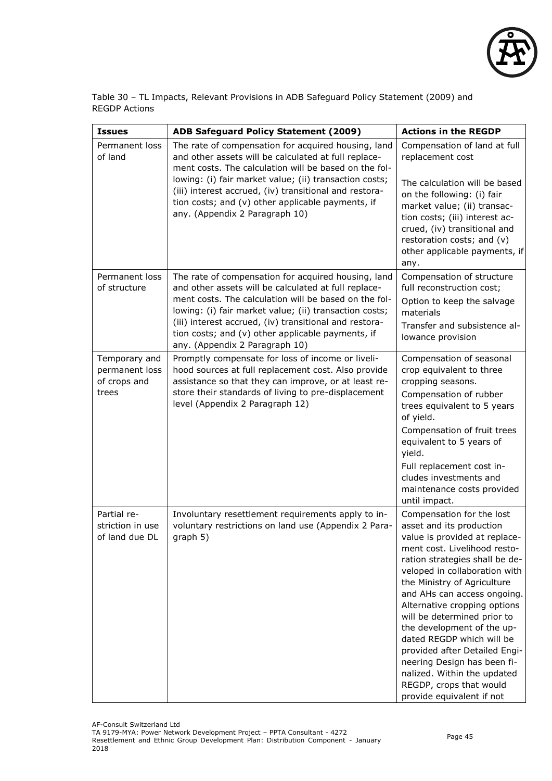

Table 30 – TL Impacts, Relevant Provisions in ADB Safeguard Policy Statement (2009) and REGDP Actions

| <b>Issues</b>                                            | <b>ADB Safeguard Policy Statement (2009)</b>                                                                                                                                                                                                                                                                                                                                    | <b>Actions in the REGDP</b>                                                                                                                                                                                                                                                                                                                                                                                                                                                                                                              |
|----------------------------------------------------------|---------------------------------------------------------------------------------------------------------------------------------------------------------------------------------------------------------------------------------------------------------------------------------------------------------------------------------------------------------------------------------|------------------------------------------------------------------------------------------------------------------------------------------------------------------------------------------------------------------------------------------------------------------------------------------------------------------------------------------------------------------------------------------------------------------------------------------------------------------------------------------------------------------------------------------|
| Permanent loss<br>of land                                | The rate of compensation for acquired housing, land<br>and other assets will be calculated at full replace-<br>ment costs. The calculation will be based on the fol-                                                                                                                                                                                                            | Compensation of land at full<br>replacement cost                                                                                                                                                                                                                                                                                                                                                                                                                                                                                         |
|                                                          | lowing: (i) fair market value; (ii) transaction costs;<br>(iii) interest accrued, (iv) transitional and restora-<br>tion costs; and (v) other applicable payments, if<br>any. (Appendix 2 Paragraph 10)                                                                                                                                                                         | The calculation will be based<br>on the following: (i) fair<br>market value; (ii) transac-<br>tion costs; (iii) interest ac-<br>crued, (iv) transitional and<br>restoration costs; and (v)<br>other applicable payments, if<br>any.                                                                                                                                                                                                                                                                                                      |
| Permanent loss<br>of structure                           | The rate of compensation for acquired housing, land<br>and other assets will be calculated at full replace-<br>ment costs. The calculation will be based on the fol-<br>lowing: (i) fair market value; (ii) transaction costs;<br>(iii) interest accrued, (iv) transitional and restora-<br>tion costs; and (v) other applicable payments, if<br>any. (Appendix 2 Paragraph 10) | Compensation of structure<br>full reconstruction cost;<br>Option to keep the salvage<br>materials<br>Transfer and subsistence al-<br>lowance provision                                                                                                                                                                                                                                                                                                                                                                                   |
| Temporary and<br>permanent loss<br>of crops and<br>trees | Promptly compensate for loss of income or liveli-<br>hood sources at full replacement cost. Also provide<br>assistance so that they can improve, or at least re-<br>store their standards of living to pre-displacement<br>level (Appendix 2 Paragraph 12)                                                                                                                      | Compensation of seasonal<br>crop equivalent to three<br>cropping seasons.<br>Compensation of rubber<br>trees equivalent to 5 years<br>of yield.<br>Compensation of fruit trees<br>equivalent to 5 years of<br>yield.<br>Full replacement cost in-<br>cludes investments and<br>maintenance costs provided<br>until impact.                                                                                                                                                                                                               |
| Partial re-<br>striction in use<br>of land due DI        | Involuntary resettlement requirements apply to in-<br>voluntary restrictions on land use (Appendix 2 Para-<br>graph 5)                                                                                                                                                                                                                                                          | Compensation for the lost<br>asset and its production<br>value is provided at replace-<br>ment cost. Livelihood resto-<br>ration strategies shall be de-<br>veloped in collaboration with<br>the Ministry of Agriculture<br>and AHs can access ongoing.<br>Alternative cropping options<br>will be determined prior to<br>the development of the up-<br>dated REGDP which will be<br>provided after Detailed Engi-<br>neering Design has been fi-<br>nalized. Within the updated<br>REGDP, crops that would<br>provide equivalent if not |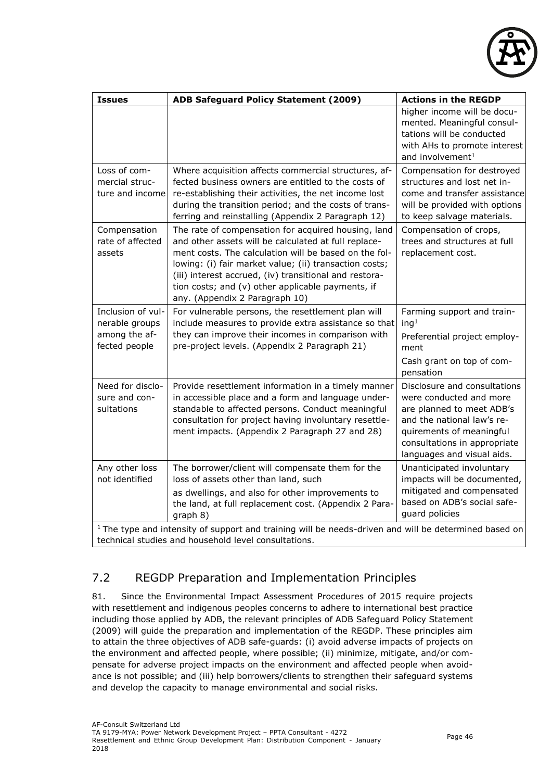

| <b>Issues</b>                                                                                                                                                            | <b>ADB Safeguard Policy Statement (2009)</b>                                                                                                                                                                                                                                                                                                                                    | <b>Actions in the REGDP</b>                                                                                                                                                                                  |  |  |
|--------------------------------------------------------------------------------------------------------------------------------------------------------------------------|---------------------------------------------------------------------------------------------------------------------------------------------------------------------------------------------------------------------------------------------------------------------------------------------------------------------------------------------------------------------------------|--------------------------------------------------------------------------------------------------------------------------------------------------------------------------------------------------------------|--|--|
|                                                                                                                                                                          |                                                                                                                                                                                                                                                                                                                                                                                 | higher income will be docu-<br>mented. Meaningful consul-<br>tations will be conducted<br>with AHs to promote interest<br>and involvement <sup>1</sup>                                                       |  |  |
| Loss of com-<br>mercial struc-<br>ture and income                                                                                                                        | Where acquisition affects commercial structures, af-<br>fected business owners are entitled to the costs of<br>re-establishing their activities, the net income lost<br>during the transition period; and the costs of trans-<br>ferring and reinstalling (Appendix 2 Paragraph 12)                                                                                             | Compensation for destroyed<br>structures and lost net in-<br>come and transfer assistance<br>will be provided with options<br>to keep salvage materials.                                                     |  |  |
| Compensation<br>rate of affected<br>assets                                                                                                                               | The rate of compensation for acquired housing, land<br>and other assets will be calculated at full replace-<br>ment costs. The calculation will be based on the fol-<br>lowing: (i) fair market value; (ii) transaction costs;<br>(iii) interest accrued, (iv) transitional and restora-<br>tion costs; and (v) other applicable payments, if<br>any. (Appendix 2 Paragraph 10) | Compensation of crops,<br>trees and structures at full<br>replacement cost.                                                                                                                                  |  |  |
| Inclusion of vul-<br>nerable groups<br>among the af-<br>fected people                                                                                                    | For vulnerable persons, the resettlement plan will<br>include measures to provide extra assistance so that<br>they can improve their incomes in comparison with<br>pre-project levels. (Appendix 2 Paragraph 21)                                                                                                                                                                | Farming support and train-<br>ing <sup>1</sup><br>Preferential project employ-<br>ment<br>Cash grant on top of com-<br>pensation                                                                             |  |  |
| Need for disclo-<br>sure and con-<br>sultations                                                                                                                          | Provide resettlement information in a timely manner<br>in accessible place and a form and language under-<br>standable to affected persons. Conduct meaningful<br>consultation for project having involuntary resettle-<br>ment impacts. (Appendix 2 Paragraph 27 and 28)                                                                                                       | Disclosure and consultations<br>were conducted and more<br>are planned to meet ADB's<br>and the national law's re-<br>quirements of meaningful<br>consultations in appropriate<br>languages and visual aids. |  |  |
| Any other loss<br>not identified                                                                                                                                         | The borrower/client will compensate them for the<br>loss of assets other than land, such<br>as dwellings, and also for other improvements to<br>the land, at full replacement cost. (Appendix 2 Para-<br>graph 8)                                                                                                                                                               | Unanticipated involuntary<br>impacts will be documented,<br>mitigated and compensated<br>based on ADB's social safe-<br>guard policies                                                                       |  |  |
| <sup>1</sup> The type and intensity of support and training will be needs-driven and will be determined based on<br>technical studies and household level consultations. |                                                                                                                                                                                                                                                                                                                                                                                 |                                                                                                                                                                                                              |  |  |

# 7.2 REGDP Preparation and Implementation Principles

81. Since the Environmental Impact Assessment Procedures of 2015 require projects with resettlement and indigenous peoples concerns to adhere to international best practice including those applied by ADB, the relevant principles of ADB Safeguard Policy Statement (2009) will guide the preparation and implementation of the REGDP. These principles aim to attain the three objectives of ADB safe-guards: (i) avoid adverse impacts of projects on the environment and affected people, where possible; (ii) minimize, mitigate, and/or compensate for adverse project impacts on the environment and affected people when avoidance is not possible; and (iii) help borrowers/clients to strengthen their safeguard systems and develop the capacity to manage environmental and social risks.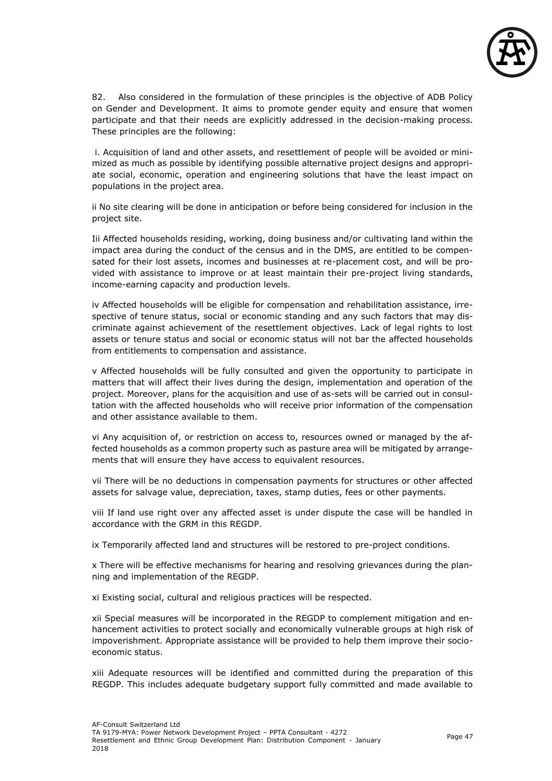

82. Also considered in the formulation of these principles is the objective of ADB Policy on Gender and Development. It aims to promote gender equity and ensure that women participate and that their needs are explicitly addressed in the decision-making process. These principles are the following:

i. Acquisition of land and other assets, and resettlement of people will be avoided or minimized as much as possible by identifying possible alternative project designs and appropriate social, economic, operation and engineering solutions that have the least impact on populations in the project area.

ii No site clearing will be done in anticipation or before being considered for inclusion in the project site.

Iii Affected households residing, working, doing business and/or cultivating land within the impact area during the conduct of the census and in the DMS, are entitled to be compensated for their lost assets, incomes and businesses at re-placement cost, and will be provided with assistance to improve or at least maintain their pre-project living standards, income-earning capacity and production levels.

iv Affected households will be eligible for compensation and rehabilitation assistance, irrespective of tenure status, social or economic standing and any such factors that may discriminate against achievement of the resettlement objectives. Lack of legal rights to lost assets or tenure status and social or economic status will not bar the affected households from entitlements to compensation and assistance.

v Affected households will be fully consulted and given the opportunity to participate in matters that will affect their lives during the design, implementation and operation of the project. Moreover, plans for the acquisition and use of as-sets will be carried out in consultation with the affected households who will receive prior information of the compensation and other assistance available to them.

vi Any acquisition of, or restriction on access to, resources owned or managed by the affected households as a common property such as pasture area will be mitigated by arrangements that will ensure they have access to equivalent resources.

vii There will be no deductions in compensation payments for structures or other affected assets for salvage value, depreciation, taxes, stamp duties, fees or other payments.

viii If land use right over any affected asset is under dispute the case will be handled in accordance with the GRM in this REGDP.

ix Temporarily affected land and structures will be restored to pre-project conditions.

x There will be effective mechanisms for hearing and resolving grievances during the planning and implementation of the REGDP.

xi Existing social, cultural and religious practices will be respected.

xii Special measures will be incorporated in the REGDP to complement mitigation and enhancement activities to protect socially and economically vulnerable groups at high risk of impoverishment. Appropriate assistance will be provided to help them improve their socioeconomic status.

xiii Adequate resources will be identified and committed during the preparation of this REGDP. This includes adequate budgetary support fully committed and made available to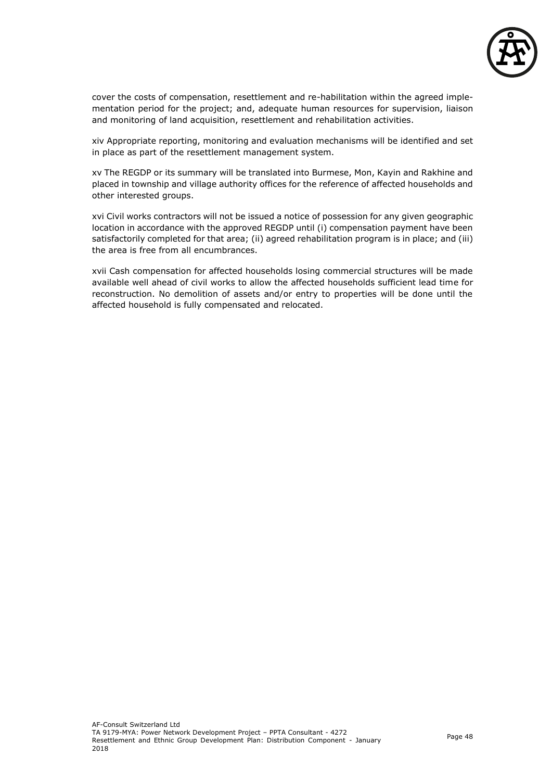

cover the costs of compensation, resettlement and re-habilitation within the agreed implementation period for the project; and, adequate human resources for supervision, liaison and monitoring of land acquisition, resettlement and rehabilitation activities.

xiv Appropriate reporting, monitoring and evaluation mechanisms will be identified and set in place as part of the resettlement management system.

xv The REGDP or its summary will be translated into Burmese, Mon, Kayin and Rakhine and placed in township and village authority offices for the reference of affected households and other interested groups.

xvi Civil works contractors will not be issued a notice of possession for any given geographic location in accordance with the approved REGDP until (i) compensation payment have been satisfactorily completed for that area; (ii) agreed rehabilitation program is in place; and (iii) the area is free from all encumbrances.

xvii Cash compensation for affected households losing commercial structures will be made available well ahead of civil works to allow the affected households sufficient lead time for reconstruction. No demolition of assets and/or entry to properties will be done until the affected household is fully compensated and relocated.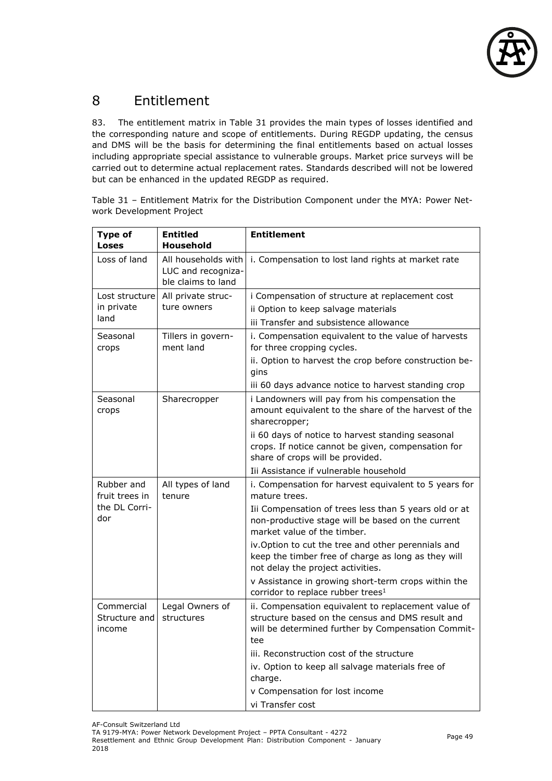

# 8 Entitlement

83. The entitlement matrix in Table 31 provides the main types of losses identified and the corresponding nature and scope of entitlements. During REGDP updating, the census and DMS will be the basis for determining the final entitlements based on actual losses including appropriate special assistance to vulnerable groups. Market price surveys will be carried out to determine actual replacement rates. Standards described will not be lowered but can be enhanced in the updated REGDP as required.

Table 31 – Entitlement Matrix for the Distribution Component under the MYA: Power Network Development Project

| <b>Type of</b><br><b>Loses</b>        | <b>Entitled</b><br><b>Household</b>                             | <b>Entitlement</b>                                                                                                                                                   |
|---------------------------------------|-----------------------------------------------------------------|----------------------------------------------------------------------------------------------------------------------------------------------------------------------|
| Loss of land                          | All households with<br>LUC and recogniza-<br>ble claims to land | i. Compensation to lost land rights at market rate                                                                                                                   |
| Lost structurel                       | All private struc-                                              | i Compensation of structure at replacement cost                                                                                                                      |
| in private                            | ture owners                                                     | ii Option to keep salvage materials                                                                                                                                  |
| land                                  |                                                                 | iii Transfer and subsistence allowance                                                                                                                               |
| Seasonal                              | Tillers in govern-                                              | i. Compensation equivalent to the value of harvests                                                                                                                  |
| crops                                 | ment land                                                       | for three cropping cycles.                                                                                                                                           |
|                                       |                                                                 | ii. Option to harvest the crop before construction be-<br>gins                                                                                                       |
|                                       |                                                                 | iii 60 days advance notice to harvest standing crop                                                                                                                  |
| Seasonal<br>crops                     | Sharecropper                                                    | i Landowners will pay from his compensation the<br>amount equivalent to the share of the harvest of the<br>sharecropper;                                             |
|                                       |                                                                 | ii 60 days of notice to harvest standing seasonal<br>crops. If notice cannot be given, compensation for<br>share of crops will be provided.                          |
|                                       |                                                                 | Iii Assistance if vulnerable household                                                                                                                               |
| Rubber and<br>fruit trees in          | All types of land<br>tenure                                     | i. Compensation for harvest equivalent to 5 years for<br>mature trees.                                                                                               |
| the DL Corri-<br>dor                  |                                                                 | Iii Compensation of trees less than 5 years old or at<br>non-productive stage will be based on the current<br>market value of the timber.                            |
|                                       |                                                                 | iv.Option to cut the tree and other perennials and<br>keep the timber free of charge as long as they will<br>not delay the project activities.                       |
|                                       |                                                                 | v Assistance in growing short-term crops within the<br>corridor to replace rubber trees <sup>1</sup>                                                                 |
| Commercial<br>Structure and<br>income | Legal Owners of<br>structures                                   | ii. Compensation equivalent to replacement value of<br>structure based on the census and DMS result and<br>will be determined further by Compensation Commit-<br>tee |
|                                       |                                                                 | iii. Reconstruction cost of the structure                                                                                                                            |
|                                       |                                                                 | iv. Option to keep all salvage materials free of<br>charge.                                                                                                          |
|                                       |                                                                 | v Compensation for lost income                                                                                                                                       |
|                                       |                                                                 | vi Transfer cost                                                                                                                                                     |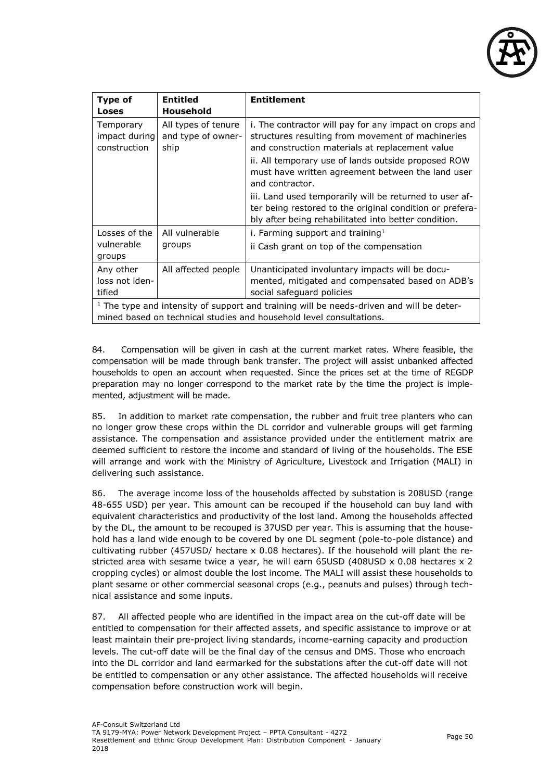

| <b>Type of</b><br>Loses                                                                                                                                           | <b>Entitled</b><br>Household                      | <b>Entitlement</b>                                                                                                                                                          |  |
|-------------------------------------------------------------------------------------------------------------------------------------------------------------------|---------------------------------------------------|-----------------------------------------------------------------------------------------------------------------------------------------------------------------------------|--|
| Temporary<br>impact during<br>construction                                                                                                                        | All types of tenure<br>and type of owner-<br>ship | i. The contractor will pay for any impact on crops and<br>structures resulting from movement of machineries<br>and construction materials at replacement value              |  |
|                                                                                                                                                                   |                                                   | ii. All temporary use of lands outside proposed ROW<br>must have written agreement between the land user<br>and contractor.                                                 |  |
|                                                                                                                                                                   |                                                   | iii. Land used temporarily will be returned to user af-<br>ter being restored to the original condition or prefera-<br>bly after being rehabilitated into better condition. |  |
| Losses of the                                                                                                                                                     | All vulnerable                                    | i. Farming support and training $1$                                                                                                                                         |  |
| vulnerable<br>groups                                                                                                                                              | groups                                            | ii Cash grant on top of the compensation                                                                                                                                    |  |
| Any other<br>loss not iden-<br>tified                                                                                                                             | All affected people                               | Unanticipated involuntary impacts will be docu-<br>mented, mitigated and compensated based on ADB's<br>social safeguard policies                                            |  |
| $1$ The type and intensity of support and training will be needs-driven and will be deter-<br>mined based on technical studies and household level consultations. |                                                   |                                                                                                                                                                             |  |

84. Compensation will be given in cash at the current market rates. Where feasible, the compensation will be made through bank transfer. The project will assist unbanked affected households to open an account when requested. Since the prices set at the time of REGDP preparation may no longer correspond to the market rate by the time the project is implemented, adjustment will be made.

85. In addition to market rate compensation, the rubber and fruit tree planters who can no longer grow these crops within the DL corridor and vulnerable groups will get farming assistance. The compensation and assistance provided under the entitlement matrix are deemed sufficient to restore the income and standard of living of the households. The ESE will arrange and work with the Ministry of Agriculture, Livestock and Irrigation (MALI) in delivering such assistance.

86. The average income loss of the households affected by substation is 208USD (range 48-655 USD) per year. This amount can be recouped if the household can buy land with equivalent characteristics and productivity of the lost land. Among the households affected by the DL, the amount to be recouped is 37USD per year. This is assuming that the household has a land wide enough to be covered by one DL segment (pole-to-pole distance) and cultivating rubber (457USD/ hectare x 0.08 hectares). If the household will plant the restricted area with sesame twice a year, he will earn 65USD (408USD  $\times$  0.08 hectares  $\times$  2 cropping cycles) or almost double the lost income. The MALI will assist these households to plant sesame or other commercial seasonal crops (e.g., peanuts and pulses) through technical assistance and some inputs.

87. All affected people who are identified in the impact area on the cut-off date will be entitled to compensation for their affected assets, and specific assistance to improve or at least maintain their pre-project living standards, income-earning capacity and production levels. The cut-off date will be the final day of the census and DMS. Those who encroach into the DL corridor and land earmarked for the substations after the cut-off date will not be entitled to compensation or any other assistance. The affected households will receive compensation before construction work will begin.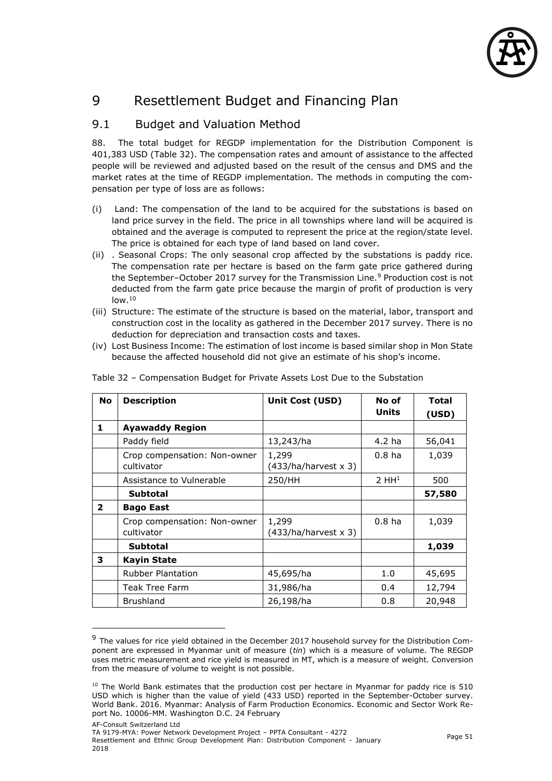

# 9 Resettlement Budget and Financing Plan

## 9.1 Budget and Valuation Method

88. The total budget for REGDP implementation for the Distribution Component is 401,383 USD (Table 32). The compensation rates and amount of assistance to the affected people will be reviewed and adjusted based on the result of the census and DMS and the market rates at the time of REGDP implementation. The methods in computing the compensation per type of loss are as follows:

- (i) Land: The compensation of the land to be acquired for the substations is based on land price survey in the field. The price in all townships where land will be acquired is obtained and the average is computed to represent the price at the region/state level. The price is obtained for each type of land based on land cover.
- (ii) . Seasonal Crops: The only seasonal crop affected by the substations is paddy rice. The compensation rate per hectare is based on the farm gate price gathered during the September–October 2017 survey for the Transmission Line.<sup>9</sup> Production cost is not deducted from the farm gate price because the margin of profit of production is very  $low.<sup>10</sup>$
- (iii) Structure: The estimate of the structure is based on the material, labor, transport and construction cost in the locality as gathered in the December 2017 survey. There is no deduction for depreciation and transaction costs and taxes.
- (iv) Lost Business Income: The estimation of lost income is based similar shop in Mon State because the affected household did not give an estimate of his shop's income.

| <b>No</b>    | <b>Description</b>                         | <b>Unit Cost (USD)</b>               | No of<br><b>Units</b> | <b>Total</b><br>(USD) |
|--------------|--------------------------------------------|--------------------------------------|-----------------------|-----------------------|
| 1            | <b>Ayawaddy Region</b>                     |                                      |                       |                       |
|              | Paddy field                                | 13,243/ha                            | 4.2 ha                | 56,041                |
|              | Crop compensation: Non-owner<br>cultivator | 1,299<br>$(433/ha/harvest \times 3)$ | 0.8 <sub>ha</sub>     | 1,039                 |
|              | Assistance to Vulnerable                   | 250/HH                               | 2 HH <sup>1</sup>     | 500                   |
|              | <b>Subtotal</b>                            |                                      |                       | 57,580                |
| $\mathbf{2}$ | <b>Bago East</b>                           |                                      |                       |                       |
|              | Crop compensation: Non-owner<br>cultivator | 1,299<br>$(433/ha/harvest \times 3)$ | 0.8 <sub>ha</sub>     | 1,039                 |
|              | <b>Subtotal</b>                            |                                      |                       | 1,039                 |
| 3            | <b>Kayin State</b>                         |                                      |                       |                       |
|              | <b>Rubber Plantation</b>                   | 45,695/ha                            | 1.0                   | 45,695                |
|              | Teak Tree Farm                             | 31,986/ha                            | 0.4                   | 12,794                |
|              | <b>Brushland</b>                           | 26,198/ha                            | 0.8                   | 20,948                |

Table 32 – Compensation Budget for Private Assets Lost Due to the Substation

 $\overline{a}$ 

<sup>&</sup>lt;sup>9</sup> The values for rice yield obtained in the December 2017 household survey for the Distribution Component are expressed in Myanmar unit of measure (*tin*) which is a measure of volume. The REGDP uses metric measurement and rice yield is measured in MT, which is a measure of weight. Conversion from the measure of volume to weight is not possible.

<sup>&</sup>lt;sup>10</sup> The World Bank estimates that the production cost per hectare in Myanmar for paddy rice is 510 USD which is higher than the value of yield (433 USD) reported in the September-October survey. World Bank. 2016. Myanmar: Analysis of Farm Production Economics. Economic and Sector Work Report No. 10006-MM. Washington D.C. 24 February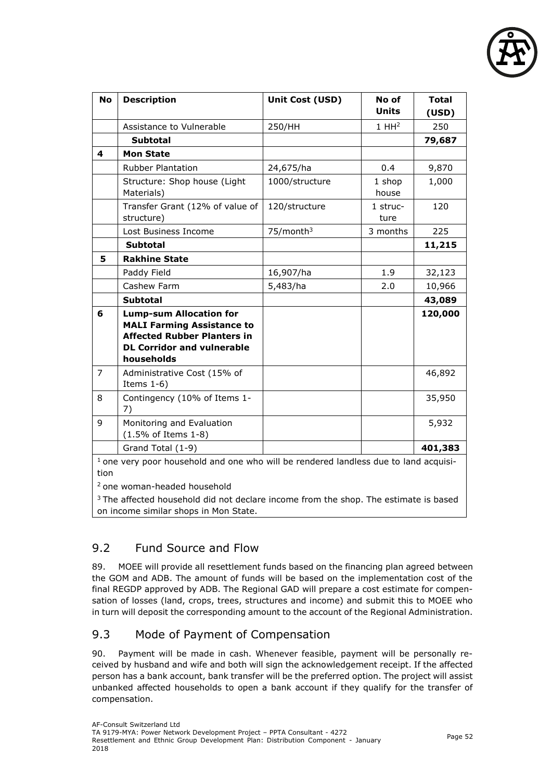

| <b>No</b>      | <b>Description</b>                                                                                                                                           | Unit Cost (USD)       | No of<br><b>Units</b> | <b>Total</b><br>(USD) |
|----------------|--------------------------------------------------------------------------------------------------------------------------------------------------------------|-----------------------|-----------------------|-----------------------|
|                | Assistance to Vulnerable                                                                                                                                     | 250/HH                | 1 HH <sup>2</sup>     | 250                   |
|                | <b>Subtotal</b>                                                                                                                                              |                       |                       | 79,687                |
| 4              | <b>Mon State</b>                                                                                                                                             |                       |                       |                       |
|                | <b>Rubber Plantation</b>                                                                                                                                     | 24,675/ha             | 0.4                   | 9,870                 |
|                | Structure: Shop house (Light<br>Materials)                                                                                                                   | 1000/structure        | 1 shop<br>house       | 1,000                 |
|                | Transfer Grant (12% of value of<br>structure)                                                                                                                | 120/structure         | 1 struc-<br>ture      | 120                   |
|                | Lost Business Income                                                                                                                                         | 75/month <sup>3</sup> | 3 months              | 225                   |
|                | <b>Subtotal</b>                                                                                                                                              |                       |                       | 11,215                |
| 5              | <b>Rakhine State</b>                                                                                                                                         |                       |                       |                       |
|                | Paddy Field                                                                                                                                                  | 16,907/ha             | 1.9                   | 32,123                |
|                | Cashew Farm                                                                                                                                                  | 5,483/ha              | 2.0                   | 10,966                |
|                | <b>Subtotal</b>                                                                                                                                              |                       |                       | 43,089                |
| 6              | <b>Lump-sum Allocation for</b><br><b>MALI Farming Assistance to</b><br><b>Affected Rubber Planters in</b><br><b>DL Corridor and vulnerable</b><br>households |                       |                       | 120,000               |
| $\overline{7}$ | Administrative Cost (15% of<br>Items $1-6$ )                                                                                                                 |                       |                       | 46,892                |
| 8              | Contingency (10% of Items 1-<br>7)                                                                                                                           |                       |                       | 35,950                |
| 9              | Monitoring and Evaluation<br>$(1.5\% \text{ of items } 1-8)$                                                                                                 |                       |                       | 5,932                 |
|                | Grand Total (1-9)                                                                                                                                            |                       |                       | 401,383               |
| tion           | $1$ one very poor household and one who will be rendered landless due to land acquisi-                                                                       |                       |                       |                       |

<sup>2</sup>one woman-headed household

<sup>3</sup> The affected household did not declare income from the shop. The estimate is based on income similar shops in Mon State.

# 9.2 Fund Source and Flow

89. MOEE will provide all resettlement funds based on the financing plan agreed between the GOM and ADB. The amount of funds will be based on the implementation cost of the final REGDP approved by ADB. The Regional GAD will prepare a cost estimate for compensation of losses (land, crops, trees, structures and income) and submit this to MOEE who in turn will deposit the corresponding amount to the account of the Regional Administration.

## 9.3 Mode of Payment of Compensation

90. Payment will be made in cash. Whenever feasible, payment will be personally received by husband and wife and both will sign the acknowledgement receipt. If the affected person has a bank account, bank transfer will be the preferred option. The project will assist unbanked affected households to open a bank account if they qualify for the transfer of compensation.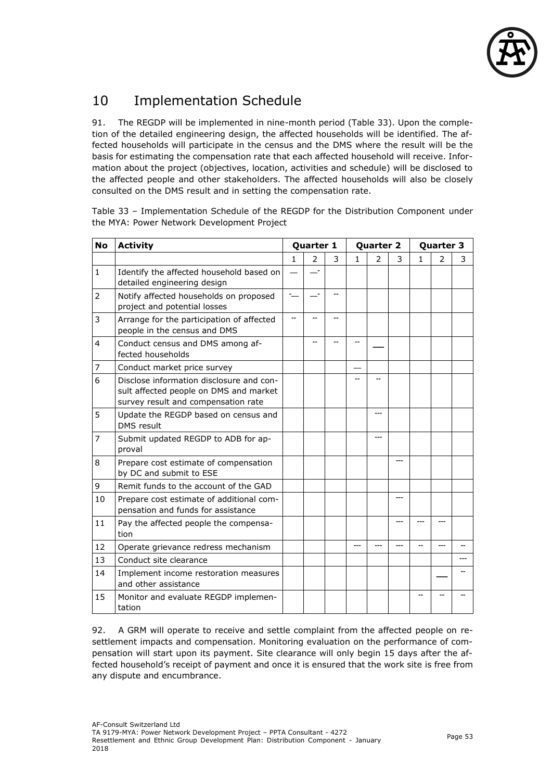

# 10 Implementation Schedule

91. The REGDP will be implemented in nine-month period (Table 33). Upon the completion of the detailed engineering design, the affected households will be identified. The affected households will participate in the census and the DMS where the result will be the basis for estimating the compensation rate that each affected household will receive. Information about the project (objectives, location, activities and schedule) will be disclosed to the affected people and other stakeholders. The affected households will also be closely consulted on the DMS result and in setting the compensation rate.

Table 33 – Implementation Schedule of the REGDP for the Distribution Component under the MYA: Power Network Development Project

| <b>No</b>      | <b>Activity</b>                                                                                                           |              | Quarter 1                |   |              | Quarter 2      |     |   | Quarter 3     |   |
|----------------|---------------------------------------------------------------------------------------------------------------------------|--------------|--------------------------|---|--------------|----------------|-----|---|---------------|---|
|                |                                                                                                                           | $\mathbf{1}$ | $\overline{2}$           | 3 | $\mathbf{1}$ | $\overline{2}$ | 3   | 1 | $\mathcal{P}$ | 3 |
| $\mathbf{1}$   | Identify the affected household based on<br>detailed engineering design                                                   |              | $\overline{\phantom{a}}$ |   |              |                |     |   |               |   |
| $\overline{2}$ | Notify affected households on proposed<br>project and potential losses                                                    |              | $\overline{\phantom{a}}$ |   |              |                |     |   |               |   |
| 3              | Arrange for the participation of affected<br>people in the census and DMS                                                 |              |                          |   |              |                |     |   |               |   |
| $\overline{4}$ | Conduct census and DMS among af-<br>fected households                                                                     |              |                          |   |              |                |     |   |               |   |
| 7              | Conduct market price survey                                                                                               |              |                          |   |              |                |     |   |               |   |
| 6              | Disclose information disclosure and con-<br>sult affected people on DMS and market<br>survey result and compensation rate |              |                          |   |              |                |     |   |               |   |
| 5              | Update the REGDP based on census and<br>DMS result                                                                        |              |                          |   |              | ---            |     |   |               |   |
| $\overline{7}$ | Submit updated REGDP to ADB for ap-<br>proval                                                                             |              |                          |   |              | ---            |     |   |               |   |
| 8              | Prepare cost estimate of compensation<br>by DC and submit to ESE                                                          |              |                          |   |              |                | --- |   |               |   |
| 9              | Remit funds to the account of the GAD                                                                                     |              |                          |   |              |                |     |   |               |   |
| 10             | Prepare cost estimate of additional com-<br>pensation and funds for assistance                                            |              |                          |   |              |                |     |   |               |   |
| 11             | Pay the affected people the compensa-<br>tion                                                                             |              |                          |   |              |                | --- |   |               |   |
| 12             | Operate grievance redress mechanism                                                                                       |              |                          |   |              |                |     |   |               |   |
| 13             | Conduct site clearance                                                                                                    |              |                          |   |              |                |     |   |               |   |
| 14             | Implement income restoration measures<br>and other assistance                                                             |              |                          |   |              |                |     |   |               |   |
| 15             | Monitor and evaluate REGDP implemen-<br>tation                                                                            |              |                          |   |              |                |     |   |               |   |

92. A GRM will operate to receive and settle complaint from the affected people on resettlement impacts and compensation. Monitoring evaluation on the performance of compensation will start upon its payment. Site clearance will only begin 15 days after the affected household's receipt of payment and once it is ensured that the work site is free from any dispute and encumbrance.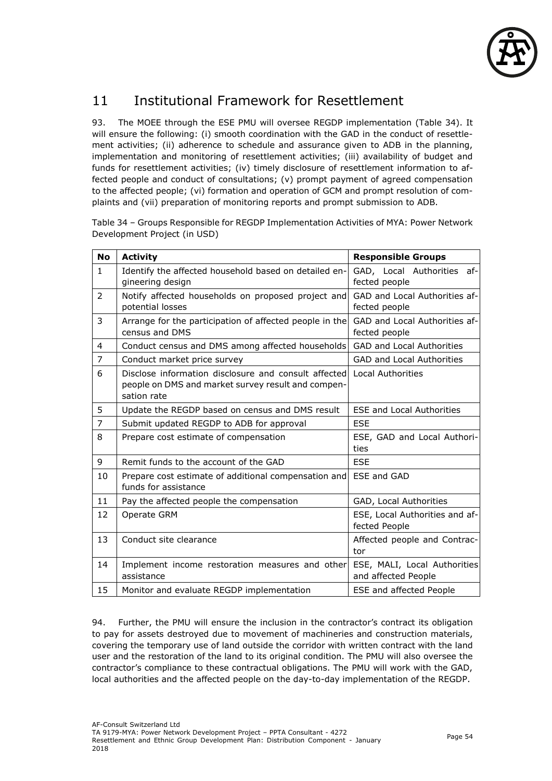

# 11 Institutional Framework for Resettlement

93. The MOEE through the ESE PMU will oversee REGDP implementation (Table 34). It will ensure the following: (i) smooth coordination with the GAD in the conduct of resettlement activities; (ii) adherence to schedule and assurance given to ADB in the planning, implementation and monitoring of resettlement activities; (iii) availability of budget and funds for resettlement activities; (iv) timely disclosure of resettlement information to affected people and conduct of consultations; (v) prompt payment of agreed compensation to the affected people; (vi) formation and operation of GCM and prompt resolution of complaints and (vii) preparation of monitoring reports and prompt submission to ADB.

Table 34 – Groups Responsible for REGDP Implementation Activities of MYA: Power Network Development Project (in USD)

| <b>No</b>      | <b>Activity</b>                                                                                                           | <b>Responsible Groups</b>                           |
|----------------|---------------------------------------------------------------------------------------------------------------------------|-----------------------------------------------------|
| $\mathbf{1}$   | Identify the affected household based on detailed en-<br>gineering design                                                 | GAD, Local Authorities af-<br>fected people         |
| $\overline{2}$ | Notify affected households on proposed project and<br>potential losses                                                    | GAD and Local Authorities af-<br>fected people      |
| 3              | Arrange for the participation of affected people in the<br>census and DMS                                                 | GAD and Local Authorities af-<br>fected people      |
| $\overline{4}$ | Conduct census and DMS among affected households                                                                          | <b>GAD and Local Authorities</b>                    |
| $\overline{7}$ | Conduct market price survey                                                                                               | <b>GAD and Local Authorities</b>                    |
| 6              | Disclose information disclosure and consult affected<br>people on DMS and market survey result and compen-<br>sation rate | Local Authorities                                   |
| 5              | Update the REGDP based on census and DMS result                                                                           | <b>ESE and Local Authorities</b>                    |
| $\overline{7}$ | Submit updated REGDP to ADB for approval                                                                                  | <b>ESE</b>                                          |
| 8              | Prepare cost estimate of compensation                                                                                     | ESE, GAD and Local Authori-<br>ties                 |
| 9              | Remit funds to the account of the GAD                                                                                     | <b>ESE</b>                                          |
| 10             | Prepare cost estimate of additional compensation and<br>funds for assistance                                              | <b>ESE and GAD</b>                                  |
| 11             | Pay the affected people the compensation                                                                                  | GAD, Local Authorities                              |
| 12             | Operate GRM                                                                                                               | ESE, Local Authorities and af-<br>fected People     |
| 13             | Conduct site clearance                                                                                                    | Affected people and Contrac-<br>tor                 |
| 14             | Implement income restoration measures and other<br>assistance                                                             | ESE, MALI, Local Authorities<br>and affected People |
| 15             | Monitor and evaluate REGDP implementation                                                                                 | <b>ESE and affected People</b>                      |

94. Further, the PMU will ensure the inclusion in the contractor's contract its obligation to pay for assets destroyed due to movement of machineries and construction materials, covering the temporary use of land outside the corridor with written contract with the land user and the restoration of the land to its original condition. The PMU will also oversee the contractor's compliance to these contractual obligations. The PMU will work with the GAD, local authorities and the affected people on the day-to-day implementation of the REGDP.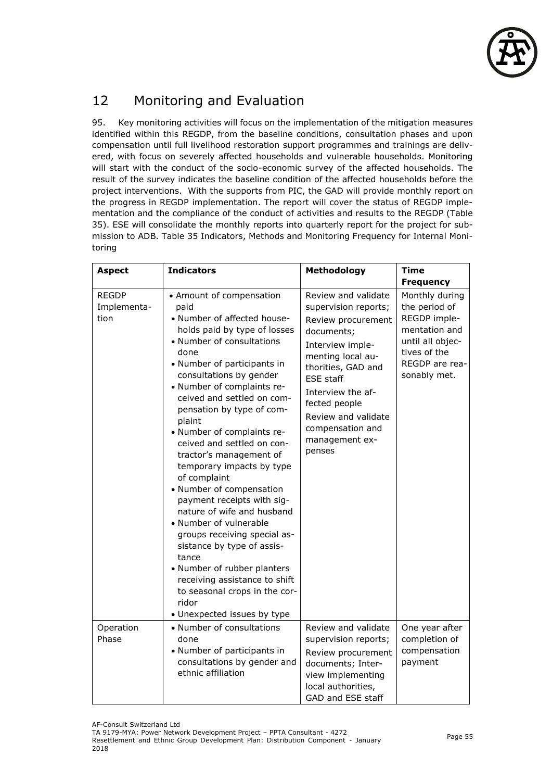

# 12 Monitoring and Evaluation

95. Key monitoring activities will focus on the implementation of the mitigation measures identified within this REGDP, from the baseline conditions, consultation phases and upon compensation until full livelihood restoration support programmes and trainings are delivered, with focus on severely affected households and vulnerable households. Monitoring will start with the conduct of the socio-economic survey of the affected households. The result of the survey indicates the baseline condition of the affected households before the project interventions. With the supports from PIC, the GAD will provide monthly report on the progress in REGDP implementation. The report will cover the status of REGDP implementation and the compliance of the conduct of activities and results to the REGDP (Table 35). ESE will consolidate the monthly reports into quarterly report for the project for submission to ADB. Table 35 Indicators, Methods and Monitoring Frequency for Internal Monitoring

| <b>Aspect</b>                       | <b>Indicators</b>                                                                                                                                                                                                                                                                                                                                                                                                                                                                                                                                                                                                                                                                                                                                                       | Methodology                                                                                                                                                                                                                                                                     | <b>Time</b>                                                                                                                                                |
|-------------------------------------|-------------------------------------------------------------------------------------------------------------------------------------------------------------------------------------------------------------------------------------------------------------------------------------------------------------------------------------------------------------------------------------------------------------------------------------------------------------------------------------------------------------------------------------------------------------------------------------------------------------------------------------------------------------------------------------------------------------------------------------------------------------------------|---------------------------------------------------------------------------------------------------------------------------------------------------------------------------------------------------------------------------------------------------------------------------------|------------------------------------------------------------------------------------------------------------------------------------------------------------|
| <b>REGDP</b><br>Implementa-<br>tion | • Amount of compensation<br>paid<br>• Number of affected house-<br>holds paid by type of losses<br>• Number of consultations<br>done<br>• Number of participants in<br>consultations by gender<br>• Number of complaints re-<br>ceived and settled on com-<br>pensation by type of com-<br>plaint<br>• Number of complaints re-<br>ceived and settled on con-<br>tractor's management of<br>temporary impacts by type<br>of complaint<br>• Number of compensation<br>payment receipts with sig-<br>nature of wife and husband<br>• Number of vulnerable<br>groups receiving special as-<br>sistance by type of assis-<br>tance<br>• Number of rubber planters<br>receiving assistance to shift<br>to seasonal crops in the cor-<br>ridor<br>• Unexpected issues by type | Review and validate<br>supervision reports;<br>Review procurement<br>documents;<br>Interview imple-<br>menting local au-<br>thorities, GAD and<br><b>ESE</b> staff<br>Interview the af-<br>fected people<br>Review and validate<br>compensation and<br>management ex-<br>penses | <b>Frequency</b><br>Monthly during<br>the period of<br>REGDP imple-<br>mentation and<br>until all objec-<br>tives of the<br>REGDP are rea-<br>sonably met. |
| Operation<br>Phase                  | • Number of consultations<br>done<br>• Number of participants in<br>consultations by gender and<br>ethnic affiliation                                                                                                                                                                                                                                                                                                                                                                                                                                                                                                                                                                                                                                                   | Review and validate<br>supervision reports;<br>Review procurement<br>documents; Inter-<br>view implementing<br>local authorities,<br>GAD and ESE staff                                                                                                                          | One year after<br>completion of<br>compensation<br>payment                                                                                                 |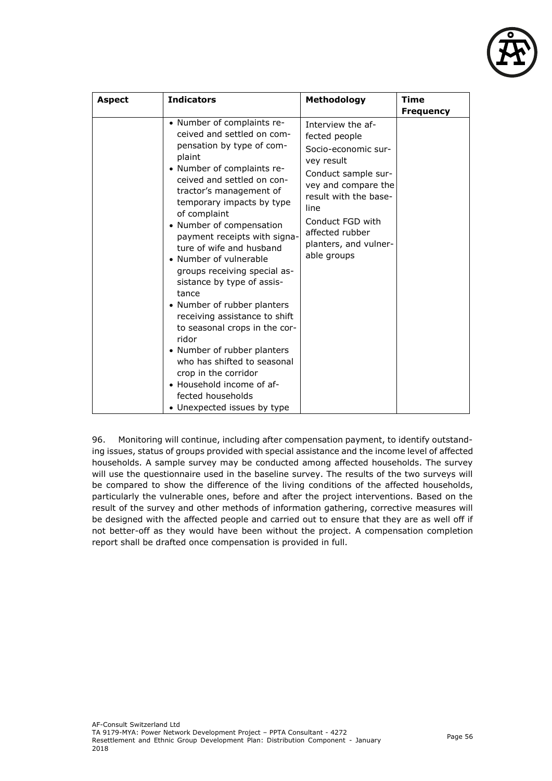

| <b>Aspect</b> | <b>Indicators</b>                                                                                                                                                                                                                                                                                                                                                                                                                                                                                                                                                                                                                                                                                             | Methodology                                                                                                                                                                                                                           | <b>Time</b>      |
|---------------|---------------------------------------------------------------------------------------------------------------------------------------------------------------------------------------------------------------------------------------------------------------------------------------------------------------------------------------------------------------------------------------------------------------------------------------------------------------------------------------------------------------------------------------------------------------------------------------------------------------------------------------------------------------------------------------------------------------|---------------------------------------------------------------------------------------------------------------------------------------------------------------------------------------------------------------------------------------|------------------|
|               |                                                                                                                                                                                                                                                                                                                                                                                                                                                                                                                                                                                                                                                                                                               |                                                                                                                                                                                                                                       |                  |
|               | • Number of complaints re-<br>ceived and settled on com-<br>pensation by type of com-<br>plaint<br>• Number of complaints re-<br>ceived and settled on con-<br>tractor's management of<br>temporary impacts by type<br>of complaint<br>• Number of compensation<br>payment receipts with signa-<br>ture of wife and husband<br>• Number of vulnerable<br>groups receiving special as-<br>sistance by type of assis-<br>tance<br>• Number of rubber planters<br>receiving assistance to shift<br>to seasonal crops in the cor-<br>ridor<br>• Number of rubber planters<br>who has shifted to seasonal<br>crop in the corridor<br>• Household income of af-<br>fected households<br>• Unexpected issues by type | Interview the af-<br>fected people<br>Socio-economic sur-<br>vey result<br>Conduct sample sur-<br>vey and compare the<br>result with the base-<br>line<br>Conduct FGD with<br>affected rubber<br>planters, and vulner-<br>able groups | <b>Frequency</b> |

96. Monitoring will continue, including after compensation payment, to identify outstanding issues, status of groups provided with special assistance and the income level of affected households. A sample survey may be conducted among affected households. The survey will use the questionnaire used in the baseline survey. The results of the two surveys will be compared to show the difference of the living conditions of the affected households, particularly the vulnerable ones, before and after the project interventions. Based on the result of the survey and other methods of information gathering, corrective measures will be designed with the affected people and carried out to ensure that they are as well off if not better-off as they would have been without the project. A compensation completion report shall be drafted once compensation is provided in full.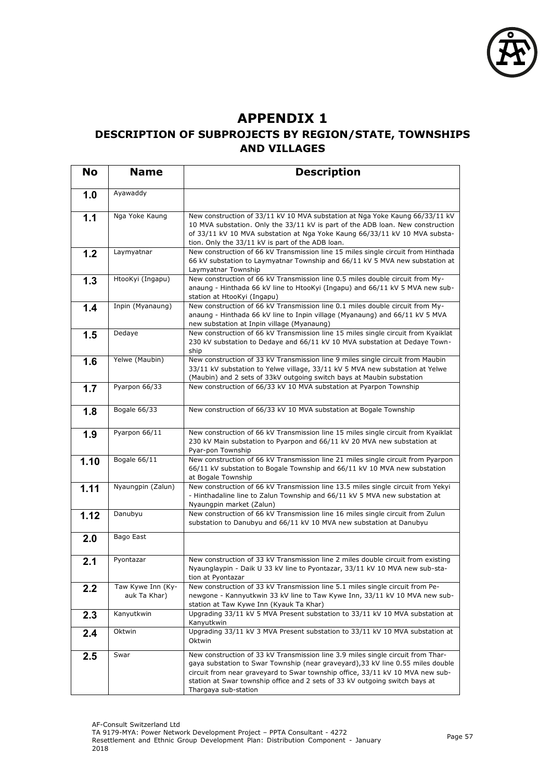

# **APPENDIX 1**

## **DESCRIPTION OF SUBPROJECTS BY REGION/STATE, TOWNSHIPS AND VILLAGES**

| <b>No</b> | <b>Name</b>                       | <b>Description</b>                                                                                                                                                                                                                                                                                                                                         |
|-----------|-----------------------------------|------------------------------------------------------------------------------------------------------------------------------------------------------------------------------------------------------------------------------------------------------------------------------------------------------------------------------------------------------------|
| 1.0       | Ayawaddy                          |                                                                                                                                                                                                                                                                                                                                                            |
| 1.1       | Nga Yoke Kaung                    | New construction of 33/11 kV 10 MVA substation at Nga Yoke Kaung 66/33/11 kV<br>10 MVA substation. Only the 33/11 kV is part of the ADB loan. New construction<br>of 33/11 kV 10 MVA substation at Nga Yoke Kaung 66/33/11 kV 10 MVA substa-<br>tion. Only the 33/11 kV is part of the ADB loan.                                                           |
| 1.2       | Laymyatnar                        | New construction of 66 kV Transmission line 15 miles single circuit from Hinthada<br>66 kV substation to Laymyatnar Township and 66/11 kV 5 MVA new substation at<br>Laymyatnar Township                                                                                                                                                                   |
| 1.3       | HtooKyi (Ingapu)                  | New construction of 66 kV Transmission line 0.5 miles double circuit from My-<br>anaung - Hinthada 66 kV line to HtooKyi (Ingapu) and 66/11 kV 5 MVA new sub-<br>station at HtooKyi (Ingapu)                                                                                                                                                               |
| 1.4       | Inpin (Myanaung)                  | New construction of 66 kV Transmission line 0.1 miles double circuit from My-<br>anaung - Hinthada 66 kV line to Inpin village (Myanaung) and 66/11 kV 5 MVA<br>new substation at Inpin village (Myanaung)                                                                                                                                                 |
| 1.5       | Dedaye                            | New construction of 66 kV Transmission line 15 miles single circuit from Kyaiklat<br>230 kV substation to Dedaye and 66/11 kV 10 MVA substation at Dedaye Town-<br>ship                                                                                                                                                                                    |
| 1.6       | Yelwe (Maubin)                    | New construction of 33 kV Transmission line 9 miles single circuit from Maubin<br>33/11 kV substation to Yelwe village, 33/11 kV 5 MVA new substation at Yelwe<br>(Maubin) and 2 sets of 33kV outgoing switch bays at Maubin substation                                                                                                                    |
| 1.7       | Pyarpon 66/33                     | New construction of 66/33 kV 10 MVA substation at Pyarpon Township                                                                                                                                                                                                                                                                                         |
| 1.8       | Bogale 66/33                      | New construction of 66/33 kV 10 MVA substation at Bogale Township                                                                                                                                                                                                                                                                                          |
| 1.9       | Pyarpon 66/11                     | New construction of 66 kV Transmission line 15 miles single circuit from Kyaiklat<br>230 kV Main substation to Pyarpon and 66/11 kV 20 MVA new substation at<br>Pyar-pon Township                                                                                                                                                                          |
| 1.10      | Bogale 66/11                      | New construction of 66 kV Transmission line 21 miles single circuit from Pyarpon<br>66/11 kV substation to Bogale Township and 66/11 kV 10 MVA new substation<br>at Bogale Township                                                                                                                                                                        |
| 1.11      | Nyaungpin (Zalun)                 | New construction of 66 kV Transmission line 13.5 miles single circuit from Yekyi<br>- Hinthadaline line to Zalun Township and 66/11 kV 5 MVA new substation at<br>Nyaungpin market (Zalun)                                                                                                                                                                 |
| 1.12      | Danubyu                           | New construction of 66 kV Transmission line 16 miles single circuit from Zulun<br>substation to Danubyu and 66/11 kV 10 MVA new substation at Danubyu                                                                                                                                                                                                      |
| 2.0       | Bago East                         |                                                                                                                                                                                                                                                                                                                                                            |
| 2.1       | Pyontazar                         | New construction of 33 kV Transmission line 2 miles double circuit from existing<br>Nyaunglaypin - Daik U 33 kV line to Pyontazar, 33/11 kV 10 MVA new sub-sta-<br>tion at Pyontazar                                                                                                                                                                       |
| 2.2       | Taw Kywe Inn (Ky-<br>auk Ta Khar) | New construction of 33 kV Transmission line 5.1 miles single circuit from Pe-<br>newgone - Kannyutkwin 33 kV line to Taw Kywe Inn, 33/11 kV 10 MVA new sub-<br>station at Taw Kywe Inn (Kyauk Ta Khar)                                                                                                                                                     |
| 2.3       | Kanyutkwin                        | Upgrading 33/11 kV 5 MVA Present substation to 33/11 kV 10 MVA substation at<br>Kanyutkwin                                                                                                                                                                                                                                                                 |
| 2.4       | Oktwin                            | Upgrading 33/11 kV 3 MVA Present substation to 33/11 kV 10 MVA substation at<br>Oktwin                                                                                                                                                                                                                                                                     |
| 2.5       | Swar                              | New construction of 33 kV Transmission line 3.9 miles single circuit from Thar-<br>gaya substation to Swar Township (near graveyard), 33 kV line 0.55 miles double<br>circuit from near graveyard to Swar township office, 33/11 kV 10 MVA new sub-<br>station at Swar township office and 2 sets of 33 kV outgoing switch bays at<br>Thargaya sub-station |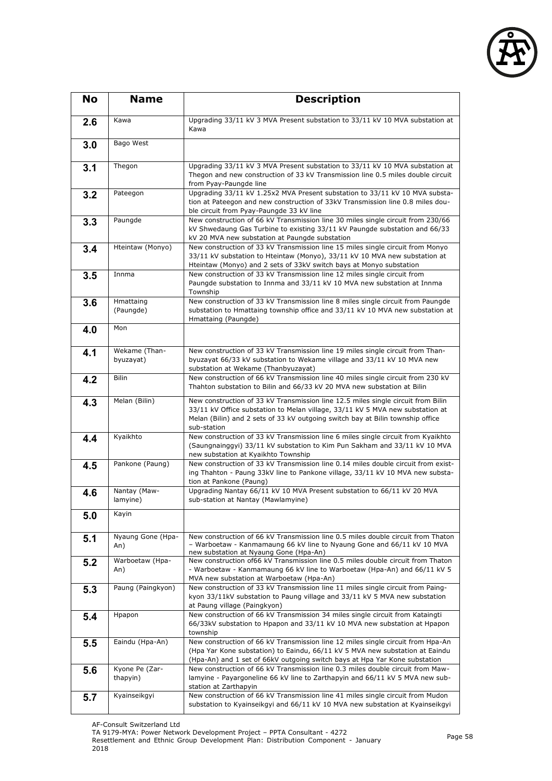

| <b>No</b> | <b>Name</b>                | <b>Description</b>                                                                                                                                                                                                                                                 |
|-----------|----------------------------|--------------------------------------------------------------------------------------------------------------------------------------------------------------------------------------------------------------------------------------------------------------------|
| 2.6       | Kawa                       | Upgrading 33/11 kV 3 MVA Present substation to 33/11 kV 10 MVA substation at<br>Kawa                                                                                                                                                                               |
| 3.0       | Bago West                  |                                                                                                                                                                                                                                                                    |
| 3.1       | Thegon                     | Upgrading 33/11 kV 3 MVA Present substation to 33/11 kV 10 MVA substation at<br>Thegon and new construction of 33 kV Transmission line 0.5 miles double circuit<br>from Pyay-Paungde line                                                                          |
| 3.2       | Pateegon                   | Upgrading 33/11 kV 1.25x2 MVA Present substation to 33/11 kV 10 MVA substa-<br>tion at Pateegon and new construction of 33kV Transmission line 0.8 miles dou-<br>ble circuit from Pyay-Paungde 33 kV line                                                          |
| 3.3       | Paungde                    | New construction of 66 kV Transmission line 30 miles single circuit from 230/66<br>kV Shwedaung Gas Turbine to existing 33/11 kV Paungde substation and 66/33<br>kV 20 MVA new substation at Paungde substation                                                    |
| 3.4       | Hteintaw (Monyo)           | New construction of 33 kV Transmission line 15 miles single circuit from Monyo<br>33/11 kV substation to Hteintaw (Monyo), 33/11 kV 10 MVA new substation at<br>Hteintaw (Monyo) and 2 sets of 33kV switch bays at Monyo substation                                |
| 3.5       | Innma                      | New construction of 33 kV Transmission line 12 miles single circuit from<br>Paungde substation to Innma and 33/11 kV 10 MVA new substation at Innma<br>Township                                                                                                    |
| 3.6       | Hmattaing<br>(Paungde)     | New construction of 33 kV Transmission line 8 miles single circuit from Paungde<br>substation to Hmattaing township office and 33/11 kV 10 MVA new substation at<br>Hmattaing (Paungde)                                                                            |
| 4.0       | Mon                        |                                                                                                                                                                                                                                                                    |
| 4.1       | Wekame (Than-<br>byuzayat) | New construction of 33 kV Transmission line 19 miles single circuit from Than-<br>byuzayat 66/33 kV substation to Wekame village and 33/11 kV 10 MVA new<br>substation at Wekame (Thanbyuzayat)                                                                    |
| 4.2       | <b>Bilin</b>               | New construction of 66 kV Transmission line 40 miles single circuit from 230 kV<br>Thahton substation to Bilin and 66/33 kV 20 MVA new substation at Bilin                                                                                                         |
| 4.3       | Melan (Bilin)              | New construction of 33 kV Transmission line 12.5 miles single circuit from Bilin<br>33/11 kV Office substation to Melan village, 33/11 kV 5 MVA new substation at<br>Melan (Bilin) and 2 sets of 33 kV outgoing switch bay at Bilin township office<br>sub-station |
| 4.4       | Kyaikhto                   | New construction of 33 kV Transmission line 6 miles single circuit from Kyaikhto<br>(Saungnainggyi) 33/11 kV substation to Kim Pun Sakham and 33/11 kV 10 MVA<br>new substation at Kyaikhto Township                                                               |
| 4.5       | Pankone (Paung)            | New construction of 33 kV Transmission line 0.14 miles double circuit from exist-<br>ing Thahton - Paung 33kV line to Pankone village, 33/11 kV 10 MVA new substa-<br>tion at Pankone (Paung)                                                                      |
| 4.6       | Nantay (Maw-<br>lamyine)   | Upgrading Nantay 66/11 kV 10 MVA Present substation to 66/11 kV 20 MVA<br>sub-station at Nantay (Mawlamyine)                                                                                                                                                       |
| 5.0       | Kayin                      |                                                                                                                                                                                                                                                                    |
| 5.1       | Nyaung Gone (Hpa-<br>An)   | New construction of 66 kV Transmission line 0.5 miles double circuit from Thaton<br>- Warboetaw - Kanmamaung 66 kV line to Nyaung Gone and 66/11 kV 10 MVA<br>new substation at Nyaung Gone (Hpa-An)                                                               |
| 5.2       | Warboetaw (Hpa-<br>An)     | New construction of66 kV Transmission line 0.5 miles double circuit from Thaton<br>- Warboetaw - Kanmamaung 66 kV line to Warboetaw (Hpa-An) and 66/11 kV 5<br>MVA new substation at Warboetaw (Hpa-An)                                                            |
| 5.3       | Paung (Paingkyon)          | New construction of 33 kV Transmission line 11 miles single circuit from Paing-<br>kyon 33/11kV substation to Paung village and 33/11 kV 5 MVA new substation<br>at Paung village (Paingkyon)                                                                      |
| 5.4       | Hpapon                     | New construction of 66 kV Transmission 34 miles single circuit from Kataingti<br>66/33kV substation to Hpapon and 33/11 kV 10 MVA new substation at Hpapon<br>township                                                                                             |
| 5.5       | Eaindu (Hpa-An)            | New construction of 66 kV Transmission line 12 miles single circuit from Hpa-An<br>(Hpa Yar Kone substation) to Eaindu, 66/11 kV 5 MVA new substation at Eaindu<br>(Hpa-An) and 1 set of 66kV outgoing switch bays at Hpa Yar Kone substation                      |
| 5.6       | Kyone Pe (Zar-<br>thapyin) | New construction of 66 kV Transmission line 0.3 miles double circuit from Maw-<br>lamyine - Payargoneline 66 kV line to Zarthapyin and 66/11 kV 5 MVA new sub-<br>station at Zarthapyin                                                                            |
| 5.7       | Kyainseikgyi               | New construction of 66 kV Transmission line 41 miles single circuit from Mudon<br>substation to Kyainseikgyi and 66/11 kV 10 MVA new substation at Kyainseikgyi                                                                                                    |

AF-Consult Switzerland Ltd

TA 9179-MYA: Power Network Development Project – PPTA Consultant - 4272

Resettlement and Ethnic Group Development Plan: Distribution Component - January 2018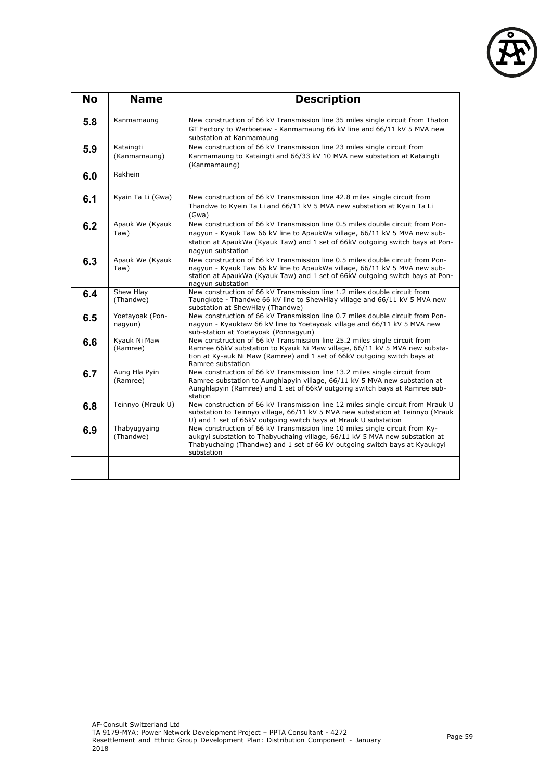

| <b>No</b> | <b>Name</b>                | <b>Description</b>                                                                                                                                                                                                                                                |
|-----------|----------------------------|-------------------------------------------------------------------------------------------------------------------------------------------------------------------------------------------------------------------------------------------------------------------|
| 5.8       | Kanmamaung                 | New construction of 66 kV Transmission line 35 miles single circuit from Thaton<br>GT Factory to Warboetaw - Kanmamaung 66 kV line and 66/11 kV 5 MVA new<br>substation at Kanmamaung                                                                             |
| 5.9       | Kataingti<br>(Kanmamaung)  | New construction of 66 kV Transmission line 23 miles single circuit from<br>Kanmamaung to Kataingti and 66/33 kV 10 MVA new substation at Kataingti<br>(Kanmamaung)                                                                                               |
| 6.0       | Rakhein                    |                                                                                                                                                                                                                                                                   |
| 6.1       | Kyain Ta Li (Gwa)          | New construction of 66 kV Transmission line 42.8 miles single circuit from<br>Thandwe to Kyein Ta Li and 66/11 kV 5 MVA new substation at Kyain Ta Li<br>(Gwa)                                                                                                    |
| 6.2       | Apauk We (Kyauk<br>Taw)    | New construction of 66 kV Transmission line 0.5 miles double circuit from Pon-<br>nagyun - Kyauk Taw 66 kV line to ApaukWa village, 66/11 kV 5 MVA new sub-<br>station at ApaukWa (Kyauk Taw) and 1 set of 66kV outgoing switch bays at Pon-<br>nagyun substation |
| 6.3       | Apauk We (Kyauk<br>Taw)    | New construction of 66 kV Transmission line 0.5 miles double circuit from Pon-<br>nagyun - Kyauk Taw 66 kV line to ApaukWa village, 66/11 kV 5 MVA new sub-<br>station at ApaukWa (Kyauk Taw) and 1 set of 66kV outgoing switch bays at Pon-<br>nagyun substation |
| 6.4       | Shew Hlay<br>(Thandwe)     | New construction of 66 kV Transmission line 1.2 miles double circuit from<br>Taungkote - Thandwe 66 kV line to ShewHlay village and 66/11 kV 5 MVA new<br>substation at ShewHlay (Thandwe)                                                                        |
| 6.5       | Yoetayoak (Pon-<br>nagyun) | New construction of 66 kV Transmission line 0.7 miles double circuit from Pon-<br>nagyun - Kyauktaw 66 kV line to Yoetayoak village and 66/11 kV 5 MVA new<br>sub-station at Yoetayoak (Ponnagyun)                                                                |
| 6.6       | Kyauk Ni Maw<br>(Ramree)   | New construction of 66 kV Transmission line 25.2 miles single circuit from<br>Ramree 66kV substation to Kyauk Ni Maw village, 66/11 kV 5 MVA new substa-<br>tion at Ky-auk Ni Maw (Ramree) and 1 set of 66kV outgoing switch bays at<br>Ramree substation         |
| 6.7       | Aung Hla Pyin<br>(Ramree)  | New construction of 66 kV Transmission line 13.2 miles single circuit from<br>Ramree substation to Aunghlapyin village, 66/11 kV 5 MVA new substation at<br>Aunghlapyin (Ramree) and 1 set of 66kV outgoing switch bays at Ramree sub-<br>station                 |
| 6.8       | Teinnyo (Mrauk U)          | New construction of 66 kV Transmission line 12 miles single circuit from Mrauk U<br>substation to Teinnyo village, 66/11 kV 5 MVA new substation at Teinnyo (Mrauk<br>U) and 1 set of 66kV outgoing switch bays at Mrauk U substation                             |
| 6.9       | Thabyugyaing<br>(Thandwe)  | New construction of 66 kV Transmission line 10 miles single circuit from Ky-<br>aukgyi substation to Thabyuchaing village, 66/11 kV 5 MVA new substation at<br>Thabyuchaing (Thandwe) and 1 set of 66 kV outgoing switch bays at Kyaukgyi<br>substation           |
|           |                            |                                                                                                                                                                                                                                                                   |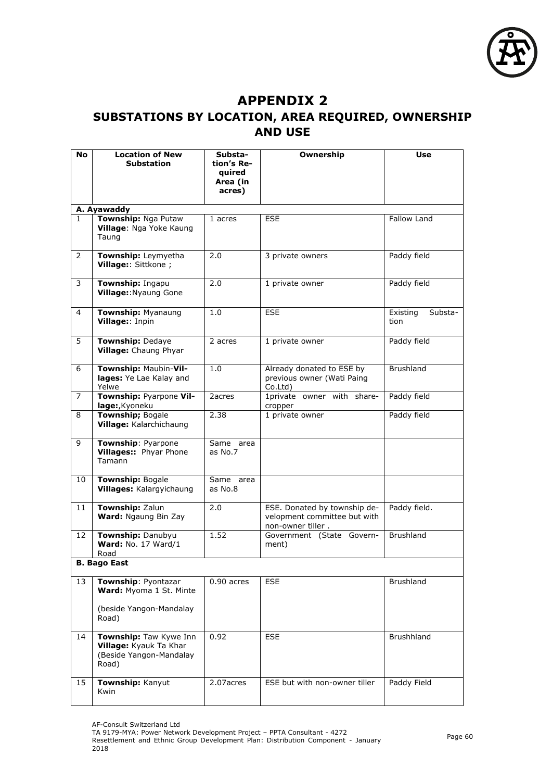

## **APPENDIX 2**

# **SUBSTATIONS BY LOCATION, AREA REQUIRED, OWNERSHIP AND USE**

| No           | <b>Location of New</b><br><b>Substation</b>                                          | Substa-<br>tion's Re- | Ownership                                                                         | Use                         |
|--------------|--------------------------------------------------------------------------------------|-----------------------|-----------------------------------------------------------------------------------|-----------------------------|
|              |                                                                                      | quired                |                                                                                   |                             |
|              |                                                                                      | Area (in<br>acres)    |                                                                                   |                             |
|              |                                                                                      |                       |                                                                                   |                             |
| $\mathbf{1}$ | A. Ayawaddy<br>Township: Nga Putaw                                                   | 1 acres               | <b>ESE</b>                                                                        | Fallow Land                 |
|              | Village: Nga Yoke Kaung<br>Taung                                                     |                       |                                                                                   |                             |
| 2            | Township: Leymyetha<br>Village:: Sittkone ;                                          | 2.0                   | 3 private owners                                                                  | Paddy field                 |
| 3            | Township: Ingapu<br>Village:: Nyaung Gone                                            | 2.0                   | 1 private owner                                                                   | Paddy field                 |
| 4            | Township: Myanaung<br>Village:: Inpin                                                | 1.0                   | <b>ESE</b>                                                                        | Existing<br>Substa-<br>tion |
| 5            | Township: Dedaye<br>Village: Chaung Phyar                                            | 2 acres               | 1 private owner                                                                   | Paddy field                 |
| 6            | Township: Maubin-Vil-<br>lages: Ye Lae Kalay and<br>Yelwe                            | 1.0                   | Already donated to ESE by<br>previous owner (Wati Paing<br>Co.Ltd)                | <b>Brushland</b>            |
| 7            | Township: Pyarpone Vil-<br>lage:, Kyoneku                                            | 2acres                | 1private owner with share-<br>cropper                                             | Paddy field                 |
| 8            | <b>Township; Bogale</b><br>Village: Kalarchichaung                                   | 2.38                  | 1 private owner                                                                   | Paddy field                 |
| 9            | Township: Pyarpone<br>Villages: Phyar Phone<br>Tamann                                | Same area<br>as No.7  |                                                                                   |                             |
| 10           | <b>Township: Bogale</b><br><b>Villages: Kalargyichaung</b>                           | Same area<br>as No.8  |                                                                                   |                             |
| 11           | Township: Zalun<br>Ward: Ngaung Bin Zay                                              | 2.0                   | ESE. Donated by township de-<br>velopment committee but with<br>non-owner tiller. | Paddy field.                |
| 12           | Township: Danubyu<br>Ward: No. 17 Ward/1<br>Road                                     | 1.52                  | Government (State Govern-<br>ment)                                                | Brushland                   |
|              | <b>B. Bago East</b>                                                                  |                       |                                                                                   |                             |
| 13           | Township: Pyontazar<br>Ward: Myoma 1 St. Minte                                       | $0.90$ acres          | <b>ESE</b>                                                                        | Brushland                   |
|              | (beside Yangon-Mandalay<br>Road)                                                     |                       |                                                                                   |                             |
| 14           | Township: Taw Kywe Inn<br>Village: Kyauk Ta Khar<br>(Beside Yangon-Mandalay<br>Road) | 0.92                  | <b>ESE</b>                                                                        | Brushhland                  |
| 15           | Township: Kanyut<br>Kwin                                                             | 2.07acres             | ESE but with non-owner tiller                                                     | Paddy Field                 |

TA 9179-MYA: Power Network Development Project – PPTA Consultant - 4272

Resettlement and Ethnic Group Development Plan: Distribution Component - January 2018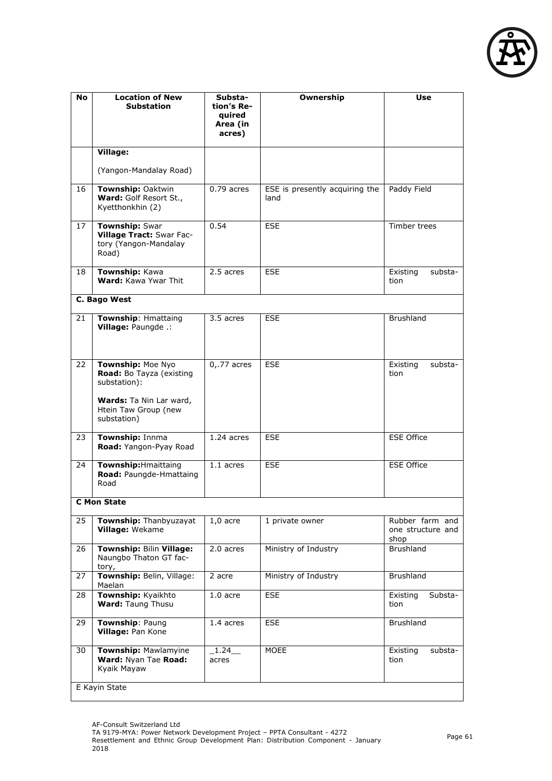

| No | <b>Location of New</b><br>Substation                                                                                            | Substa-<br>tion's Re-<br>quired<br>Area (in<br>acres) | Ownership                              | Use                                          |
|----|---------------------------------------------------------------------------------------------------------------------------------|-------------------------------------------------------|----------------------------------------|----------------------------------------------|
|    | Village:<br>(Yangon-Mandalay Road)                                                                                              |                                                       |                                        |                                              |
| 16 | Township: Oaktwin<br>Ward: Golf Resort St.,<br>Kyetthonkhin (2)                                                                 | $0.79$ acres                                          | ESE is presently acquiring the<br>land | Paddy Field                                  |
| 17 | <b>Township: Swar</b><br>Village Tract: Swar Fac-<br>tory (Yangon-Mandalay<br>Road)                                             | 0.54                                                  | <b>ESE</b>                             | Timber trees                                 |
| 18 | Township: Kawa<br>Ward: Kawa Ywar Thit                                                                                          | 2.5 acres                                             | <b>ESE</b>                             | Existing<br>substa-<br>tion                  |
|    | C. Bago West                                                                                                                    |                                                       |                                        |                                              |
| 21 | <b>Township: Hmattaing</b><br>Village: Paungde .:                                                                               | 3.5 acres                                             | <b>ESE</b>                             | <b>Brushland</b>                             |
| 22 | Township: Moe Nyo<br>Road: Bo Tayza (existing<br>substation):<br>Wards: Ta Nin Lar ward,<br>Htein Taw Group (new<br>substation) | $0,77$ acres                                          | <b>ESE</b>                             | Existing<br>substa-<br>tion                  |
| 23 | Township: Innma<br>Road: Yangon-Pyay Road                                                                                       | 1.24 acres                                            | <b>ESE</b>                             | <b>ESE Office</b>                            |
| 24 | Township: Hmaittaing<br>Road: Paungde-Hmattaing<br>Road                                                                         | 1.1 acres                                             | <b>ESE</b>                             | <b>ESE Office</b>                            |
|    | <b>C</b> Mon State                                                                                                              |                                                       |                                        |                                              |
| 25 | Township: Thanbyuzayat<br>Village: Wekame                                                                                       | $1,0$ acre                                            | 1 private owner                        | Rubber farm and<br>one structure and<br>shop |
| 26 | Township: Bilin Village:<br>Naungbo Thaton GT fac-<br>tory,                                                                     | 2.0 acres                                             | Ministry of Industry                   | Brushland                                    |
| 27 | Township: Belin, Village:<br>Maelan                                                                                             | 2 acre                                                | Ministry of Industry                   | <b>Brushland</b>                             |
| 28 | Township: Kyaikhto<br>Ward: Taung Thusu                                                                                         | $1.0$ acre                                            | <b>ESE</b>                             | Existing<br>Substa-<br>tion                  |
| 29 | Township: Paung<br>Village: Pan Kone                                                                                            | 1.4 acres                                             | <b>ESE</b>                             | Brushland                                    |
| 30 | Township: Mawlamyine<br>Ward: Nyan Tae Road:<br>Kyaik Mayaw                                                                     | 1.24<br>acres                                         | <b>MOEE</b>                            | Existing<br>substa-<br>tion                  |
|    | E Kayin State                                                                                                                   |                                                       |                                        |                                              |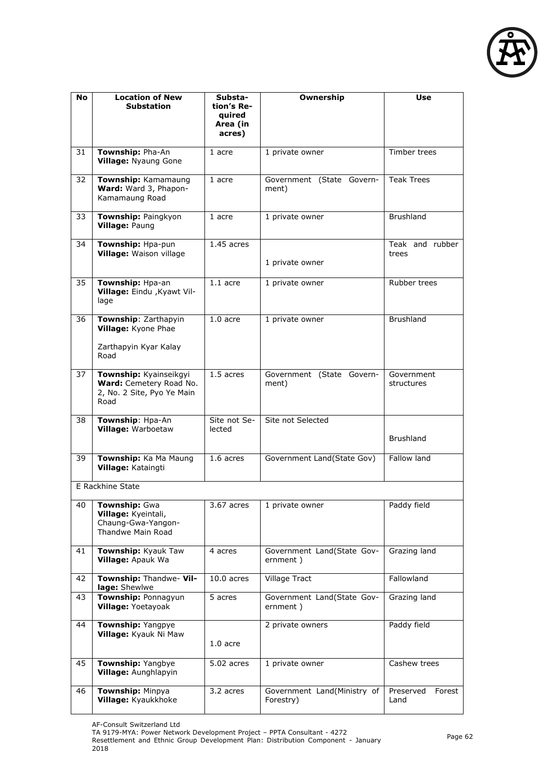

| No | <b>Location of New</b><br><b>Substation</b>                                             | Substa-<br>tion's Re-<br>quired<br>Area (in<br>acres) | Ownership                                | Use                         |
|----|-----------------------------------------------------------------------------------------|-------------------------------------------------------|------------------------------------------|-----------------------------|
| 31 | Township: Pha-An<br><b>Village: Nyaung Gone</b>                                         | 1 acre                                                | 1 private owner                          | Timber trees                |
| 32 | Township: Kamamaung<br>Ward: Ward 3, Phapon-<br>Kamamaung Road                          | 1 acre                                                | Government (State Govern-<br>ment)       | <b>Teak Trees</b>           |
| 33 | Township: Paingkyon<br>Village: Paung                                                   | 1 acre                                                | 1 private owner                          | <b>Brushland</b>            |
| 34 | Township: Hpa-pun<br>Village: Waison village                                            | 1.45 acres                                            | 1 private owner                          | Teak and rubber<br>trees    |
| 35 | Township: Hpa-an<br>Village: Eindu , Kyawt Vil-<br>lage                                 | $1.1$ acre                                            | 1 private owner                          | Rubber trees                |
| 36 | Township: Zarthapyin<br>Village: Kyone Phae<br>Zarthapyin Kyar Kalay                    | $1.0$ acre                                            | 1 private owner                          | <b>Brushland</b>            |
|    | Road                                                                                    |                                                       |                                          |                             |
| 37 | Township: Kyainseikgyi<br>Ward: Cemetery Road No.<br>2, No. 2 Site, Pyo Ye Main<br>Road | 1.5 acres                                             | Government (State Govern-<br>ment)       | Government<br>structures    |
| 38 | Township: Hpa-An<br>Village: Warboetaw                                                  | Site not Se-<br>lected                                | Site not Selected                        | <b>Brushland</b>            |
| 39 | Township: Ka Ma Maung<br>Village: Kataingti                                             | 1.6 acres                                             | Government Land(State Gov)               | Fallow land                 |
|    | E Rackhine State                                                                        |                                                       |                                          |                             |
|    | 40 Township: Gwa<br>Village: Kyeintali,<br>Chaung-Gwa-Yangon-<br>Thandwe Main Road      | 3.67 acres                                            | 1 private owner                          | Paddy field                 |
| 41 | Township: Kyauk Taw<br>Village: Apauk Wa                                                | 4 acres                                               | Government Land(State Gov-<br>ernment)   | Grazing land                |
| 42 | Township: Thandwe- Vil-<br>lage: Shewlwe                                                | $10.0$ acres                                          | <b>Village Tract</b>                     | Fallowland                  |
| 43 | Township: Ponnagyun<br>Village: Yoetayoak                                               | 5 acres                                               | Government Land(State Gov-<br>ernment)   | Grazing land                |
| 44 | Township: Yangpye<br>Village: Kyauk Ni Maw                                              | $1.0$ acre                                            | 2 private owners                         | Paddy field                 |
| 45 | Township: Yangbye<br>Village: Aunghlapyin                                               | 5.02 acres                                            | 1 private owner                          | Cashew trees                |
| 46 | Township: Minpya<br>Village: Kyaukkhoke                                                 | 3.2 acres                                             | Government Land(Ministry of<br>Forestry) | Preserved<br>Forest<br>Land |

AF-Consult Switzerland Ltd

TA 9179-MYA: Power Network Development Project – PPTA Consultant - 4272

Resettlement and Ethnic Group Development Plan: Distribution Component - January 2018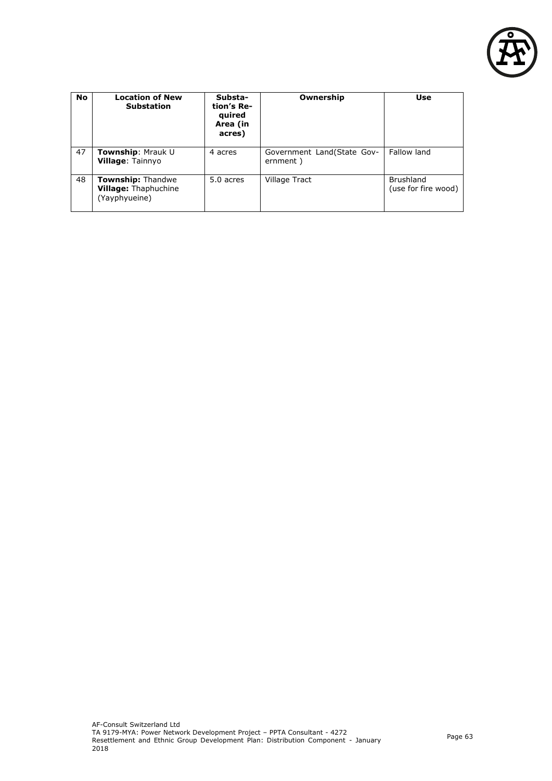

| <b>No</b> | <b>Location of New</b><br><b>Substation</b>                              | Substa-<br>tion's Re-<br>quired<br>Area (in<br>acres) | Ownership                               | <b>Use</b>                              |
|-----------|--------------------------------------------------------------------------|-------------------------------------------------------|-----------------------------------------|-----------------------------------------|
| 47        | Township: Mrauk U<br><b>Village: Tainnyo</b>                             | 4 acres                                               | Government Land (State Gov-<br>ernment) | Fallow land                             |
| 48        | <b>Township: Thandwe</b><br><b>Village: Thaphuchine</b><br>(Yayphyueine) | 5.0 acres                                             | Village Tract                           | <b>Brushland</b><br>(use for fire wood) |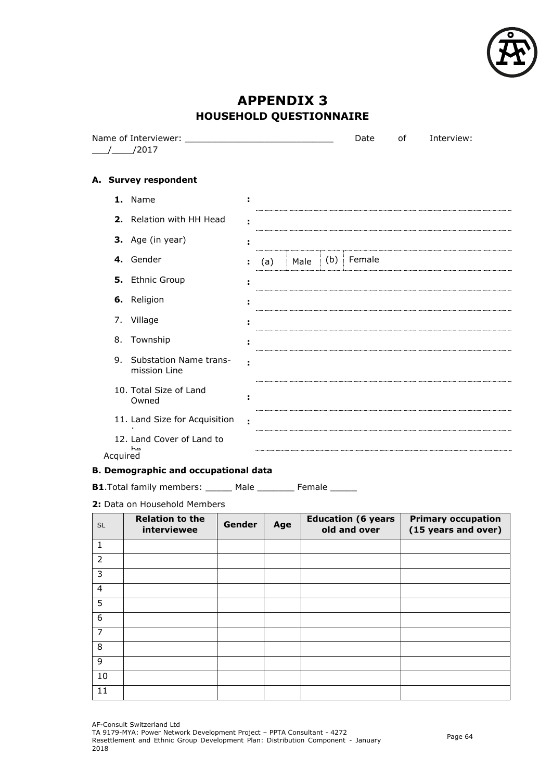

# **APPENDIX 3 HOUSEHOLD QUESTIONNAIRE**

|          |                                        |   |     |      |     | Date   | of | Interview: |
|----------|----------------------------------------|---|-----|------|-----|--------|----|------------|
|          | /2017                                  |   |     |      |     |        |    |            |
|          | A. Survey respondent                   |   |     |      |     |        |    |            |
|          | 1. Name                                | ÷ |     |      |     |        |    |            |
|          | 2. Relation with HH Head               |   |     |      |     |        |    |            |
|          | 3. Age (in year)                       |   |     |      |     |        |    |            |
|          | 4. Gender                              | ÷ | (a) | Male | (b) | Female |    |            |
|          | 5. Ethnic Group                        |   |     |      |     |        |    |            |
|          | 6. Religion                            |   |     |      |     |        |    |            |
|          | 7. Village                             |   |     |      |     |        |    |            |
| 8.       | Township                               |   |     |      |     |        |    |            |
| 9.       | Substation Name trans-<br>mission Line |   |     |      |     |        |    |            |
|          | 10. Total Size of Land<br>Owned        |   |     |      |     |        |    |            |
|          | 11. Land Size for Acquisition          |   |     |      |     |        |    |            |
|          | 12. Land Cover of Land to<br>ha        |   |     |      |     |        |    |            |
| Acquired | .                                      |   |     |      |     |        |    |            |

### **B. Demographic and occupational data**

**B1**.Total family members: \_\_\_\_\_\_ Male \_\_\_\_\_\_\_ Female \_\_\_\_\_

**2:** Data on Household Members

| <b>SL</b>      | <b>Relation to the</b><br>interviewee | Gender | Age | <b>Education (6 years</b><br>old and over | <b>Primary occupation</b><br>(15 years and over) |
|----------------|---------------------------------------|--------|-----|-------------------------------------------|--------------------------------------------------|
| $\mathbf 1$    |                                       |        |     |                                           |                                                  |
| $\overline{2}$ |                                       |        |     |                                           |                                                  |
| 3              |                                       |        |     |                                           |                                                  |
| $\overline{4}$ |                                       |        |     |                                           |                                                  |
| 5              |                                       |        |     |                                           |                                                  |
| 6              |                                       |        |     |                                           |                                                  |
| $\overline{7}$ |                                       |        |     |                                           |                                                  |
| 8              |                                       |        |     |                                           |                                                  |
| 9              |                                       |        |     |                                           |                                                  |
| 10             |                                       |        |     |                                           |                                                  |
| 11             |                                       |        |     |                                           |                                                  |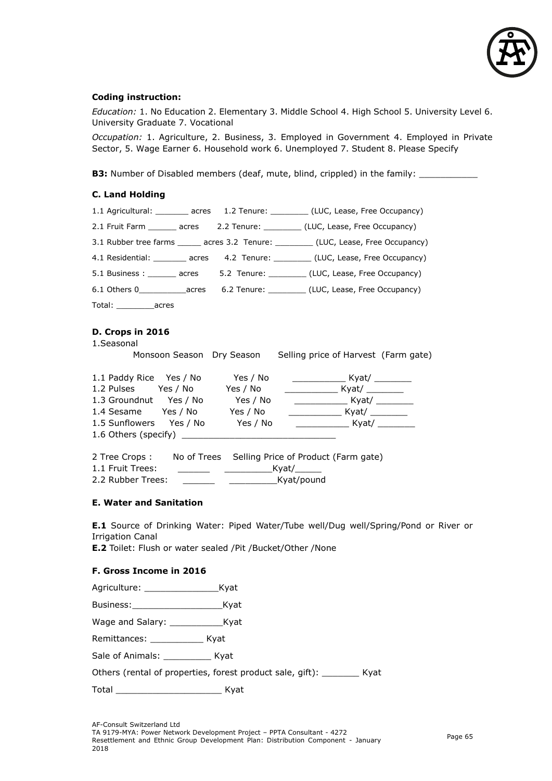

#### **Coding instruction:**

*Education:* 1. No Education 2. Elementary 3. Middle School 4. High School 5. University Level 6. University Graduate 7. Vocational

*Occupation:* 1. Agriculture, 2. Business, 3. Employed in Government 4. Employed in Private Sector, 5. Wage Earner 6. Household work 6. Unemployed 7. Student 8. Please Specify

**B3:** Number of Disabled members (deaf, mute, blind, crippled) in the family: \_\_\_\_\_\_\_\_

#### **C. Land Holding**

|                                                                                                                                     |  |  | 1.1 Agricultural: ________ acres 1.2 Tenure: ________ (LUC, Lease, Free Occupancy)    |  |  |  |  |
|-------------------------------------------------------------------------------------------------------------------------------------|--|--|---------------------------------------------------------------------------------------|--|--|--|--|
|                                                                                                                                     |  |  | 2.1 Fruit Farm _______ acres 2.2 Tenure: __________ (LUC, Lease, Free Occupancy)      |  |  |  |  |
|                                                                                                                                     |  |  | 3.1 Rubber tree farms ______ acres 3.2 Tenure: _________ (LUC, Lease, Free Occupancy) |  |  |  |  |
|                                                                                                                                     |  |  | 4.1 Residential: ________ acres 4.2 Tenure: _________ (LUC, Lease, Free Occupancy)    |  |  |  |  |
|                                                                                                                                     |  |  | 5.1 Business : _______ acres 5.2 Tenure: _________ (LUC, Lease, Free Occupancy)       |  |  |  |  |
|                                                                                                                                     |  |  | 6.1 Others 0______________acres 6.2 Tenure: ___________ (LUC, Lease, Free Occupancy)  |  |  |  |  |
| Total: _____________acres                                                                                                           |  |  |                                                                                       |  |  |  |  |
| D. Crops in 2016<br>1.Seasonal<br>Monsoon Season Dry Season Selling price of Harvest (Farm gate)                                    |  |  |                                                                                       |  |  |  |  |
| 1.1 Paddy Rice Yes / No Yes / No<br>1.2 Pulses Yes / No Yes / No<br>1.3 Groundnut Yes / No Yes / No<br>1.4 Sesame Yes / No Yes / No |  |  | _____________________ Kyat/ ___________<br>_____________________ Kyat/ __________     |  |  |  |  |
|                                                                                                                                     |  |  |                                                                                       |  |  |  |  |

2 Tree Crops : No of Trees Selling Price of Product (Farm gate) 1.1 Fruit Trees: \_\_\_\_\_\_ \_\_\_\_\_\_\_\_\_Kyat/\_\_\_\_\_ 2.2 Rubber Trees: example and the Kyat/pound

#### **E. Water and Sanitation**

**E.1** Source of Drinking Water: Piped Water/Tube well/Dug well/Spring/Pond or River or Irrigation Canal

**E.2** Toilet: Flush or water sealed /Pit /Bucket/Other /None

#### **F. Gross Income in 2016**

| Agriculture: | Kyat |
|--------------|------|
|--------------|------|

Business:\_\_\_\_\_\_\_\_\_\_\_\_\_\_\_\_\_Kyat

Wage and Salary: Kyat

Remittances: \_\_\_\_\_\_\_\_\_\_\_\_\_ Kyat

Sale of Animals: Example 2014

Others (rental of properties, forest product sale, gift): \_\_\_\_\_\_\_ Kyat

Total \_\_\_\_\_\_\_\_\_\_\_\_\_\_\_\_\_\_\_\_ Kyat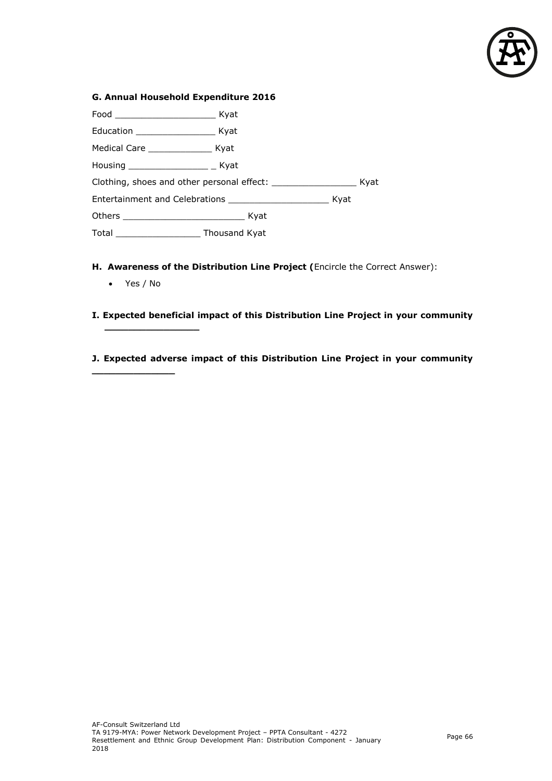

| G. Annual Household Expenditure 2016 |      |  |
|--------------------------------------|------|--|
|                                      |      |  |
|                                      |      |  |
| Medical Care _________________ Kyat  |      |  |
| Housing ___________________ _ Kyat   |      |  |
|                                      | Kyat |  |
|                                      |      |  |
|                                      |      |  |
|                                      |      |  |

- **H. Awareness of the Distribution Line Project (**Encircle the Correct Answer):
	- Yes / No

**\_\_\_\_\_\_\_\_\_\_\_\_\_\_**

**\_\_\_\_\_\_\_\_\_\_\_\_\_\_\_\_**

- **I. Expected beneficial impact of this Distribution Line Project in your community**
- **J. Expected adverse impact of this Distribution Line Project in your community**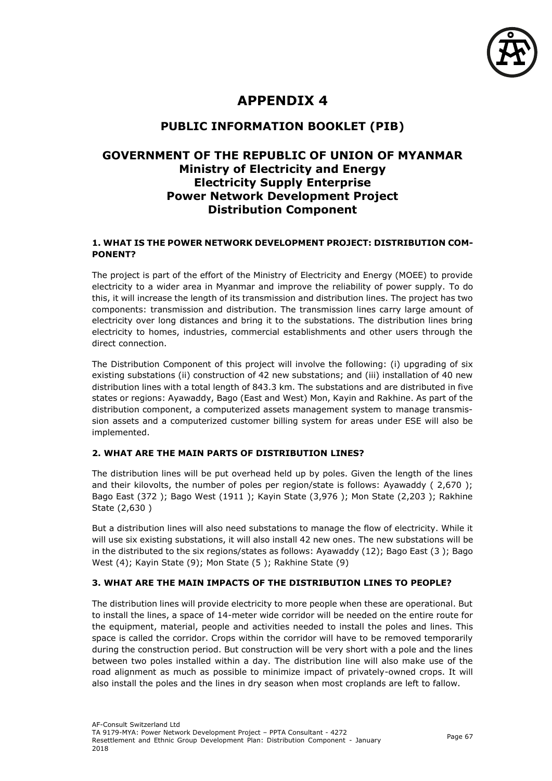

# **APPENDIX 4**

### **PUBLIC INFORMATION BOOKLET (PIB)**

### **GOVERNMENT OF THE REPUBLIC OF UNION OF MYANMAR Ministry of Electricity and Energy Electricity Supply Enterprise Power Network Development Project Distribution Component**

#### **1. WHAT IS THE POWER NETWORK DEVELOPMENT PROJECT: DISTRIBUTION COM-PONENT?**

The project is part of the effort of the Ministry of Electricity and Energy (MOEE) to provide electricity to a wider area in Myanmar and improve the reliability of power supply. To do this, it will increase the length of its transmission and distribution lines. The project has two components: transmission and distribution. The transmission lines carry large amount of electricity over long distances and bring it to the substations. The distribution lines bring electricity to homes, industries, commercial establishments and other users through the direct connection.

The Distribution Component of this project will involve the following: (i) upgrading of six existing substations (ii) construction of 42 new substations; and (iii) installation of 40 new distribution lines with a total length of 843.3 km. The substations and are distributed in five states or regions: Ayawaddy, Bago (East and West) Mon, Kayin and Rakhine. As part of the distribution component, a computerized assets management system to manage transmission assets and a computerized customer billing system for areas under ESE will also be implemented.

### **2. WHAT ARE THE MAIN PARTS OF DISTRIBUTION LINES?**

The distribution lines will be put overhead held up by poles. Given the length of the lines and their kilovolts, the number of poles per region/state is follows: Ayawaddy ( 2,670 ); Bago East (372 ); Bago West (1911 ); Kayin State (3,976 ); Mon State (2,203 ); Rakhine State (2,630 )

But a distribution lines will also need substations to manage the flow of electricity. While it will use six existing substations, it will also install 42 new ones. The new substations will be in the distributed to the six regions/states as follows: Ayawaddy (12); Bago East (3 ); Bago West (4); Kayin State (9); Mon State (5 ); Rakhine State (9)

### **3. WHAT ARE THE MAIN IMPACTS OF THE DISTRIBUTION LINES TO PEOPLE?**

The distribution lines will provide electricity to more people when these are operational. But to install the lines, a space of 14-meter wide corridor will be needed on the entire route for the equipment, material, people and activities needed to install the poles and lines. This space is called the corridor. Crops within the corridor will have to be removed temporarily during the construction period. But construction will be very short with a pole and the lines between two poles installed within a day. The distribution line will also make use of the road alignment as much as possible to minimize impact of privately-owned crops. It will also install the poles and the lines in dry season when most croplands are left to fallow.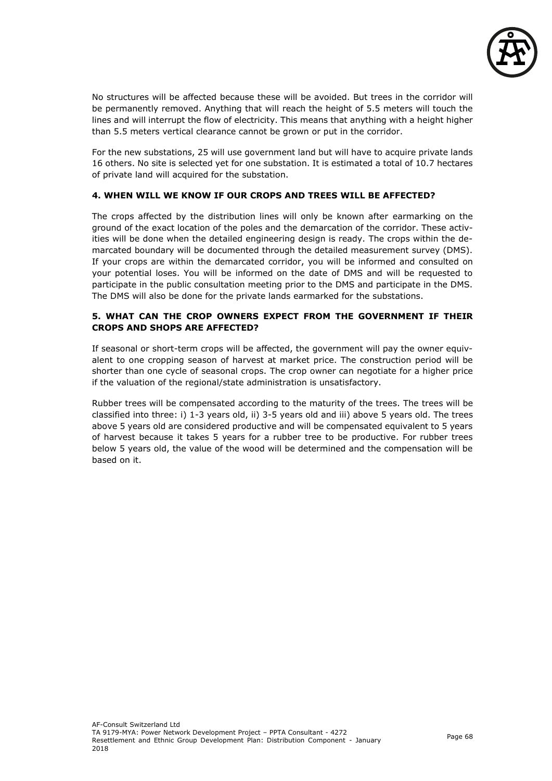

No structures will be affected because these will be avoided. But trees in the corridor will be permanently removed. Anything that will reach the height of 5.5 meters will touch the lines and will interrupt the flow of electricity. This means that anything with a height higher than 5.5 meters vertical clearance cannot be grown or put in the corridor.

For the new substations, 25 will use government land but will have to acquire private lands 16 others. No site is selected yet for one substation. It is estimated a total of 10.7 hectares of private land will acquired for the substation.

### **4. WHEN WILL WE KNOW IF OUR CROPS AND TREES WILL BE AFFECTED?**

The crops affected by the distribution lines will only be known after earmarking on the ground of the exact location of the poles and the demarcation of the corridor. These activities will be done when the detailed engineering design is ready. The crops within the demarcated boundary will be documented through the detailed measurement survey (DMS). If your crops are within the demarcated corridor, you will be informed and consulted on your potential loses. You will be informed on the date of DMS and will be requested to participate in the public consultation meeting prior to the DMS and participate in the DMS. The DMS will also be done for the private lands earmarked for the substations.

### **5. WHAT CAN THE CROP OWNERS EXPECT FROM THE GOVERNMENT IF THEIR CROPS AND SHOPS ARE AFFECTED?**

If seasonal or short-term crops will be affected, the government will pay the owner equivalent to one cropping season of harvest at market price. The construction period will be shorter than one cycle of seasonal crops. The crop owner can negotiate for a higher price if the valuation of the regional/state administration is unsatisfactory.

Rubber trees will be compensated according to the maturity of the trees. The trees will be classified into three: i) 1-3 years old, ii) 3-5 years old and iii) above 5 years old. The trees above 5 years old are considered productive and will be compensated equivalent to 5 years of harvest because it takes 5 years for a rubber tree to be productive. For rubber trees below 5 years old, the value of the wood will be determined and the compensation will be based on it.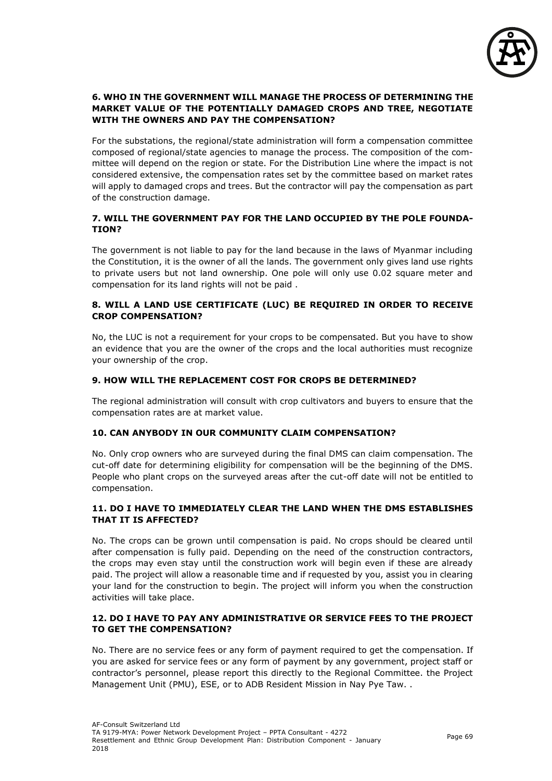

### **6. WHO IN THE GOVERNMENT WILL MANAGE THE PROCESS OF DETERMINING THE MARKET VALUE OF THE POTENTIALLY DAMAGED CROPS AND TREE, NEGOTIATE WITH THE OWNERS AND PAY THE COMPENSATION?**

For the substations, the regional/state administration will form a compensation committee composed of regional/state agencies to manage the process. The composition of the committee will depend on the region or state. For the Distribution Line where the impact is not considered extensive, the compensation rates set by the committee based on market rates will apply to damaged crops and trees. But the contractor will pay the compensation as part of the construction damage.

### **7. WILL THE GOVERNMENT PAY FOR THE LAND OCCUPIED BY THE POLE FOUNDA-TION?**

The government is not liable to pay for the land because in the laws of Myanmar including the Constitution, it is the owner of all the lands. The government only gives land use rights to private users but not land ownership. One pole will only use 0.02 square meter and compensation for its land rights will not be paid .

### **8. WILL A LAND USE CERTIFICATE (LUC) BE REQUIRED IN ORDER TO RECEIVE CROP COMPENSATION?**

No, the LUC is not a requirement for your crops to be compensated. But you have to show an evidence that you are the owner of the crops and the local authorities must recognize your ownership of the crop.

### **9. HOW WILL THE REPLACEMENT COST FOR CROPS BE DETERMINED?**

The regional administration will consult with crop cultivators and buyers to ensure that the compensation rates are at market value.

### **10. CAN ANYBODY IN OUR COMMUNITY CLAIM COMPENSATION?**

No. Only crop owners who are surveyed during the final DMS can claim compensation. The cut-off date for determining eligibility for compensation will be the beginning of the DMS. People who plant crops on the surveyed areas after the cut-off date will not be entitled to compensation.

### **11. DO I HAVE TO IMMEDIATELY CLEAR THE LAND WHEN THE DMS ESTABLISHES THAT IT IS AFFECTED?**

No. The crops can be grown until compensation is paid. No crops should be cleared until after compensation is fully paid. Depending on the need of the construction contractors, the crops may even stay until the construction work will begin even if these are already paid. The project will allow a reasonable time and if requested by you, assist you in clearing your land for the construction to begin. The project will inform you when the construction activities will take place.

### **12. DO I HAVE TO PAY ANY ADMINISTRATIVE OR SERVICE FEES TO THE PROJECT TO GET THE COMPENSATION?**

No. There are no service fees or any form of payment required to get the compensation. If you are asked for service fees or any form of payment by any government, project staff or contractor's personnel, please report this directly to the Regional Committee. the Project Management Unit (PMU), ESE, or to ADB Resident Mission in Nay Pye Taw. .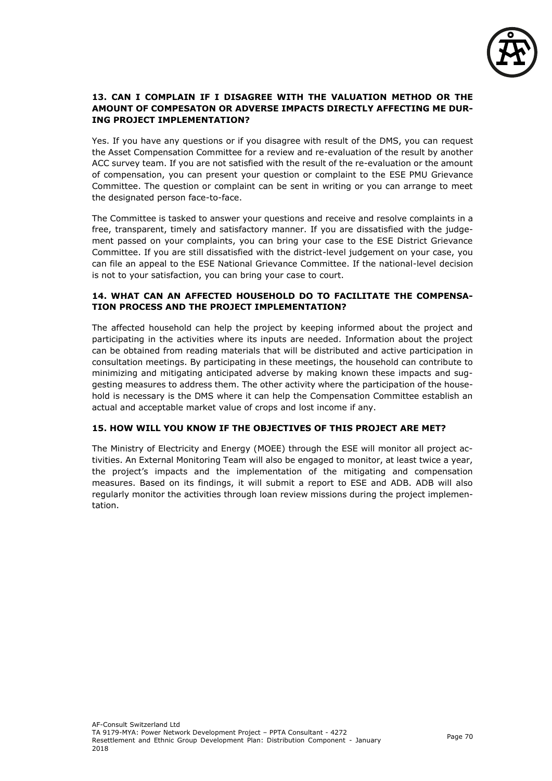

### **13. CAN I COMPLAIN IF I DISAGREE WITH THE VALUATION METHOD OR THE AMOUNT OF COMPESATON OR ADVERSE IMPACTS DIRECTLY AFFECTING ME DUR-ING PROJECT IMPLEMENTATION?**

Yes. If you have any questions or if you disagree with result of the DMS, you can request the Asset Compensation Committee for a review and re-evaluation of the result by another ACC survey team. If you are not satisfied with the result of the re-evaluation or the amount of compensation, you can present your question or complaint to the ESE PMU Grievance Committee. The question or complaint can be sent in writing or you can arrange to meet the designated person face-to-face.

The Committee is tasked to answer your questions and receive and resolve complaints in a free, transparent, timely and satisfactory manner. If you are dissatisfied with the judgement passed on your complaints, you can bring your case to the ESE District Grievance Committee. If you are still dissatisfied with the district-level judgement on your case, you can file an appeal to the ESE National Grievance Committee. If the national-level decision is not to your satisfaction, you can bring your case to court.

#### **14. WHAT CAN AN AFFECTED HOUSEHOLD DO TO FACILITATE THE COMPENSA-TION PROCESS AND THE PROJECT IMPLEMENTATION?**

The affected household can help the project by keeping informed about the project and participating in the activities where its inputs are needed. Information about the project can be obtained from reading materials that will be distributed and active participation in consultation meetings. By participating in these meetings, the household can contribute to minimizing and mitigating anticipated adverse by making known these impacts and suggesting measures to address them. The other activity where the participation of the household is necessary is the DMS where it can help the Compensation Committee establish an actual and acceptable market value of crops and lost income if any.

### **15. HOW WILL YOU KNOW IF THE OBJECTIVES OF THIS PROJECT ARE MET?**

The Ministry of Electricity and Energy (MOEE) through the ESE will monitor all project activities. An External Monitoring Team will also be engaged to monitor, at least twice a year, the project's impacts and the implementation of the mitigating and compensation measures. Based on its findings, it will submit a report to ESE and ADB. ADB will also regularly monitor the activities through loan review missions during the project implementation.